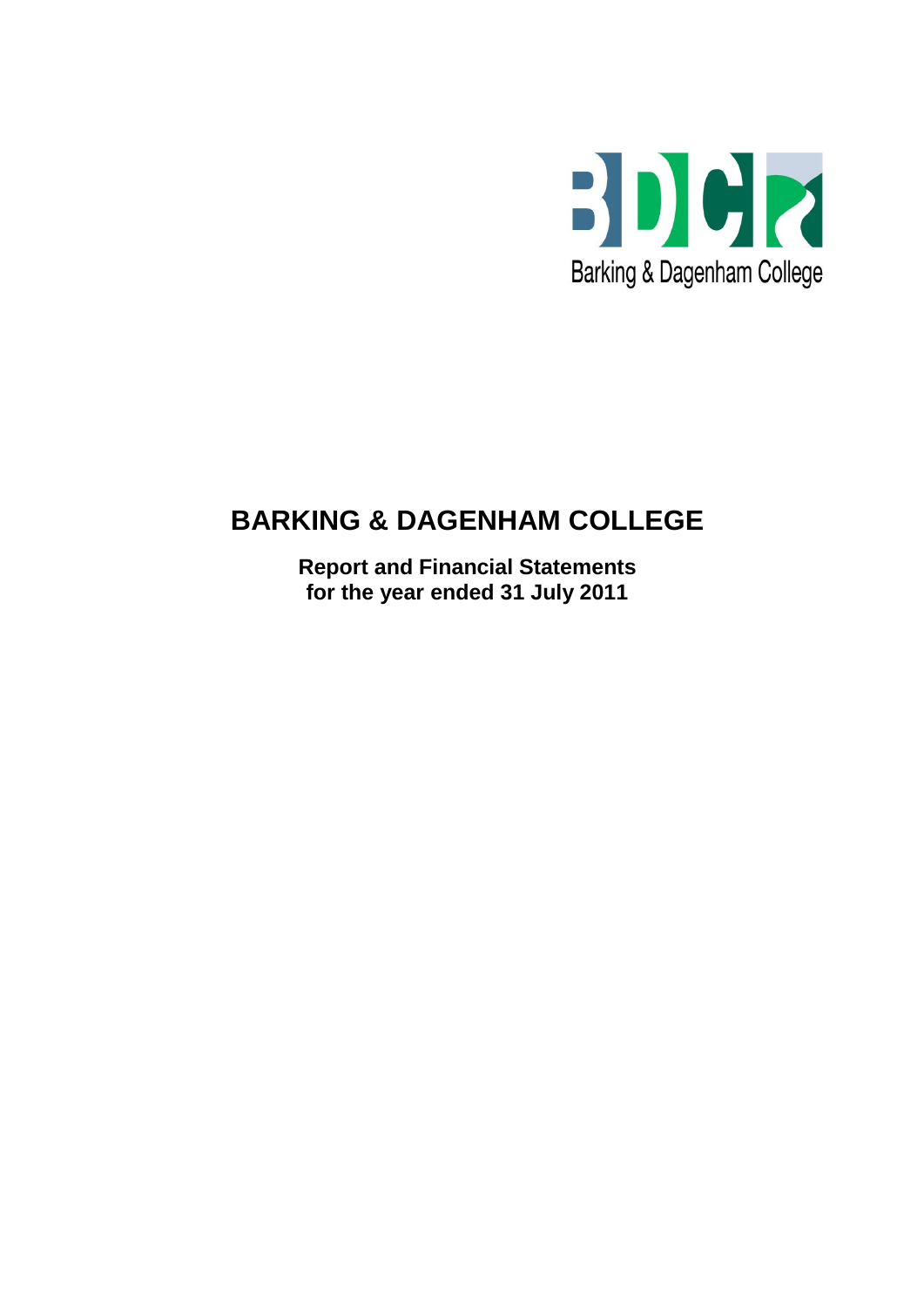

# **BARKING & DAGENHAM COLLEGE**

**Report and Financial Statements for the year ended 31 July 2011**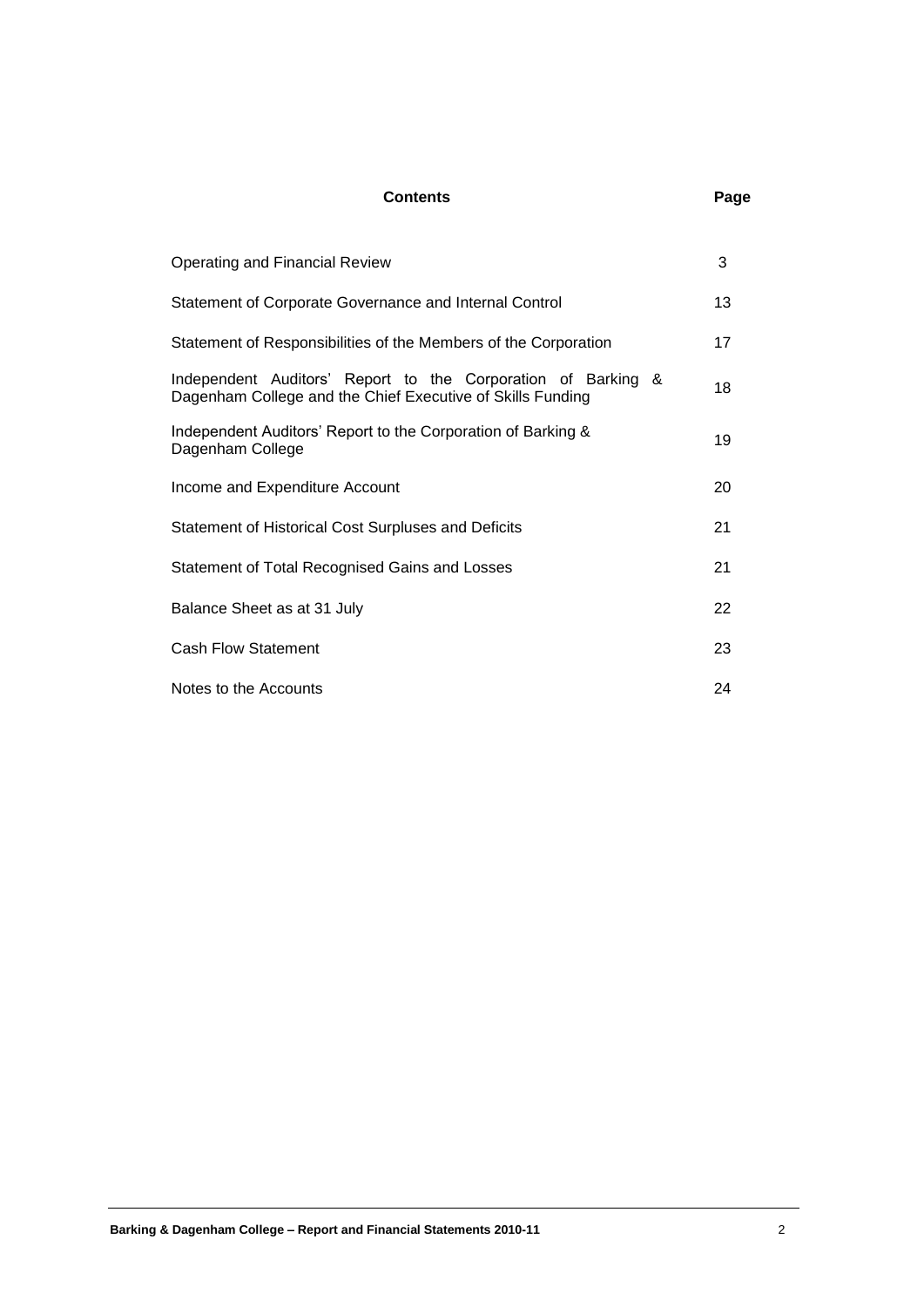### **Contents Page**

| <b>Operating and Financial Review</b>                                                                                      | 3  |
|----------------------------------------------------------------------------------------------------------------------------|----|
| Statement of Corporate Governance and Internal Control                                                                     | 13 |
| Statement of Responsibilities of the Members of the Corporation                                                            | 17 |
| Independent Auditors' Report to the Corporation of Barking &<br>Dagenham College and the Chief Executive of Skills Funding | 18 |
| Independent Auditors' Report to the Corporation of Barking &<br>Dagenham College                                           | 19 |
| Income and Expenditure Account                                                                                             | 20 |
| <b>Statement of Historical Cost Surpluses and Deficits</b>                                                                 | 21 |
| Statement of Total Recognised Gains and Losses                                                                             | 21 |
| Balance Sheet as at 31 July                                                                                                | 22 |
| <b>Cash Flow Statement</b>                                                                                                 | 23 |
| Notes to the Accounts                                                                                                      | 24 |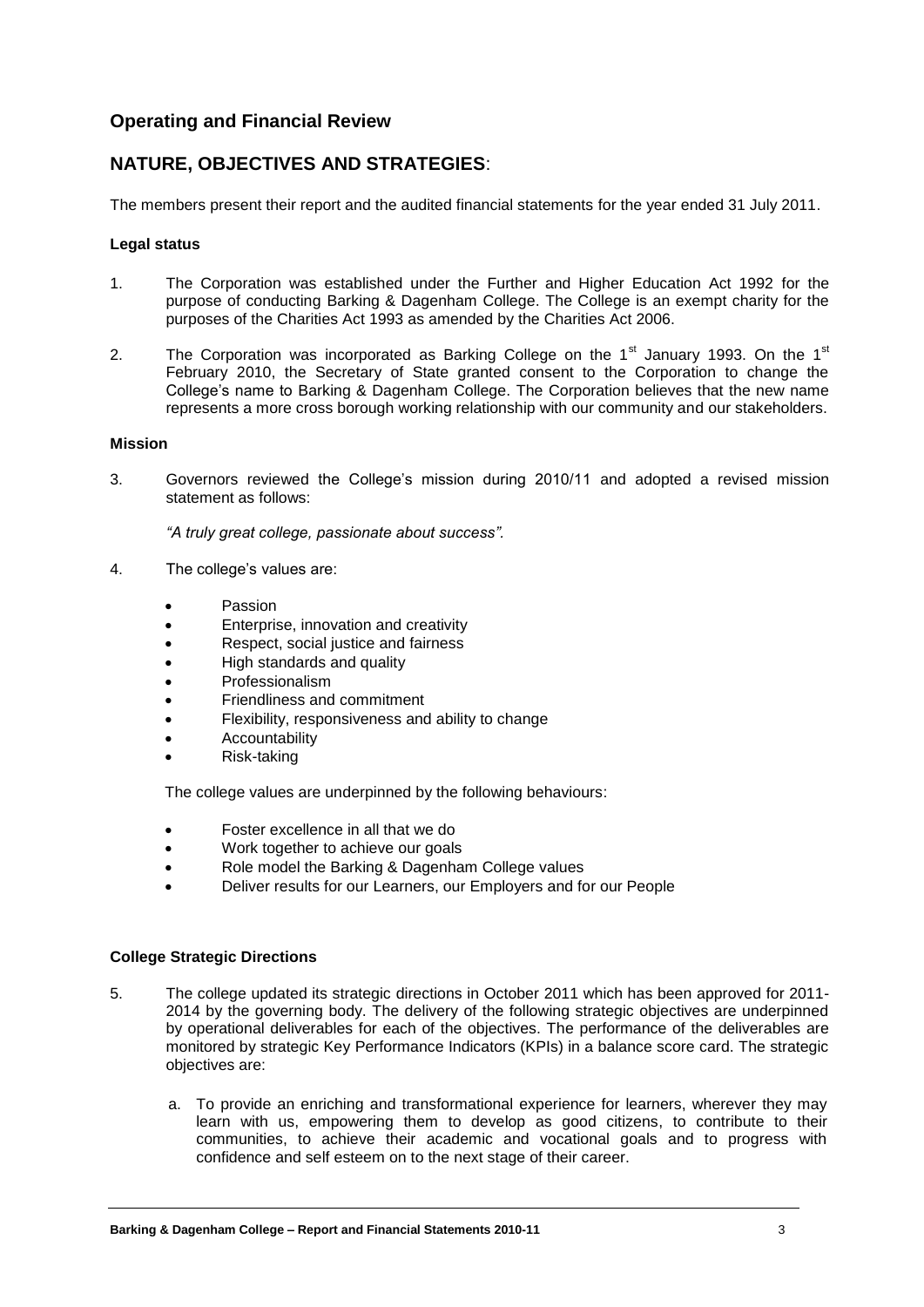### **Operating and Financial Review**

### **NATURE, OBJECTIVES AND STRATEGIES**:

The members present their report and the audited financial statements for the year ended 31 July 2011.

#### **Legal status**

- 1. The Corporation was established under the Further and Higher Education Act 1992 for the purpose of conducting Barking & Dagenham College. The College is an exempt charity for the purposes of the Charities Act 1993 as amended by the Charities Act 2006.
- 2. The Corporation was incorporated as Barking College on the 1<sup>st</sup> January 1993. On the 1<sup>st</sup> February 2010, the Secretary of State granted consent to the Corporation to change the College's name to Barking & Dagenham College. The Corporation believes that the new name represents a more cross borough working relationship with our community and our stakeholders.

#### **Mission**

3. Governors reviewed the College's mission during 2010/11 and adopted a revised mission statement as follows:

*"A truly great college, passionate about success".*

- 4. The college's values are:
	- Passion
	- **Enterprise, innovation and creativity**
	- Respect, social justice and fairness
	- High standards and quality
	- Professionalism
	- Friendliness and commitment
	- Flexibility, responsiveness and ability to change
	- Accountability
	- Risk-taking

The college values are underpinned by the following behaviours:

- Foster excellence in all that we do
- Work together to achieve our goals
- Role model the Barking & Dagenham College values
- Deliver results for our Learners, our Employers and for our People

#### **College Strategic Directions**

- 5. The college updated its strategic directions in October 2011 which has been approved for 2011- 2014 by the governing body. The delivery of the following strategic objectives are underpinned by operational deliverables for each of the objectives. The performance of the deliverables are monitored by strategic Key Performance Indicators (KPIs) in a balance score card. The strategic objectives are:
	- a. To provide an enriching and transformational experience for learners, wherever they may learn with us, empowering them to develop as good citizens, to contribute to their communities, to achieve their academic and vocational goals and to progress with confidence and self esteem on to the next stage of their career.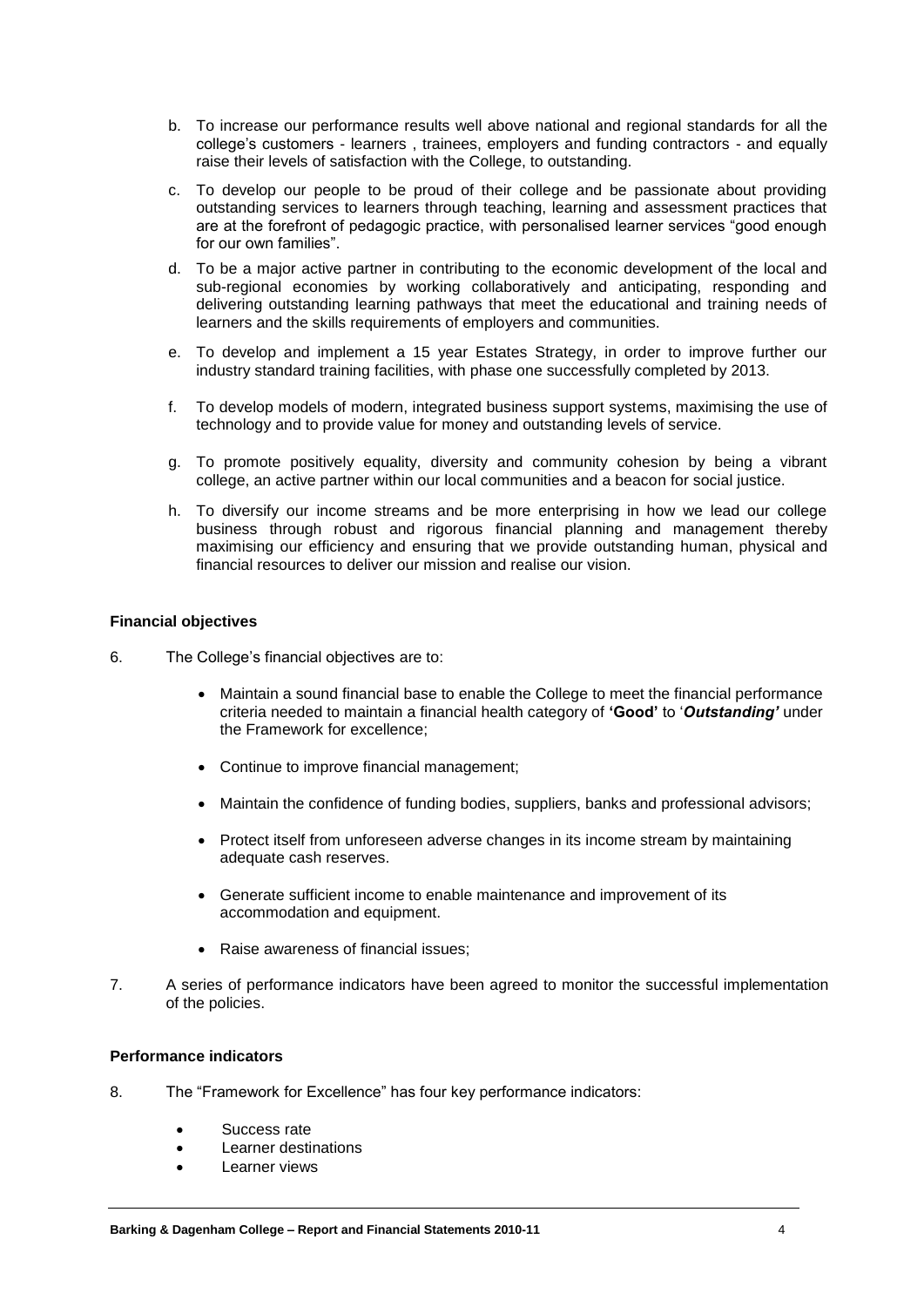- b. To increase our performance results well above national and regional standards for all the college's customers - learners , trainees, employers and funding contractors - and equally raise their levels of satisfaction with the College, to outstanding.
- c. To develop our people to be proud of their college and be passionate about providing outstanding services to learners through teaching, learning and assessment practices that are at the forefront of pedagogic practice, with personalised learner services "good enough for our own families".
- d. To be a major active partner in contributing to the economic development of the local and sub-regional economies by working collaboratively and anticipating, responding and delivering outstanding learning pathways that meet the educational and training needs of learners and the skills requirements of employers and communities.
- e. To develop and implement a 15 year Estates Strategy, in order to improve further our industry standard training facilities, with phase one successfully completed by 2013.
- f. To develop models of modern, integrated business support systems, maximising the use of technology and to provide value for money and outstanding levels of service.
- g. To promote positively equality, diversity and community cohesion by being a vibrant college, an active partner within our local communities and a beacon for social justice.
- h. To diversify our income streams and be more enterprising in how we lead our college business through robust and rigorous financial planning and management thereby maximising our efficiency and ensuring that we provide outstanding human, physical and financial resources to deliver our mission and realise our vision.

#### **Financial objectives**

- 6. The College's financial objectives are to:
	- Maintain a sound financial base to enable the College to meet the financial performance criteria needed to maintain a financial health category of **'Good'** to '*Outstanding'* under the Framework for excellence;
	- Continue to improve financial management;
	- Maintain the confidence of funding bodies, suppliers, banks and professional advisors;
	- Protect itself from unforeseen adverse changes in its income stream by maintaining adequate cash reserves.
	- Generate sufficient income to enable maintenance and improvement of its accommodation and equipment.
	- Raise awareness of financial issues:
- 7. A series of performance indicators have been agreed to monitor the successful implementation of the policies.

#### **Performance indicators**

- 8. The "Framework for Excellence" has four key performance indicators:
	- Success rate
	- Learner destinations
	- Learner views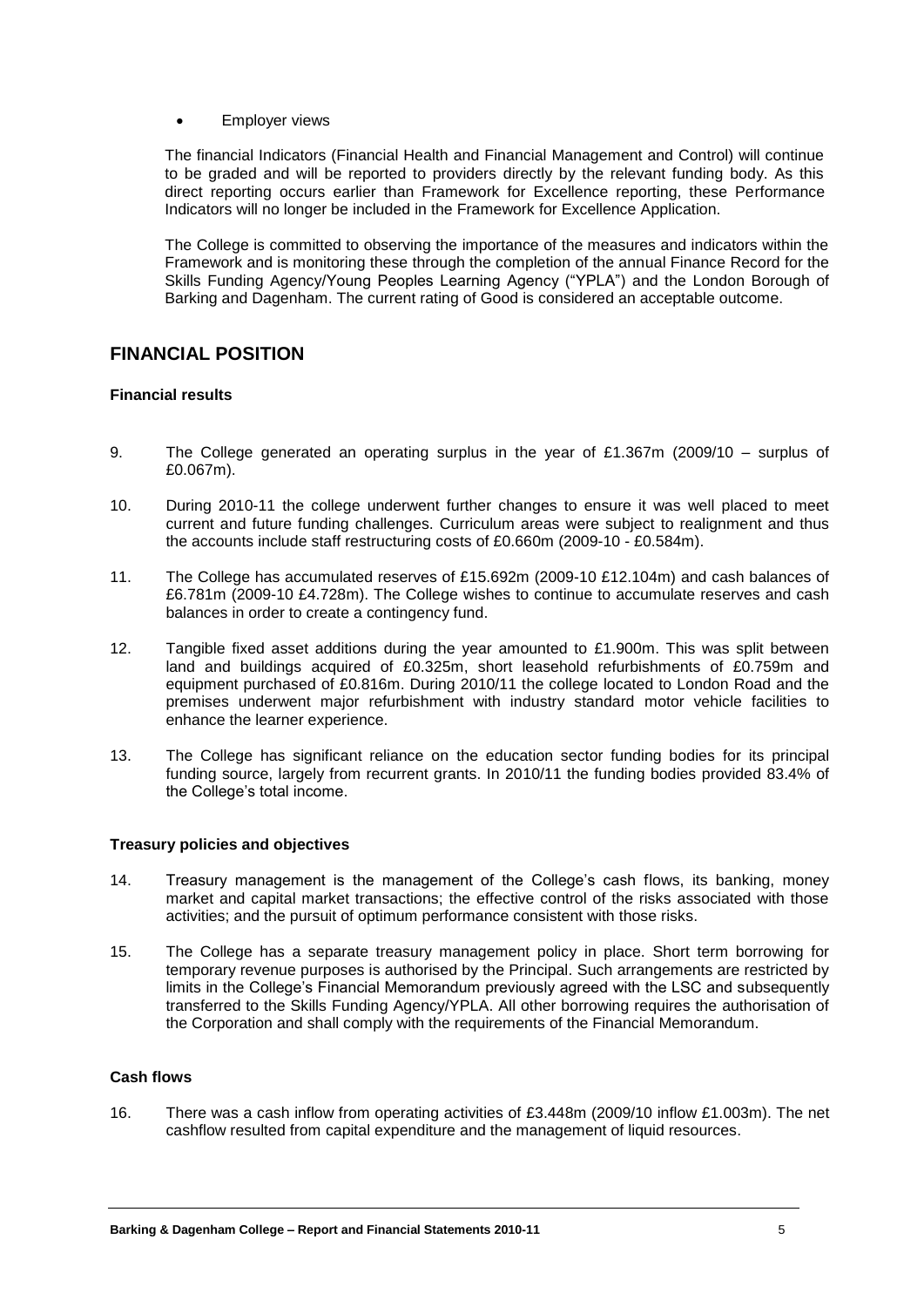#### Employer views

The financial Indicators (Financial Health and Financial Management and Control) will continue to be graded and will be reported to providers directly by the relevant funding body. As this direct reporting occurs earlier than Framework for Excellence reporting, these Performance Indicators will no longer be included in the Framework for Excellence Application.

The College is committed to observing the importance of the measures and indicators within the Framework and is monitoring these through the completion of the annual Finance Record for the Skills Funding Agency/Young Peoples Learning Agency ("YPLA") and the London Borough of Barking and Dagenham. The current rating of Good is considered an acceptable outcome.

### **FINANCIAL POSITION**

#### **Financial results**

- 9. The College generated an operating surplus in the year of £1.367m (2009/10 surplus of £0.067m).
- 10. During 2010-11 the college underwent further changes to ensure it was well placed to meet current and future funding challenges. Curriculum areas were subject to realignment and thus the accounts include staff restructuring costs of £0.660m (2009-10 - £0.584m).
- 11. The College has accumulated reserves of £15.692m (2009-10 £12.104m) and cash balances of £6.781m (2009-10 £4.728m). The College wishes to continue to accumulate reserves and cash balances in order to create a contingency fund.
- 12. Tangible fixed asset additions during the year amounted to £1.900m. This was split between land and buildings acquired of £0.325m, short leasehold refurbishments of £0.759m and equipment purchased of £0.816m. During 2010/11 the college located to London Road and the premises underwent major refurbishment with industry standard motor vehicle facilities to enhance the learner experience.
- 13. The College has significant reliance on the education sector funding bodies for its principal funding source, largely from recurrent grants. In 2010/11 the funding bodies provided 83.4% of the College's total income.

#### **Treasury policies and objectives**

- 14. Treasury management is the management of the College's cash flows, its banking, money market and capital market transactions; the effective control of the risks associated with those activities; and the pursuit of optimum performance consistent with those risks.
- 15. The College has a separate treasury management policy in place. Short term borrowing for temporary revenue purposes is authorised by the Principal. Such arrangements are restricted by limits in the College's Financial Memorandum previously agreed with the LSC and subsequently transferred to the Skills Funding Agency/YPLA. All other borrowing requires the authorisation of the Corporation and shall comply with the requirements of the Financial Memorandum.

### **Cash flows**

16. There was a cash inflow from operating activities of £3.448m (2009/10 inflow £1.003m). The net cashflow resulted from capital expenditure and the management of liquid resources.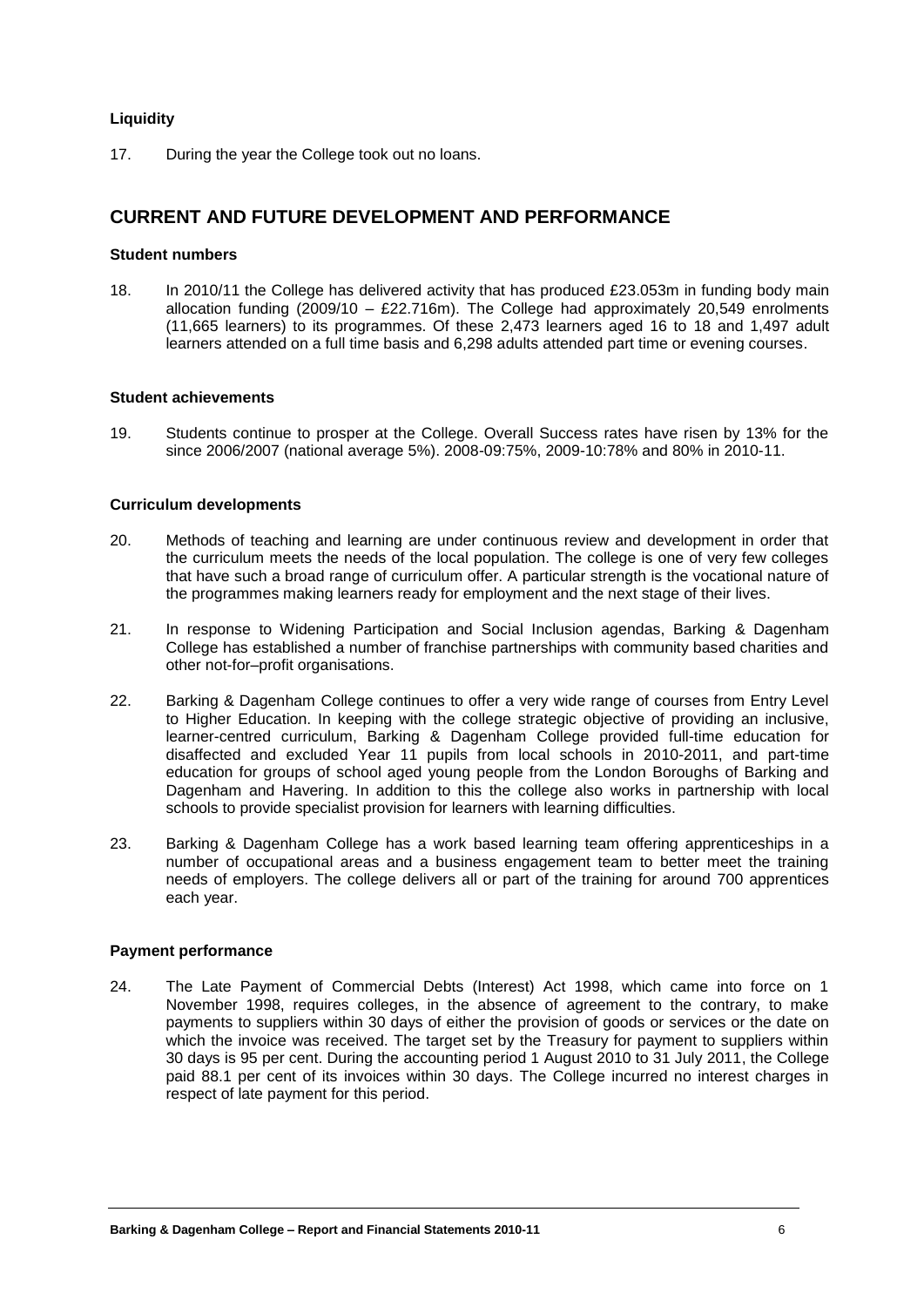#### **Liquidity**

17. During the year the College took out no loans.

### **CURRENT AND FUTURE DEVELOPMENT AND PERFORMANCE**

#### **Student numbers**

18. In 2010/11 the College has delivered activity that has produced £23.053m in funding body main allocation funding (2009/10 – £22.716m). The College had approximately 20,549 enrolments (11,665 learners) to its programmes. Of these 2,473 learners aged 16 to 18 and 1,497 adult learners attended on a full time basis and 6,298 adults attended part time or evening courses.

#### **Student achievements**

19. Students continue to prosper at the College. Overall Success rates have risen by 13% for the since 2006/2007 (national average 5%). 2008-09:75%, 2009-10:78% and 80% in 2010-11.

#### **Curriculum developments**

- 20. Methods of teaching and learning are under continuous review and development in order that the curriculum meets the needs of the local population. The college is one of very few colleges that have such a broad range of curriculum offer. A particular strength is the vocational nature of the programmes making learners ready for employment and the next stage of their lives.
- 21. In response to Widening Participation and Social Inclusion agendas, Barking & Dagenham College has established a number of franchise partnerships with community based charities and other not-for–profit organisations.
- 22. Barking & Dagenham College continues to offer a very wide range of courses from Entry Level to Higher Education. In keeping with the college strategic objective of providing an inclusive, learner-centred curriculum, Barking & Dagenham College provided full-time education for disaffected and excluded Year 11 pupils from local schools in 2010-2011, and part-time education for groups of school aged young people from the London Boroughs of Barking and Dagenham and Havering. In addition to this the college also works in partnership with local schools to provide specialist provision for learners with learning difficulties.
- 23. Barking & Dagenham College has a work based learning team offering apprenticeships in a number of occupational areas and a business engagement team to better meet the training needs of employers. The college delivers all or part of the training for around 700 apprentices each year.

#### **Payment performance**

24. The Late Payment of Commercial Debts (Interest) Act 1998, which came into force on 1 November 1998, requires colleges, in the absence of agreement to the contrary, to make payments to suppliers within 30 days of either the provision of goods or services or the date on which the invoice was received. The target set by the Treasury for payment to suppliers within 30 days is 95 per cent. During the accounting period 1 August 2010 to 31 July 2011, the College paid 88.1 per cent of its invoices within 30 days. The College incurred no interest charges in respect of late payment for this period.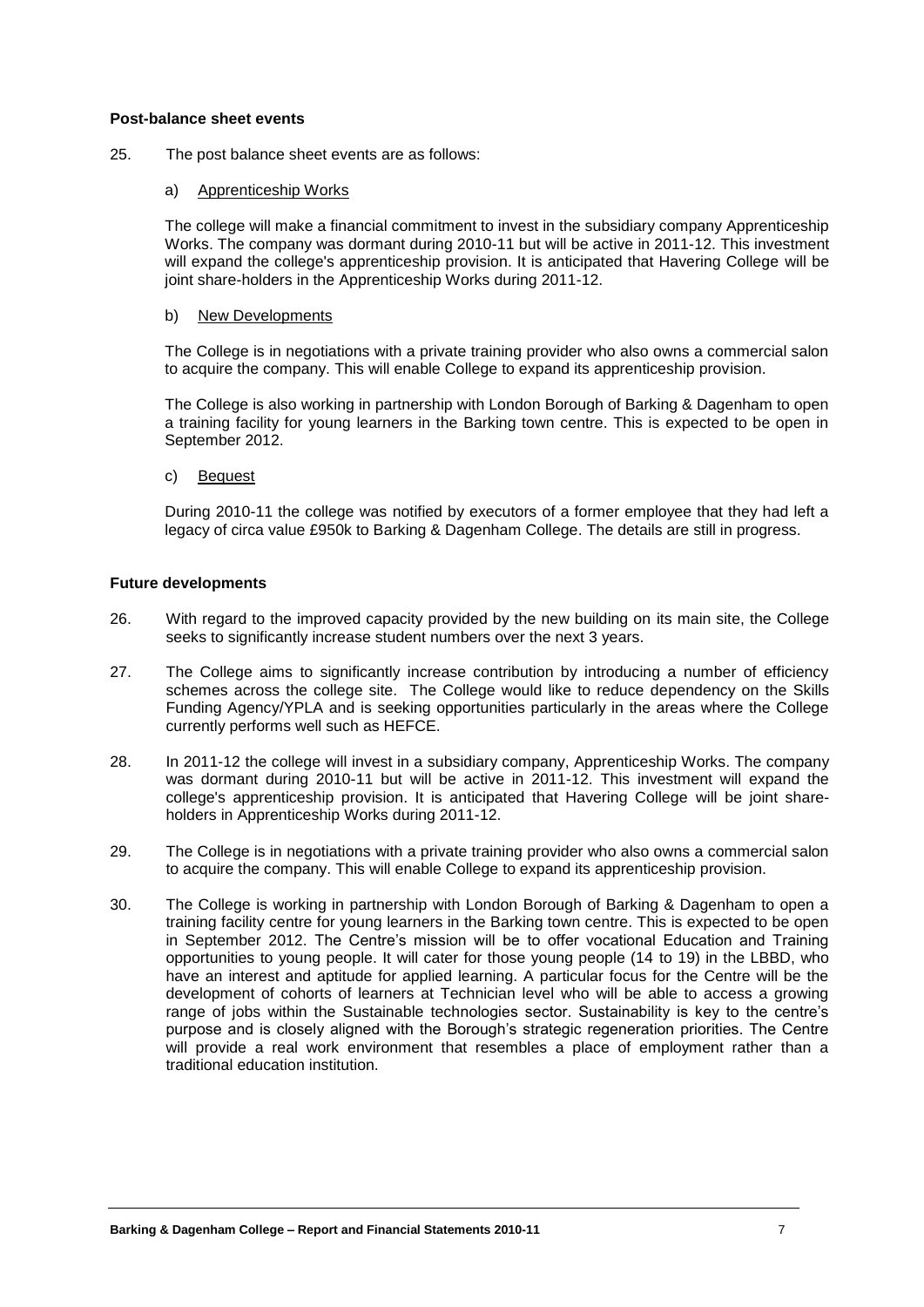#### **Post-balance sheet events**

25. The post balance sheet events are as follows:

#### a) Apprenticeship Works

The college will make a financial commitment to invest in the subsidiary company Apprenticeship Works. The company was dormant during 2010-11 but will be active in 2011-12. This investment will expand the college's apprenticeship provision. It is anticipated that Havering College will be joint share-holders in the Apprenticeship Works during 2011-12.

#### b) New Developments

The College is in negotiations with a private training provider who also owns a commercial salon to acquire the company. This will enable College to expand its apprenticeship provision.

The College is also working in partnership with London Borough of Barking & Dagenham to open a training facility for young learners in the Barking town centre. This is expected to be open in September 2012.

c) Bequest

During 2010-11 the college was notified by executors of a former employee that they had left a legacy of circa value £950k to Barking & Dagenham College. The details are still in progress.

#### **Future developments**

- 26. With regard to the improved capacity provided by the new building on its main site, the College seeks to significantly increase student numbers over the next 3 years.
- 27. The College aims to significantly increase contribution by introducing a number of efficiency schemes across the college site. The College would like to reduce dependency on the Skills Funding Agency/YPLA and is seeking opportunities particularly in the areas where the College currently performs well such as HEFCE.
- 28. In 2011-12 the college will invest in a subsidiary company, Apprenticeship Works. The company was dormant during 2010-11 but will be active in 2011-12. This investment will expand the college's apprenticeship provision. It is anticipated that Havering College will be joint shareholders in Apprenticeship Works during 2011-12.
- 29. The College is in negotiations with a private training provider who also owns a commercial salon to acquire the company. This will enable College to expand its apprenticeship provision.
- 30. The College is working in partnership with London Borough of Barking & Dagenham to open a training facility centre for young learners in the Barking town centre. This is expected to be open in September 2012. The Centre's mission will be to offer vocational Education and Training opportunities to young people. It will cater for those young people (14 to 19) in the LBBD, who have an interest and aptitude for applied learning. A particular focus for the Centre will be the development of cohorts of learners at Technician level who will be able to access a growing range of jobs within the Sustainable technologies sector. Sustainability is key to the centre's purpose and is closely aligned with the Borough's strategic regeneration priorities. The Centre will provide a real work environment that resembles a place of employment rather than a traditional education institution.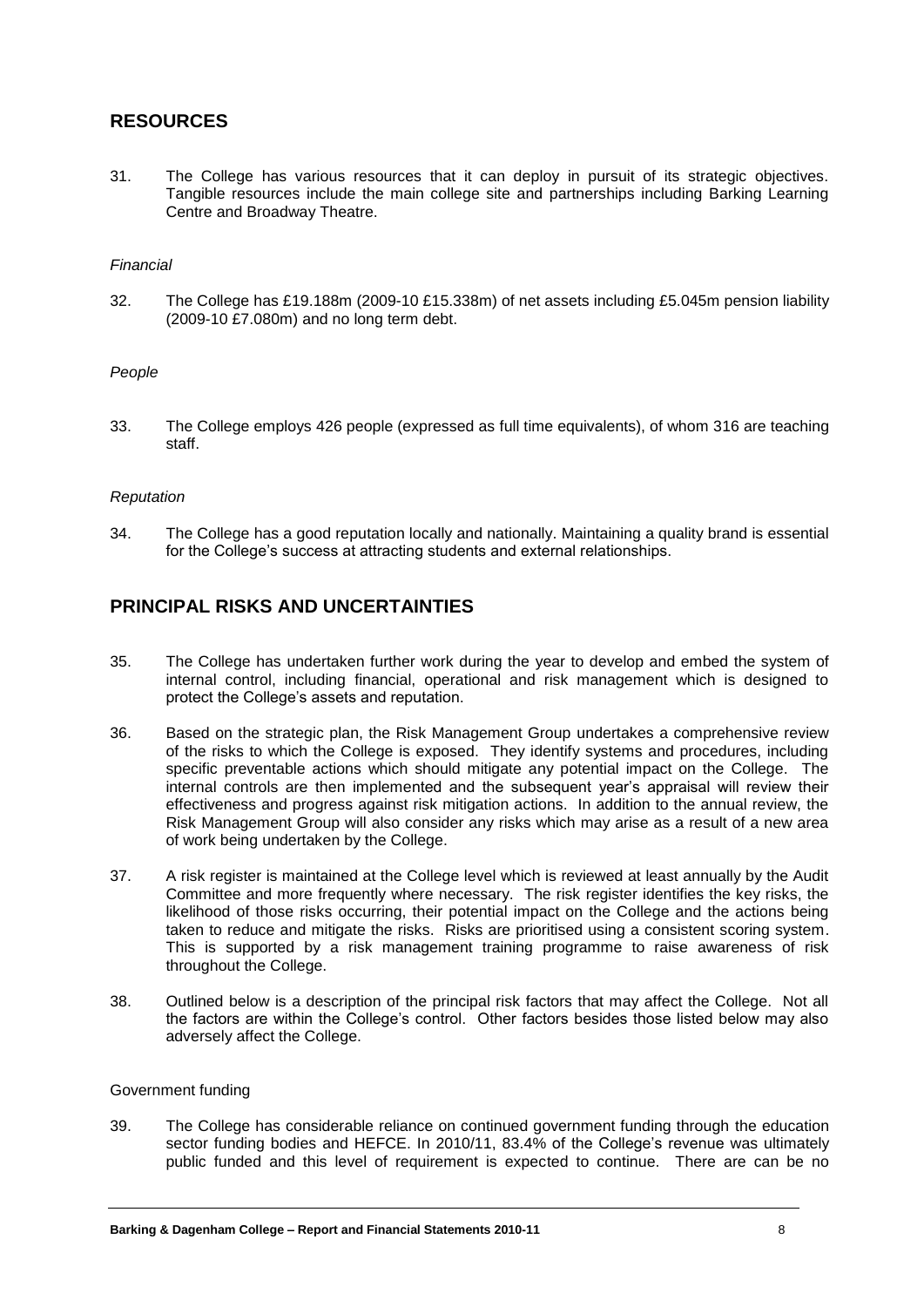### **RESOURCES**

31. The College has various resources that it can deploy in pursuit of its strategic objectives. Tangible resources include the main college site and partnerships including Barking Learning Centre and Broadway Theatre.

#### *Financial*

32. The College has £19.188m (2009-10 £15.338m) of net assets including £5.045m pension liability (2009-10 £7.080m) and no long term debt.

#### *People*

33. The College employs 426 people (expressed as full time equivalents), of whom 316 are teaching staff.

#### *Reputation*

34. The College has a good reputation locally and nationally. Maintaining a quality brand is essential for the College's success at attracting students and external relationships.

### **PRINCIPAL RISKS AND UNCERTAINTIES**

- 35. The College has undertaken further work during the year to develop and embed the system of internal control, including financial, operational and risk management which is designed to protect the College's assets and reputation.
- 36. Based on the strategic plan, the Risk Management Group undertakes a comprehensive review of the risks to which the College is exposed. They identify systems and procedures, including specific preventable actions which should mitigate any potential impact on the College. The internal controls are then implemented and the subsequent year's appraisal will review their effectiveness and progress against risk mitigation actions. In addition to the annual review, the Risk Management Group will also consider any risks which may arise as a result of a new area of work being undertaken by the College.
- 37. A risk register is maintained at the College level which is reviewed at least annually by the Audit Committee and more frequently where necessary. The risk register identifies the key risks, the likelihood of those risks occurring, their potential impact on the College and the actions being taken to reduce and mitigate the risks. Risks are prioritised using a consistent scoring system. This is supported by a risk management training programme to raise awareness of risk throughout the College.
- 38. Outlined below is a description of the principal risk factors that may affect the College. Not all the factors are within the College's control. Other factors besides those listed below may also adversely affect the College.

#### Government funding

39. The College has considerable reliance on continued government funding through the education sector funding bodies and HEFCE. In 2010/11, 83.4% of the College's revenue was ultimately public funded and this level of requirement is expected to continue. There are can be no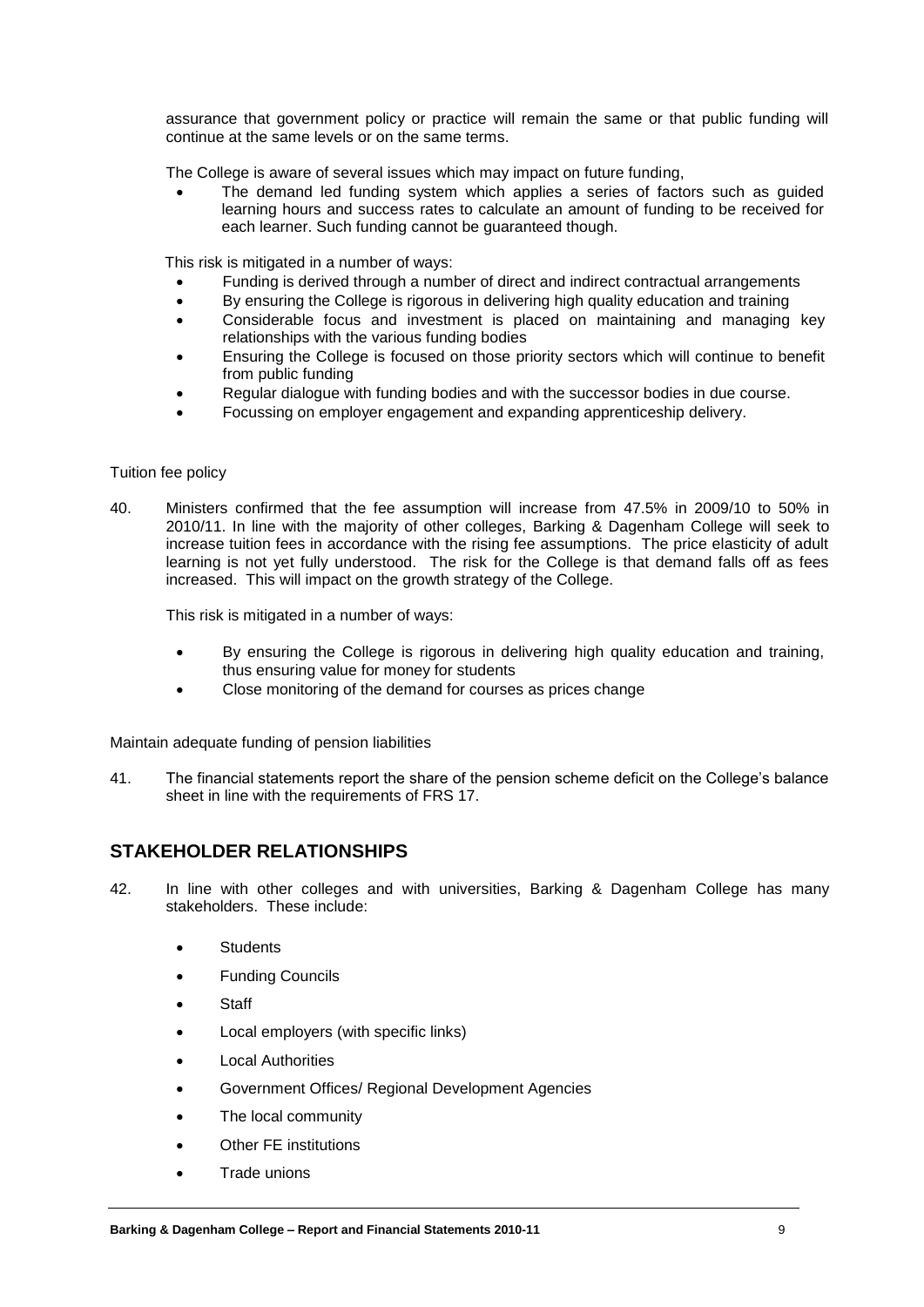assurance that government policy or practice will remain the same or that public funding will continue at the same levels or on the same terms.

The College is aware of several issues which may impact on future funding,

 The demand led funding system which applies a series of factors such as guided learning hours and success rates to calculate an amount of funding to be received for each learner. Such funding cannot be guaranteed though.

This risk is mitigated in a number of ways:

- Funding is derived through a number of direct and indirect contractual arrangements
- By ensuring the College is rigorous in delivering high quality education and training
- Considerable focus and investment is placed on maintaining and managing key relationships with the various funding bodies
- Ensuring the College is focused on those priority sectors which will continue to benefit from public funding
- Regular dialogue with funding bodies and with the successor bodies in due course.
- Focussing on employer engagement and expanding apprenticeship delivery.

#### Tuition fee policy

40. Ministers confirmed that the fee assumption will increase from 47.5% in 2009/10 to 50% in 2010/11. In line with the majority of other colleges, Barking & Dagenham College will seek to increase tuition fees in accordance with the rising fee assumptions. The price elasticity of adult learning is not yet fully understood. The risk for the College is that demand falls off as fees increased. This will impact on the growth strategy of the College.

This risk is mitigated in a number of ways:

- By ensuring the College is rigorous in delivering high quality education and training, thus ensuring value for money for students
- Close monitoring of the demand for courses as prices change

Maintain adequate funding of pension liabilities

41. The financial statements report the share of the pension scheme deficit on the College's balance sheet in line with the requirements of FRS 17.

### **STAKEHOLDER RELATIONSHIPS**

- 42. In line with other colleges and with universities, Barking & Dagenham College has many stakeholders. These include:
	- **Students**
	- Funding Councils
	- Staff
	- Local employers (with specific links)
	- Local Authorities
	- Government Offices/ Regional Development Agencies
	- The local community
	- Other FE institutions
	- Trade unions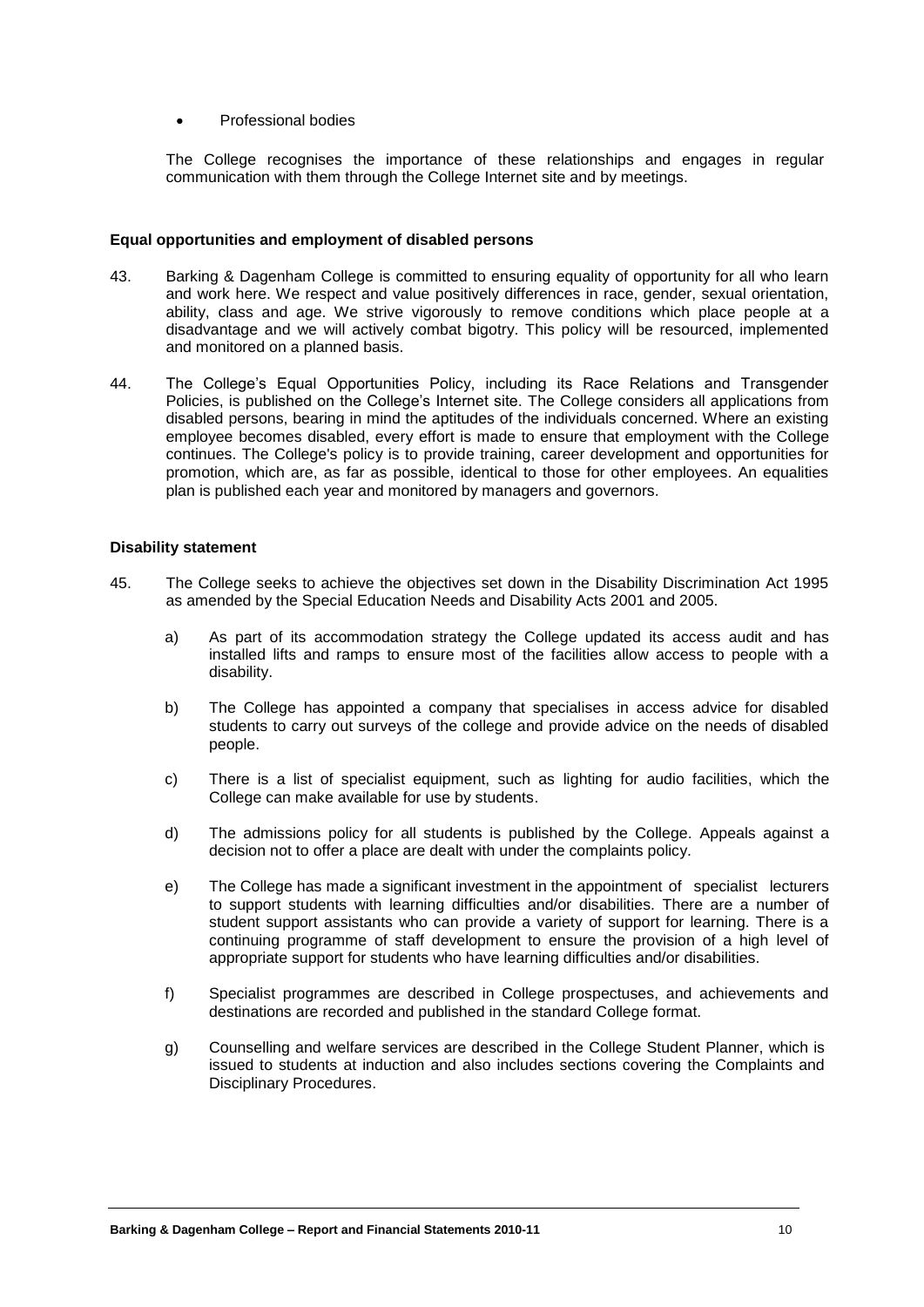#### Professional bodies

The College recognises the importance of these relationships and engages in regular communication with them through the College Internet site and by meetings.

#### **Equal opportunities and employment of disabled persons**

- 43. Barking & Dagenham College is committed to ensuring equality of opportunity for all who learn and work here. We respect and value positively differences in race, gender, sexual orientation, ability, class and age. We strive vigorously to remove conditions which place people at a disadvantage and we will actively combat bigotry. This policy will be resourced, implemented and monitored on a planned basis.
- 44. The College's Equal Opportunities Policy, including its Race Relations and Transgender Policies, is published on the College's Internet site. The College considers all applications from disabled persons, bearing in mind the aptitudes of the individuals concerned. Where an existing employee becomes disabled, every effort is made to ensure that employment with the College continues. The College's policy is to provide training, career development and opportunities for promotion, which are, as far as possible, identical to those for other employees. An equalities plan is published each year and monitored by managers and governors.

#### **Disability statement**

- 45. The College seeks to achieve the objectives set down in the Disability Discrimination Act 1995 as amended by the Special Education Needs and Disability Acts 2001 and 2005.
	- a) As part of its accommodation strategy the College updated its access audit and has installed lifts and ramps to ensure most of the facilities allow access to people with a disability.
	- b) The College has appointed a company that specialises in access advice for disabled students to carry out surveys of the college and provide advice on the needs of disabled people.
	- c) There is a list of specialist equipment, such as lighting for audio facilities, which the College can make available for use by students.
	- d) The admissions policy for all students is published by the College. Appeals against a decision not to offer a place are dealt with under the complaints policy.
	- e) The College has made a significant investment in the appointment of specialist lecturers to support students with learning difficulties and/or disabilities. There are a number of student support assistants who can provide a variety of support for learning. There is a continuing programme of staff development to ensure the provision of a high level of appropriate support for students who have learning difficulties and/or disabilities.
	- f) Specialist programmes are described in College prospectuses, and achievements and destinations are recorded and published in the standard College format.
	- g) Counselling and welfare services are described in the College Student Planner, which is issued to students at induction and also includes sections covering the Complaints and Disciplinary Procedures.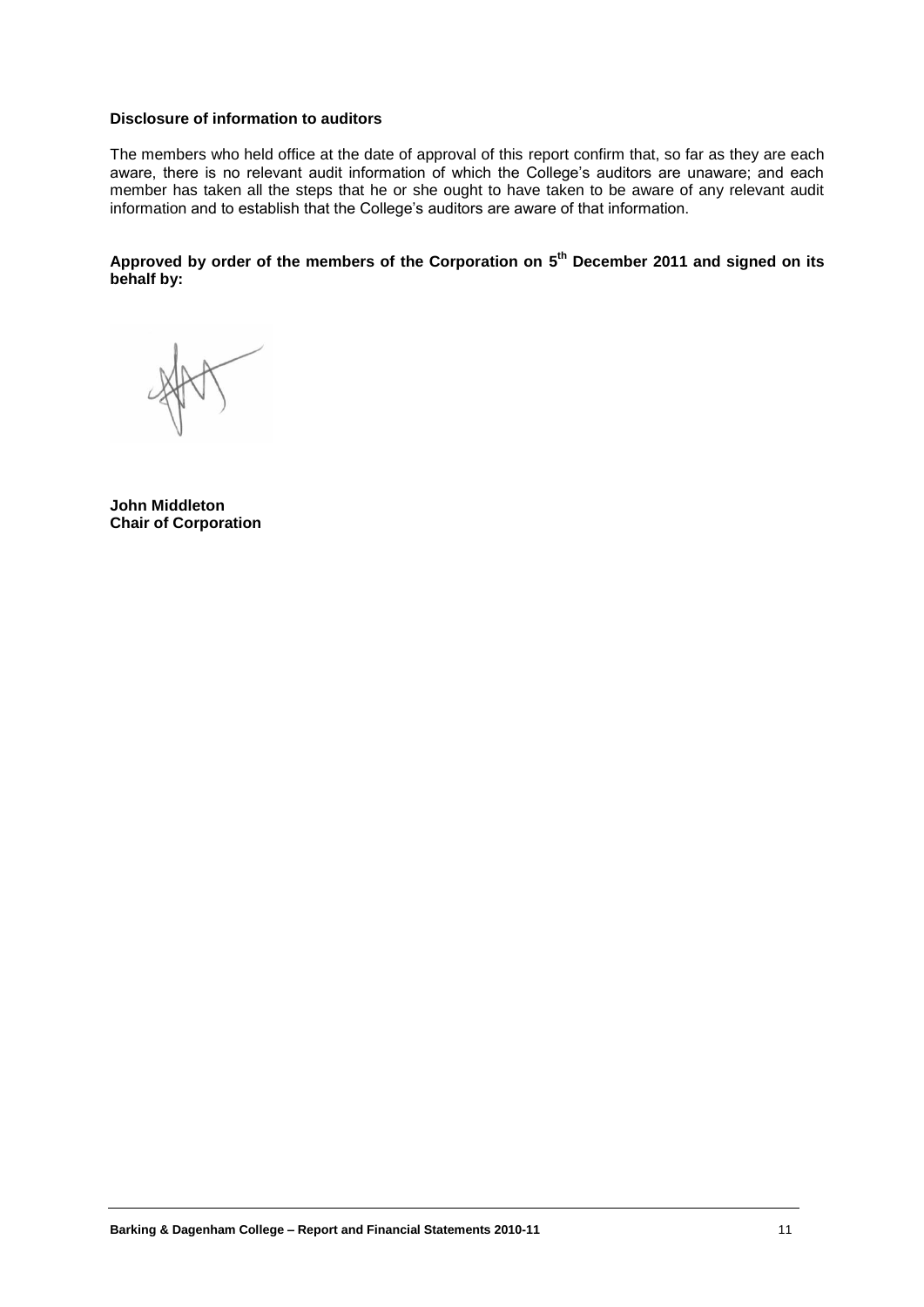#### **Disclosure of information to auditors**

The members who held office at the date of approval of this report confirm that, so far as they are each aware, there is no relevant audit information of which the College's auditors are unaware; and each member has taken all the steps that he or she ought to have taken to be aware of any relevant audit information and to establish that the College's auditors are aware of that information.

**Approved by order of the members of the Corporation on 5 th December 2011 and signed on its behalf by:**

**John Middleton Chair of Corporation**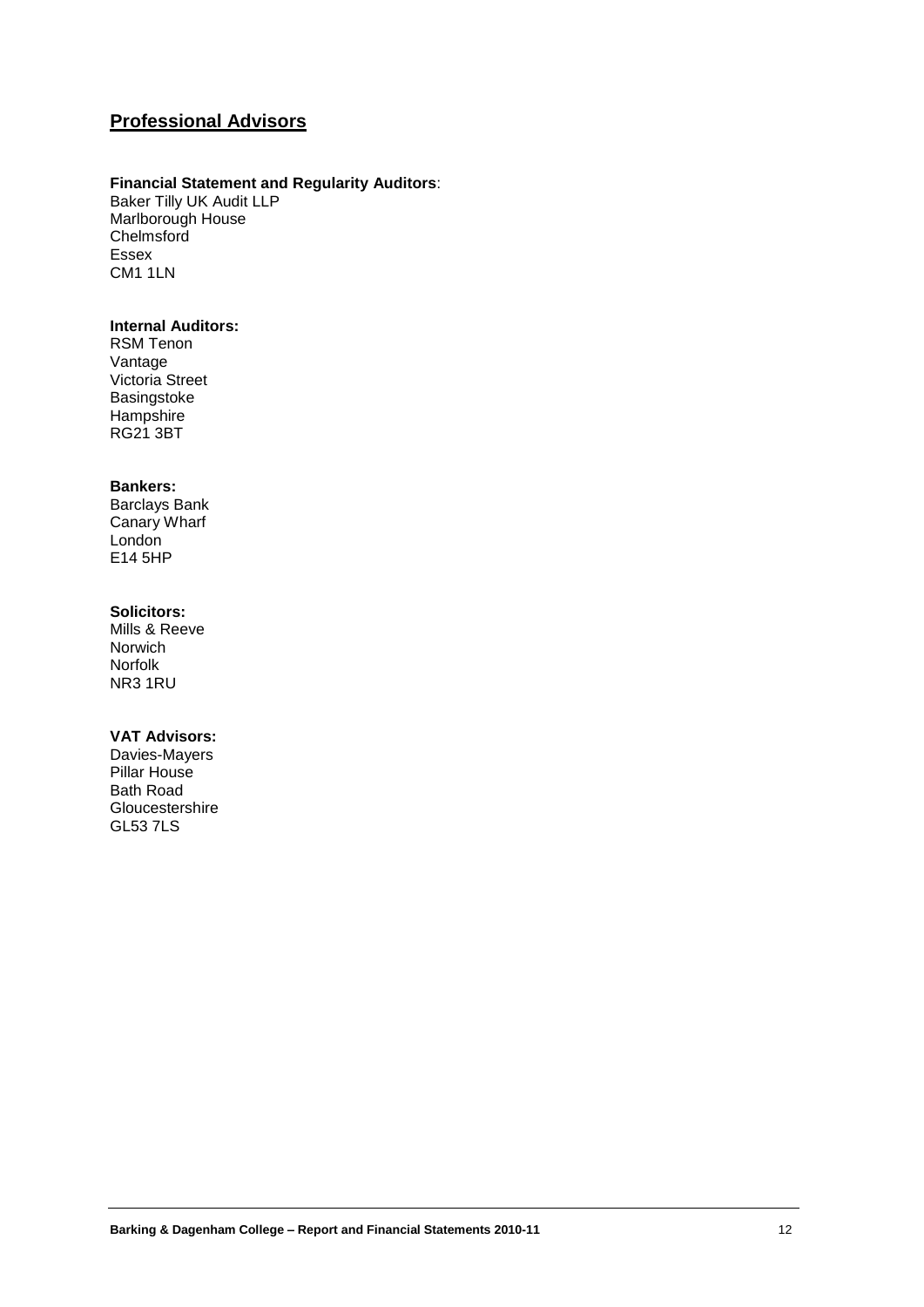## **Professional Advisors**

#### **Financial Statement and Regularity Auditors**:

Baker Tilly UK Audit LLP Marlborough House Chelmsford Essex CM1 1LN

### **Internal Auditors:**

RSM Tenon Vantage Victoria Street Basingstoke **Hampshire** RG21 3BT

#### **Bankers:**

Barclays Bank Canary Wharf London E14 5HP

#### **Solicitors:**

Mills & Reeve Norwich Norfolk NR3 1RU

#### **VAT Advisors:**

Davies-Mayers Pillar House Bath Road Gloucestershire GL53 7LS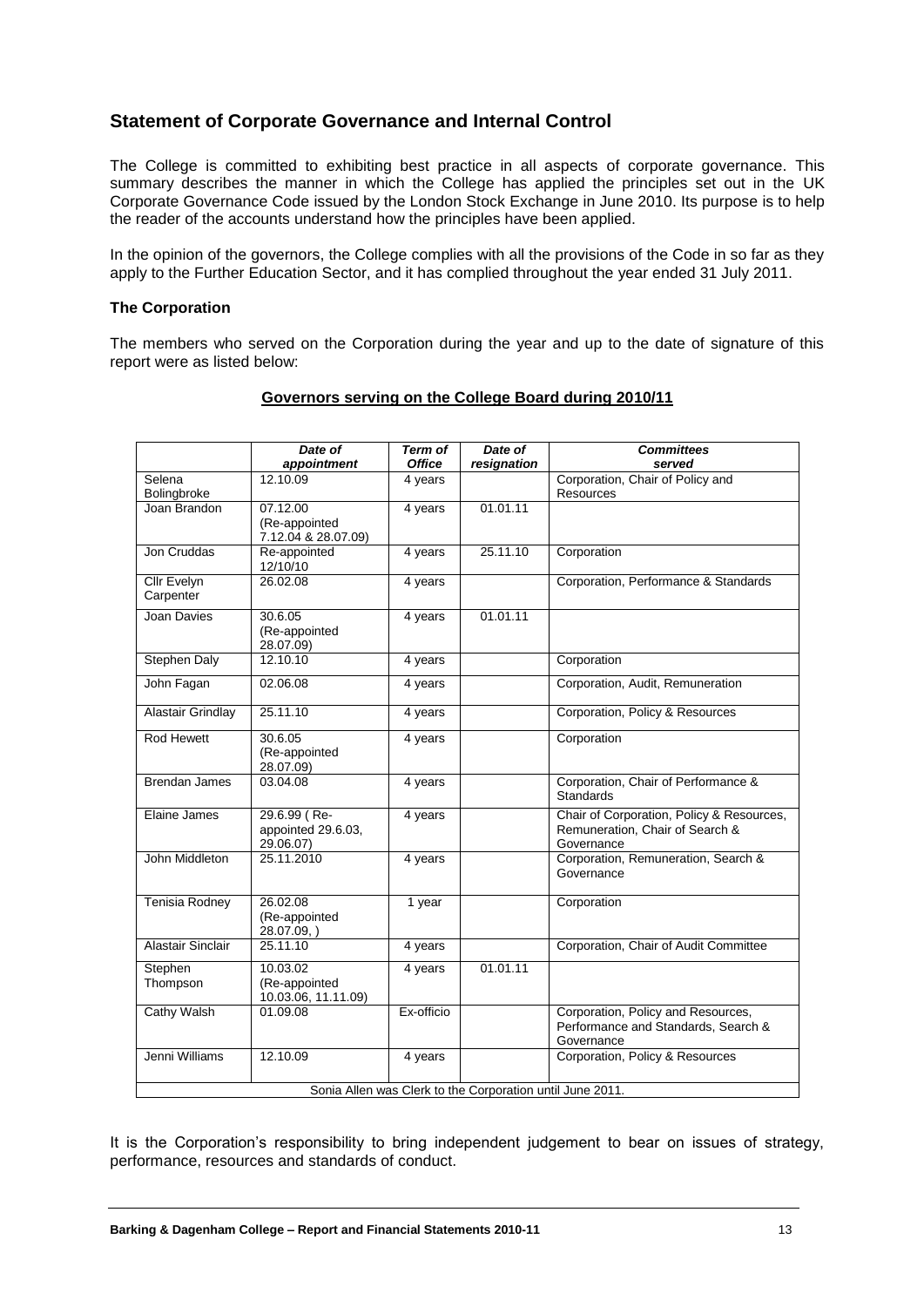### **Statement of Corporate Governance and Internal Control**

The College is committed to exhibiting best practice in all aspects of corporate governance. This summary describes the manner in which the College has applied the principles set out in the UK Corporate Governance Code issued by the London Stock Exchange in June 2010. Its purpose is to help the reader of the accounts understand how the principles have been applied.

In the opinion of the governors, the College complies with all the provisions of the Code in so far as they apply to the Further Education Sector, and it has complied throughout the year ended 31 July 2011.

#### **The Corporation**

The members who served on the Corporation during the year and up to the date of signature of this report were as listed below:

|                             | Date of             | <b>Term of</b> | Date of                                                   | <b>Committees</b>                                |
|-----------------------------|---------------------|----------------|-----------------------------------------------------------|--------------------------------------------------|
|                             | appointment         | <b>Office</b>  | resignation                                               | served                                           |
| Selena                      | 12.10.09            | 4 years        |                                                           | Corporation, Chair of Policy and                 |
| Bolingbroke<br>Joan Brandon | 07.12.00            | 4 years        | 01.01.11                                                  | Resources                                        |
|                             | (Re-appointed       |                |                                                           |                                                  |
|                             | 7.12.04 & 28.07.09) |                |                                                           |                                                  |
| Jon Cruddas                 | Re-appointed        | 4 years        | 25.11.10                                                  | Corporation                                      |
|                             | 12/10/10            |                |                                                           |                                                  |
| <b>Cllr Evelyn</b>          | 26.02.08            | 4 years        |                                                           | Corporation, Performance & Standards             |
| Carpenter                   |                     |                |                                                           |                                                  |
| Joan Davies                 | 30.6.05             | 4 years        | 01.01.11                                                  |                                                  |
|                             | (Re-appointed       |                |                                                           |                                                  |
|                             | 28.07.09)           |                |                                                           |                                                  |
| <b>Stephen Daly</b>         | 12.10.10            | 4 years        |                                                           | Corporation                                      |
| John Fagan                  | 02.06.08            | 4 years        |                                                           | Corporation, Audit, Remuneration                 |
|                             |                     |                |                                                           |                                                  |
| <b>Alastair Grindlay</b>    | 25.11.10            | 4 years        |                                                           | Corporation, Policy & Resources                  |
| <b>Rod Hewett</b>           | 30.6.05             | 4 years        |                                                           | Corporation                                      |
|                             | (Re-appointed       |                |                                                           |                                                  |
|                             | 28.07.09)           |                |                                                           |                                                  |
| <b>Brendan James</b>        | 03.04.08            | 4 years        |                                                           | Corporation, Chair of Performance &<br>Standards |
| Elaine James                | 29.6.99 (Re-        | 4 years        |                                                           | Chair of Corporation, Policy & Resources,        |
|                             | appointed 29.6.03,  |                |                                                           | Remuneration, Chair of Search &                  |
|                             | 29.06.07)           |                |                                                           | Governance                                       |
| John Middleton              | 25.11.2010          | 4 years        |                                                           | Corporation, Remuneration, Search &              |
|                             |                     |                |                                                           | Governance                                       |
| Tenisia Rodney              | 26.02.08            | 1 year         |                                                           | Corporation                                      |
|                             | (Re-appointed       |                |                                                           |                                                  |
|                             | 28.07.09,)          |                |                                                           |                                                  |
| Alastair Sinclair           | 25.11.10            | 4 years        |                                                           | Corporation, Chair of Audit Committee            |
| Stephen                     | 10.03.02            | 4 years        | 01.01.11                                                  |                                                  |
| Thompson                    | (Re-appointed       |                |                                                           |                                                  |
|                             | 10.03.06, 11.11.09) |                |                                                           |                                                  |
| <b>Cathy Walsh</b>          | 01.09.08            | Ex-officio     |                                                           | Corporation, Policy and Resources,               |
|                             |                     |                |                                                           | Performance and Standards, Search &              |
|                             |                     |                |                                                           | Governance                                       |
| Jenni Williams              | 12.10.09            | 4 years        |                                                           | Corporation, Policy & Resources                  |
|                             |                     |                |                                                           |                                                  |
|                             |                     |                | Sonia Allen was Clerk to the Corporation until June 2011. |                                                  |

#### **Governors serving on the College Board during 2010/11**

It is the Corporation's responsibility to bring independent judgement to bear on issues of strategy, performance, resources and standards of conduct.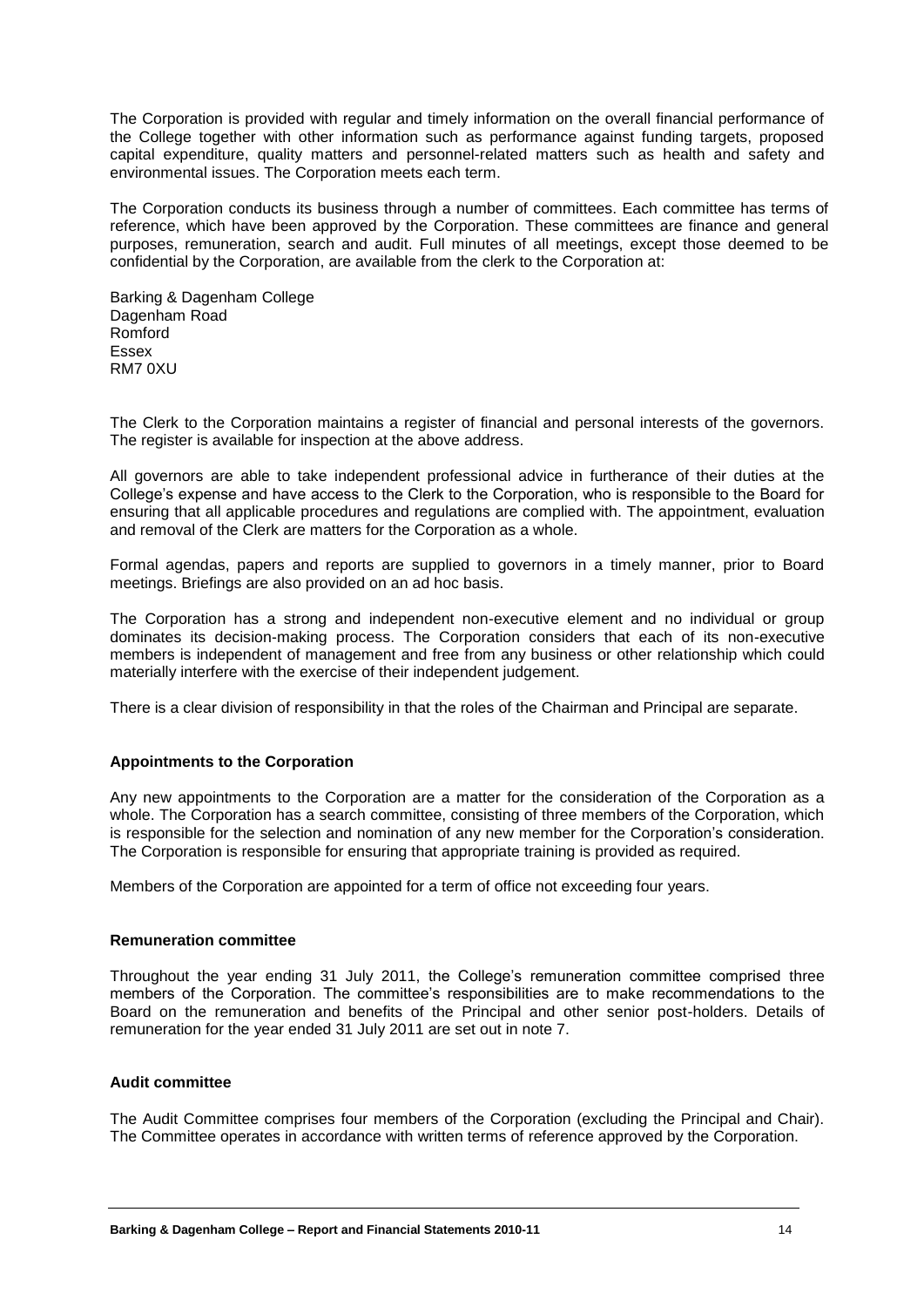The Corporation is provided with regular and timely information on the overall financial performance of the College together with other information such as performance against funding targets, proposed capital expenditure, quality matters and personnel-related matters such as health and safety and environmental issues. The Corporation meets each term.

The Corporation conducts its business through a number of committees. Each committee has terms of reference, which have been approved by the Corporation. These committees are finance and general purposes, remuneration, search and audit. Full minutes of all meetings, except those deemed to be confidential by the Corporation, are available from the clerk to the Corporation at:

Barking & Dagenham College Dagenham Road Romford Essex RM7 0XU

The Clerk to the Corporation maintains a register of financial and personal interests of the governors. The register is available for inspection at the above address.

All governors are able to take independent professional advice in furtherance of their duties at the College's expense and have access to the Clerk to the Corporation, who is responsible to the Board for ensuring that all applicable procedures and regulations are complied with. The appointment, evaluation and removal of the Clerk are matters for the Corporation as a whole.

Formal agendas, papers and reports are supplied to governors in a timely manner, prior to Board meetings. Briefings are also provided on an ad hoc basis.

The Corporation has a strong and independent non-executive element and no individual or group dominates its decision-making process. The Corporation considers that each of its non-executive members is independent of management and free from any business or other relationship which could materially interfere with the exercise of their independent judgement.

There is a clear division of responsibility in that the roles of the Chairman and Principal are separate.

#### **Appointments to the Corporation**

Any new appointments to the Corporation are a matter for the consideration of the Corporation as a whole. The Corporation has a search committee, consisting of three members of the Corporation, which is responsible for the selection and nomination of any new member for the Corporation's consideration. The Corporation is responsible for ensuring that appropriate training is provided as required.

Members of the Corporation are appointed for a term of office not exceeding four years.

#### **Remuneration committee**

Throughout the year ending 31 July 2011, the College's remuneration committee comprised three members of the Corporation. The committee's responsibilities are to make recommendations to the Board on the remuneration and benefits of the Principal and other senior post-holders. Details of remuneration for the year ended 31 July 2011 are set out in note 7.

#### **Audit committee**

The Audit Committee comprises four members of the Corporation (excluding the Principal and Chair). The Committee operates in accordance with written terms of reference approved by the Corporation.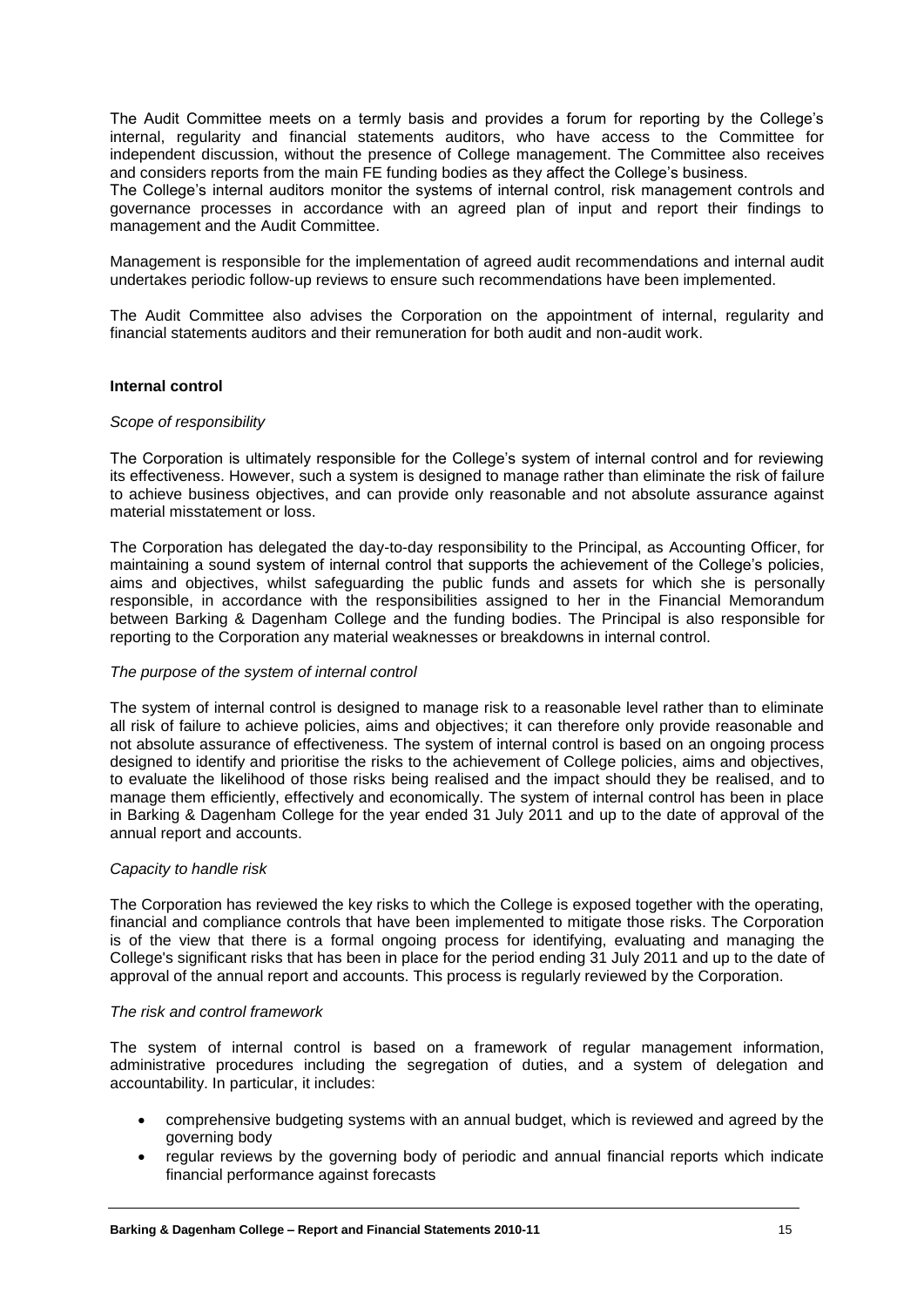The Audit Committee meets on a termly basis and provides a forum for reporting by the College's internal, regularity and financial statements auditors, who have access to the Committee for independent discussion, without the presence of College management. The Committee also receives and considers reports from the main FE funding bodies as they affect the College's business.

The College's internal auditors monitor the systems of internal control, risk management controls and governance processes in accordance with an agreed plan of input and report their findings to management and the Audit Committee.

Management is responsible for the implementation of agreed audit recommendations and internal audit undertakes periodic follow-up reviews to ensure such recommendations have been implemented.

The Audit Committee also advises the Corporation on the appointment of internal, regularity and financial statements auditors and their remuneration for both audit and non-audit work.

#### **Internal control**

#### *Scope of responsibility*

The Corporation is ultimately responsible for the College's system of internal control and for reviewing its effectiveness. However, such a system is designed to manage rather than eliminate the risk of failure to achieve business objectives, and can provide only reasonable and not absolute assurance against material misstatement or loss.

The Corporation has delegated the day-to-day responsibility to the Principal, as Accounting Officer, for maintaining a sound system of internal control that supports the achievement of the College's policies, aims and objectives, whilst safeguarding the public funds and assets for which she is personally responsible, in accordance with the responsibilities assigned to her in the Financial Memorandum between Barking & Dagenham College and the funding bodies. The Principal is also responsible for reporting to the Corporation any material weaknesses or breakdowns in internal control.

#### *The purpose of the system of internal control*

The system of internal control is designed to manage risk to a reasonable level rather than to eliminate all risk of failure to achieve policies, aims and objectives; it can therefore only provide reasonable and not absolute assurance of effectiveness. The system of internal control is based on an ongoing process designed to identify and prioritise the risks to the achievement of College policies, aims and objectives, to evaluate the likelihood of those risks being realised and the impact should they be realised, and to manage them efficiently, effectively and economically. The system of internal control has been in place in Barking & Dagenham College for the year ended 31 July 2011 and up to the date of approval of the annual report and accounts.

#### *Capacity to handle risk*

The Corporation has reviewed the key risks to which the College is exposed together with the operating, financial and compliance controls that have been implemented to mitigate those risks. The Corporation is of the view that there is a formal ongoing process for identifying, evaluating and managing the College's significant risks that has been in place for the period ending 31 July 2011 and up to the date of approval of the annual report and accounts. This process is regularly reviewed by the Corporation.

#### *The risk and control framework*

The system of internal control is based on a framework of regular management information, administrative procedures including the segregation of duties, and a system of delegation and accountability. In particular, it includes:

- comprehensive budgeting systems with an annual budget, which is reviewed and agreed by the governing body
- regular reviews by the governing body of periodic and annual financial reports which indicate financial performance against forecasts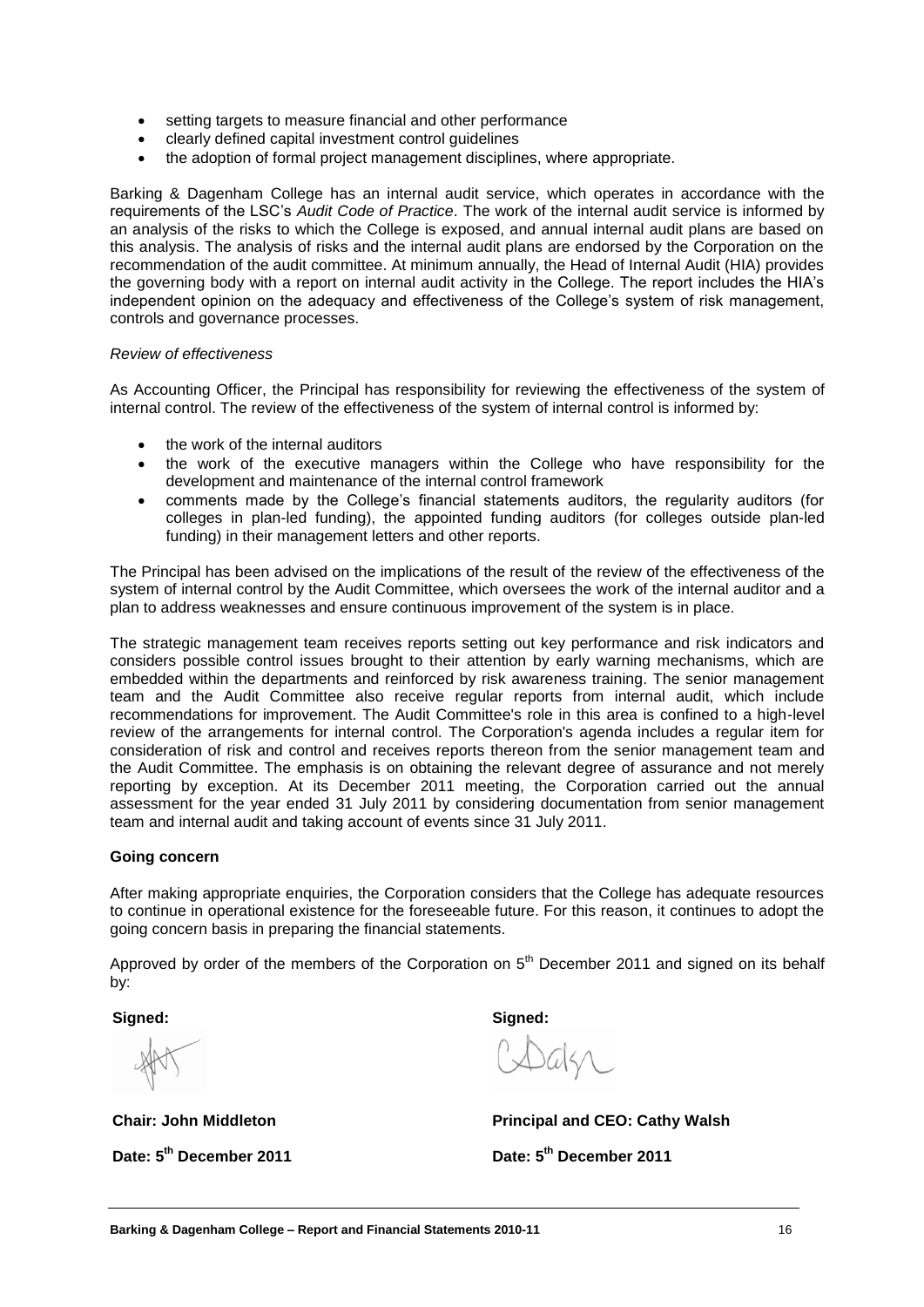- setting targets to measure financial and other performance
- clearly defined capital investment control guidelines
- the adoption of formal project management disciplines, where appropriate.

Barking & Dagenham College has an internal audit service, which operates in accordance with the requirements of the LSC's *Audit Code of Practice*. The work of the internal audit service is informed by an analysis of the risks to which the College is exposed, and annual internal audit plans are based on this analysis. The analysis of risks and the internal audit plans are endorsed by the Corporation on the recommendation of the audit committee. At minimum annually, the Head of Internal Audit (HIA) provides the governing body with a report on internal audit activity in the College. The report includes the HIA's independent opinion on the adequacy and effectiveness of the College's system of risk management, controls and governance processes.

#### *Review of effectiveness*

As Accounting Officer, the Principal has responsibility for reviewing the effectiveness of the system of internal control. The review of the effectiveness of the system of internal control is informed by:

- the work of the internal auditors
- the work of the executive managers within the College who have responsibility for the development and maintenance of the internal control framework
- comments made by the College's financial statements auditors, the regularity auditors (for colleges in plan-led funding), the appointed funding auditors (for colleges outside plan-led funding) in their management letters and other reports.

The Principal has been advised on the implications of the result of the review of the effectiveness of the system of internal control by the Audit Committee, which oversees the work of the internal auditor and a plan to address weaknesses and ensure continuous improvement of the system is in place.

The strategic management team receives reports setting out key performance and risk indicators and considers possible control issues brought to their attention by early warning mechanisms, which are embedded within the departments and reinforced by risk awareness training. The senior management team and the Audit Committee also receive regular reports from internal audit, which include recommendations for improvement. The Audit Committee's role in this area is confined to a high-level review of the arrangements for internal control. The Corporation's agenda includes a regular item for consideration of risk and control and receives reports thereon from the senior management team and the Audit Committee. The emphasis is on obtaining the relevant degree of assurance and not merely reporting by exception. At its December 2011 meeting, the Corporation carried out the annual assessment for the year ended 31 July 2011 by considering documentation from senior management team and internal audit and taking account of events since 31 July 2011.

#### **Going concern**

After making appropriate enquiries, the Corporation considers that the College has adequate resources to continue in operational existence for the foreseeable future. For this reason, it continues to adopt the going concern basis in preparing the financial statements.

Approved by order of the members of the Corporation on  $5<sup>th</sup>$  December 2011 and signed on its behalf by:

**Signed:**

**Chair: John Middleton Date: 5 th December 2011**

**Signed:**

**Principal and CEO: Cathy Walsh**

**Date: 5 th December 2011**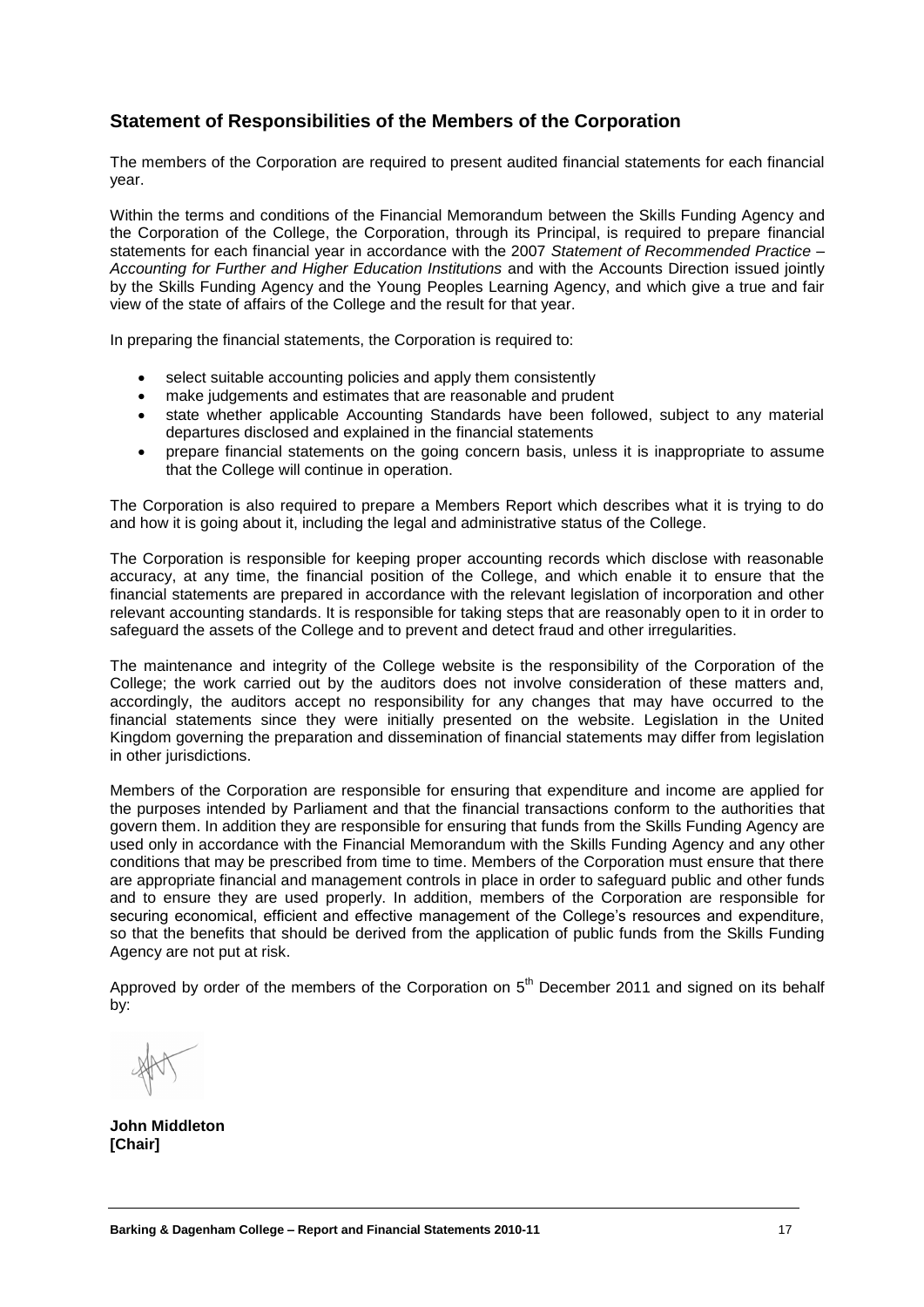### **Statement of Responsibilities of the Members of the Corporation**

The members of the Corporation are required to present audited financial statements for each financial year.

Within the terms and conditions of the Financial Memorandum between the Skills Funding Agency and the Corporation of the College, the Corporation, through its Principal, is required to prepare financial statements for each financial year in accordance with the 2007 *Statement of Recommended Practice – Accounting for Further and Higher Education Institutions* and with the Accounts Direction issued jointly by the Skills Funding Agency and the Young Peoples Learning Agency, and which give a true and fair view of the state of affairs of the College and the result for that year.

In preparing the financial statements, the Corporation is required to:

- select suitable accounting policies and apply them consistently
- make judgements and estimates that are reasonable and prudent
- state whether applicable Accounting Standards have been followed, subject to any material departures disclosed and explained in the financial statements
- prepare financial statements on the going concern basis, unless it is inappropriate to assume that the College will continue in operation.

The Corporation is also required to prepare a Members Report which describes what it is trying to do and how it is going about it, including the legal and administrative status of the College.

The Corporation is responsible for keeping proper accounting records which disclose with reasonable accuracy, at any time, the financial position of the College, and which enable it to ensure that the financial statements are prepared in accordance with the relevant legislation of incorporation and other relevant accounting standards. It is responsible for taking steps that are reasonably open to it in order to safeguard the assets of the College and to prevent and detect fraud and other irregularities.

The maintenance and integrity of the College website is the responsibility of the Corporation of the College; the work carried out by the auditors does not involve consideration of these matters and, accordingly, the auditors accept no responsibility for any changes that may have occurred to the financial statements since they were initially presented on the website. Legislation in the United Kingdom governing the preparation and dissemination of financial statements may differ from legislation in other jurisdictions.

Members of the Corporation are responsible for ensuring that expenditure and income are applied for the purposes intended by Parliament and that the financial transactions conform to the authorities that govern them. In addition they are responsible for ensuring that funds from the Skills Funding Agency are used only in accordance with the Financial Memorandum with the Skills Funding Agency and any other conditions that may be prescribed from time to time. Members of the Corporation must ensure that there are appropriate financial and management controls in place in order to safeguard public and other funds and to ensure they are used properly. In addition, members of the Corporation are responsible for securing economical, efficient and effective management of the College's resources and expenditure, so that the benefits that should be derived from the application of public funds from the Skills Funding Agency are not put at risk.

Approved by order of the members of the Corporation on  $5<sup>th</sup>$  December 2011 and signed on its behalf by:

**John Middleton [Chair]**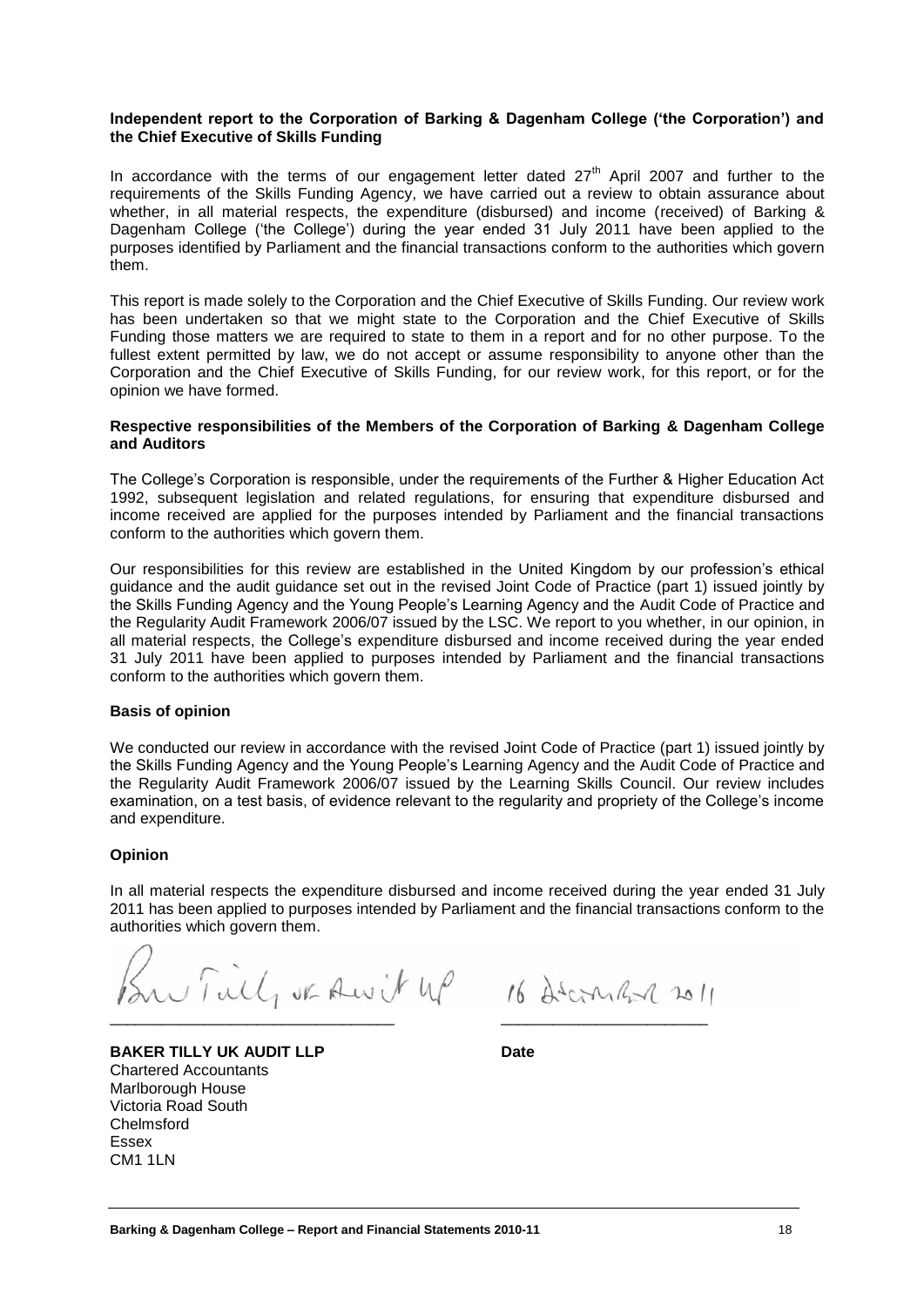#### **Independent report to the Corporation of Barking & Dagenham College ('the Corporation') and the Chief Executive of Skills Funding**

In accordance with the terms of our engagement letter dated  $27<sup>th</sup>$  April 2007 and further to the requirements of the Skills Funding Agency, we have carried out a review to obtain assurance about whether, in all material respects, the expenditure (disbursed) and income (received) of Barking & Dagenham College ('the College') during the year ended 31 July 2011 have been applied to the purposes identified by Parliament and the financial transactions conform to the authorities which govern them.

This report is made solely to the Corporation and the Chief Executive of Skills Funding. Our review work has been undertaken so that we might state to the Corporation and the Chief Executive of Skills Funding those matters we are required to state to them in a report and for no other purpose. To the fullest extent permitted by law, we do not accept or assume responsibility to anyone other than the Corporation and the Chief Executive of Skills Funding, for our review work, for this report, or for the opinion we have formed.

#### **Respective responsibilities of the Members of the Corporation of Barking & Dagenham College and Auditors**

The College's Corporation is responsible, under the requirements of the Further & Higher Education Act 1992, subsequent legislation and related regulations, for ensuring that expenditure disbursed and income received are applied for the purposes intended by Parliament and the financial transactions conform to the authorities which govern them.

Our responsibilities for this review are established in the United Kingdom by our profession's ethical guidance and the audit guidance set out in the revised Joint Code of Practice (part 1) issued jointly by the Skills Funding Agency and the Young People's Learning Agency and the Audit Code of Practice and the Regularity Audit Framework 2006/07 issued by the LSC. We report to you whether, in our opinion, in all material respects, the College's expenditure disbursed and income received during the year ended 31 July 2011 have been applied to purposes intended by Parliament and the financial transactions conform to the authorities which govern them.

#### **Basis of opinion**

We conducted our review in accordance with the revised Joint Code of Practice (part 1) issued jointly by the Skills Funding Agency and the Young People's Learning Agency and the Audit Code of Practice and the Regularity Audit Framework 2006/07 issued by the Learning Skills Council. Our review includes examination, on a test basis, of evidence relevant to the regularity and propriety of the College's income and expenditure.

#### **Opinion**

In all material respects the expenditure disbursed and income received during the year ended 31 July 2011 has been applied to purposes intended by Parliament and the financial transactions conform to the authorities which govern them.

 $X \sim \text{Filt}_1$  or Awit  $\mu$  16 décembre 2011

**BAKER TILLY UK AUDIT LLP Date** Chartered Accountants Marlborough House Victoria Road South Chelmsford Essex CM1 1LN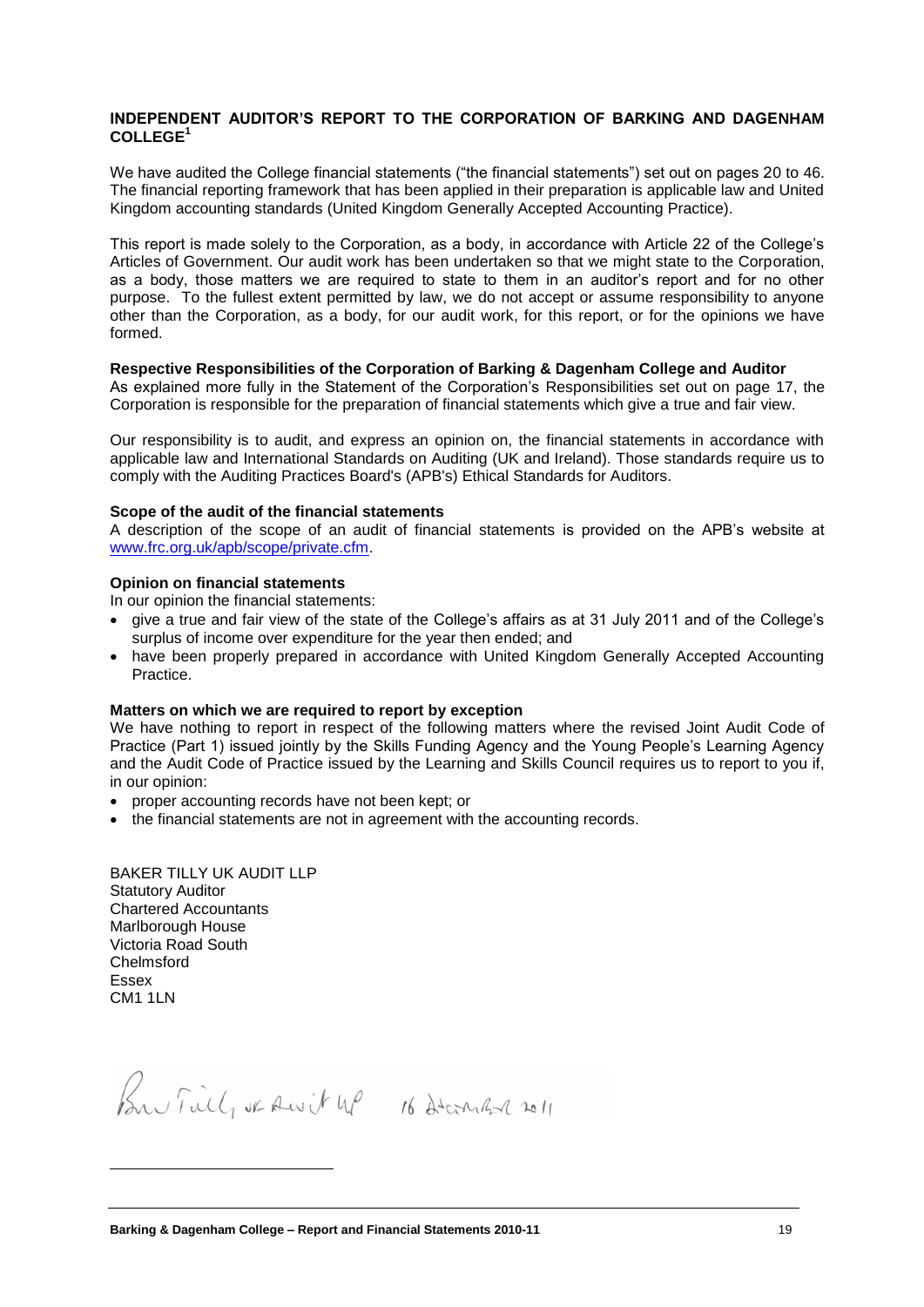#### **INDEPENDENT AUDITOR'S REPORT TO THE CORPORATION OF BARKING AND DAGENHAM COLLEGE<sup>1</sup>**

We have audited the College financial statements ("the financial statements") set out on pages 20 to 46. The financial reporting framework that has been applied in their preparation is applicable law and United Kingdom accounting standards (United Kingdom Generally Accepted Accounting Practice).

This report is made solely to the Corporation, as a body, in accordance with Article 22 of the College's Articles of Government. Our audit work has been undertaken so that we might state to the Corporation, as a body, those matters we are required to state to them in an auditor's report and for no other purpose. To the fullest extent permitted by law, we do not accept or assume responsibility to anyone other than the Corporation, as a body, for our audit work, for this report, or for the opinions we have formed.

#### **Respective Responsibilities of the Corporation of Barking & Dagenham College and Auditor**

As explained more fully in the Statement of the Corporation's Responsibilities set out on page 17, the Corporation is responsible for the preparation of financial statements which give a true and fair view.

Our responsibility is to audit, and express an opinion on, the financial statements in accordance with applicable law and International Standards on Auditing (UK and Ireland). Those standards require us to comply with the Auditing Practices Board's (APB's) Ethical Standards for Auditors.

#### **Scope of the audit of the financial statements**

A description of the scope of an audit of financial statements is provided on the APB's website at [www.frc.org.uk/apb/scope/private.cfm.](http://www.frc.org.uk/apb/scope/private.cfm)

#### **Opinion on financial statements**

In our opinion the financial statements:

- give a true and fair view of the state of the College's affairs as at 31 July 2011 and of the College's surplus of income over expenditure for the year then ended; and
- have been properly prepared in accordance with United Kingdom Generally Accepted Accounting Practice.

#### **Matters on which we are required to report by exception**

We have nothing to report in respect of the following matters where the revised Joint Audit Code of Practice (Part 1) issued jointly by the Skills Funding Agency and the Young People's Learning Agency and the Audit Code of Practice issued by the Learning and Skills Council requires us to report to you if, in our opinion:

- proper accounting records have not been kept; or
- the financial statements are not in agreement with the accounting records.

BAKER TILLY UK AUDIT LLP Statutory Auditor Chartered Accountants Marlborough House Victoria Road South Chelmsford Essex CM1 1LN

 $\overline{a}$ 

Bu Field of Awit up 16 December 2011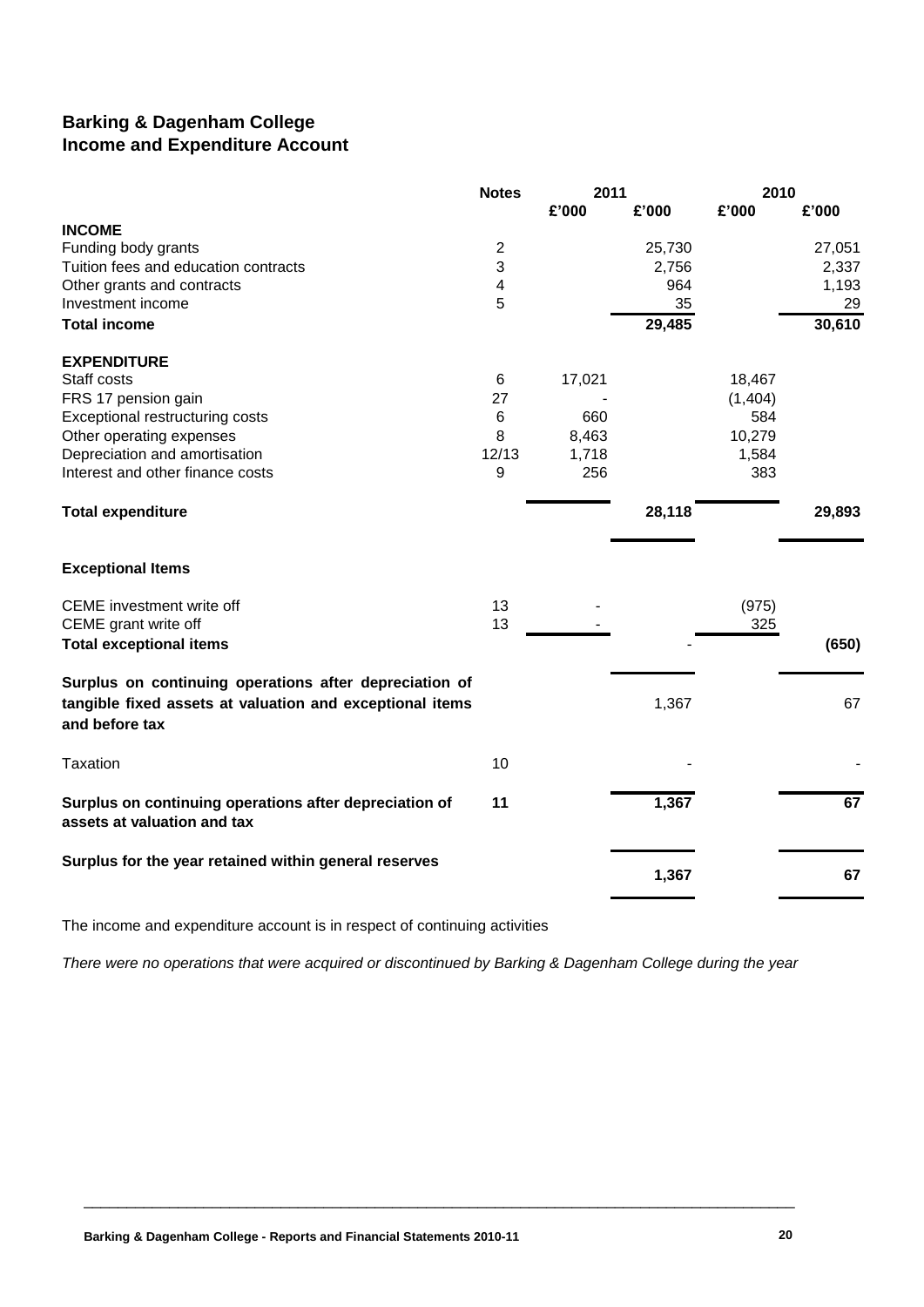### **Barking & Dagenham College Income and Expenditure Account**

|                                                                                       | <b>Notes</b>   | 2011   |        | 2010     |        |
|---------------------------------------------------------------------------------------|----------------|--------|--------|----------|--------|
|                                                                                       |                | £'000  | £'000  | £'000    | £'000  |
| <b>INCOME</b>                                                                         |                |        |        |          |        |
| Funding body grants                                                                   | $\overline{2}$ |        | 25,730 |          | 27,051 |
| Tuition fees and education contracts                                                  | 3              |        | 2,756  |          | 2,337  |
| Other grants and contracts                                                            | 4              |        | 964    |          | 1,193  |
| Investment income                                                                     | 5              |        | 35     |          | 29     |
| <b>Total income</b>                                                                   |                |        | 29,485 |          | 30,610 |
| <b>EXPENDITURE</b>                                                                    |                |        |        |          |        |
| Staff costs                                                                           | 6              | 17,021 |        | 18,467   |        |
| FRS 17 pension gain                                                                   | 27             |        |        | (1, 404) |        |
| Exceptional restructuring costs                                                       | $\,6\,$        | 660    |        | 584      |        |
| Other operating expenses                                                              | 8              | 8,463  |        | 10,279   |        |
| Depreciation and amortisation                                                         | 12/13          | 1,718  |        | 1,584    |        |
| Interest and other finance costs                                                      | 9              | 256    |        | 383      |        |
| <b>Total expenditure</b>                                                              |                |        | 28,118 |          | 29,893 |
| <b>Exceptional Items</b>                                                              |                |        |        |          |        |
| CEME investment write off                                                             | 13             |        |        | (975)    |        |
| CEME grant write off                                                                  | 13             |        |        | 325      |        |
| <b>Total exceptional items</b>                                                        |                |        |        |          | (650)  |
| Surplus on continuing operations after depreciation of                                |                |        |        |          |        |
| tangible fixed assets at valuation and exceptional items<br>and before tax            |                |        | 1,367  |          | 67     |
| Taxation                                                                              | 10             |        |        |          |        |
| Surplus on continuing operations after depreciation of<br>assets at valuation and tax | 11             |        | 1,367  |          | 67     |
| Surplus for the year retained within general reserves                                 |                |        | 1,367  |          | 67     |
|                                                                                       |                |        |        |          |        |

The income and expenditure account is in respect of continuing activities

*There were no operations that were acquired or discontinued by Barking & Dagenham College during the year*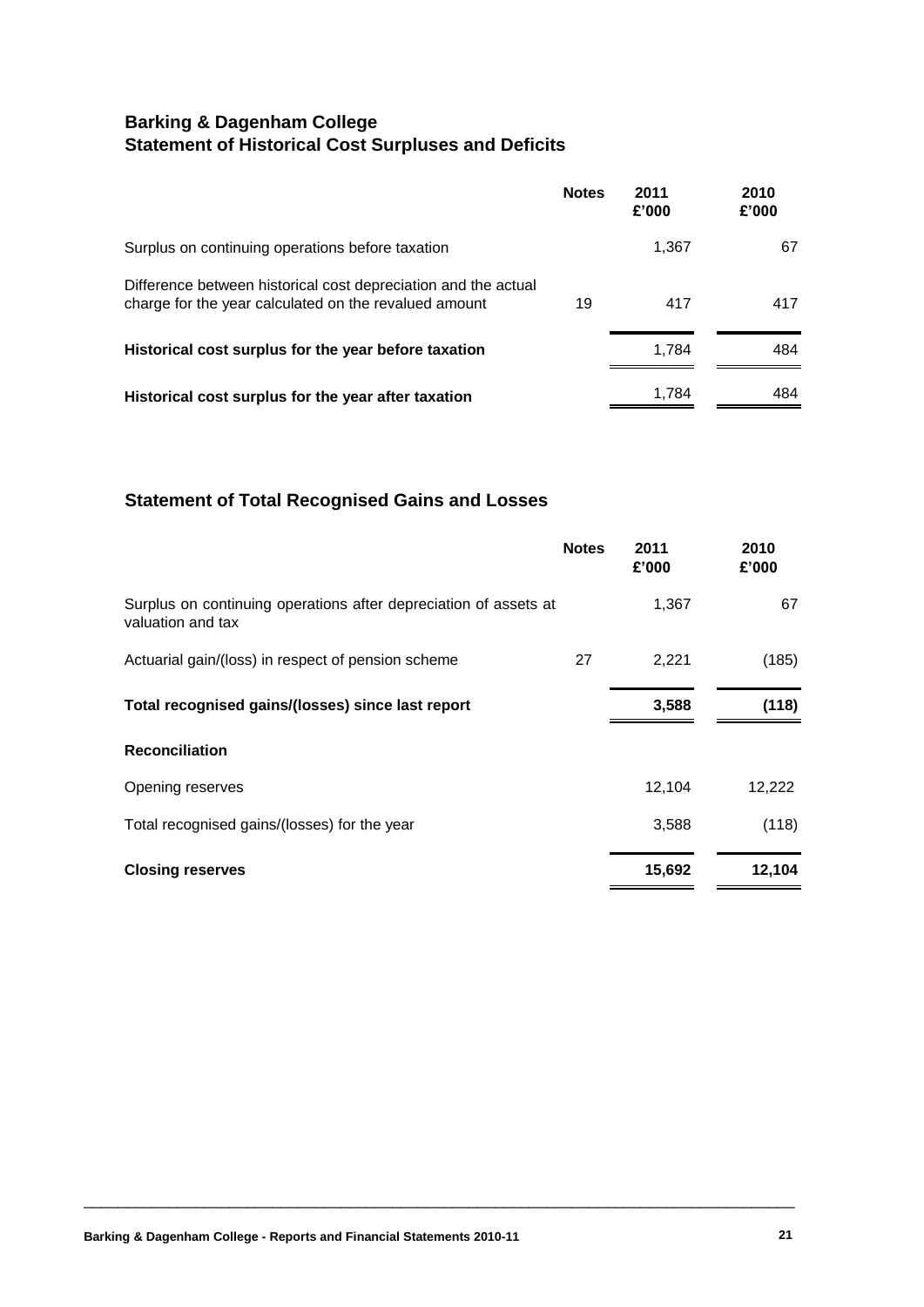## **Barking & Dagenham College Statement of Historical Cost Surpluses and Deficits**

|                                                                                                                         | <b>Notes</b> | 2011<br>£'000 | 2010<br>£'000 |
|-------------------------------------------------------------------------------------------------------------------------|--------------|---------------|---------------|
| Surplus on continuing operations before taxation                                                                        |              | 1,367         | 67            |
| Difference between historical cost depreciation and the actual<br>charge for the year calculated on the revalued amount | 19           | 417           | 417           |
| Historical cost surplus for the year before taxation                                                                    |              | 1.784         | 484           |
| Historical cost surplus for the year after taxation                                                                     |              | 1.784         | 484           |

### **Statement of Total Recognised Gains and Losses**

|                                                                                       | <b>Notes</b> | 2011<br>£'000 | 2010<br>£'000 |
|---------------------------------------------------------------------------------------|--------------|---------------|---------------|
| Surplus on continuing operations after depreciation of assets at<br>valuation and tax |              | 1,367         | 67            |
| Actuarial gain/(loss) in respect of pension scheme                                    | 27           | 2,221         | (185)         |
| Total recognised gains/(losses) since last report                                     |              | 3,588         | (118)         |
| <b>Reconciliation</b>                                                                 |              |               |               |
| Opening reserves                                                                      |              | 12,104        | 12,222        |
| Total recognised gains/(losses) for the year                                          |              | 3,588         | (118)         |
| <b>Closing reserves</b>                                                               |              | 15,692        | 12,104        |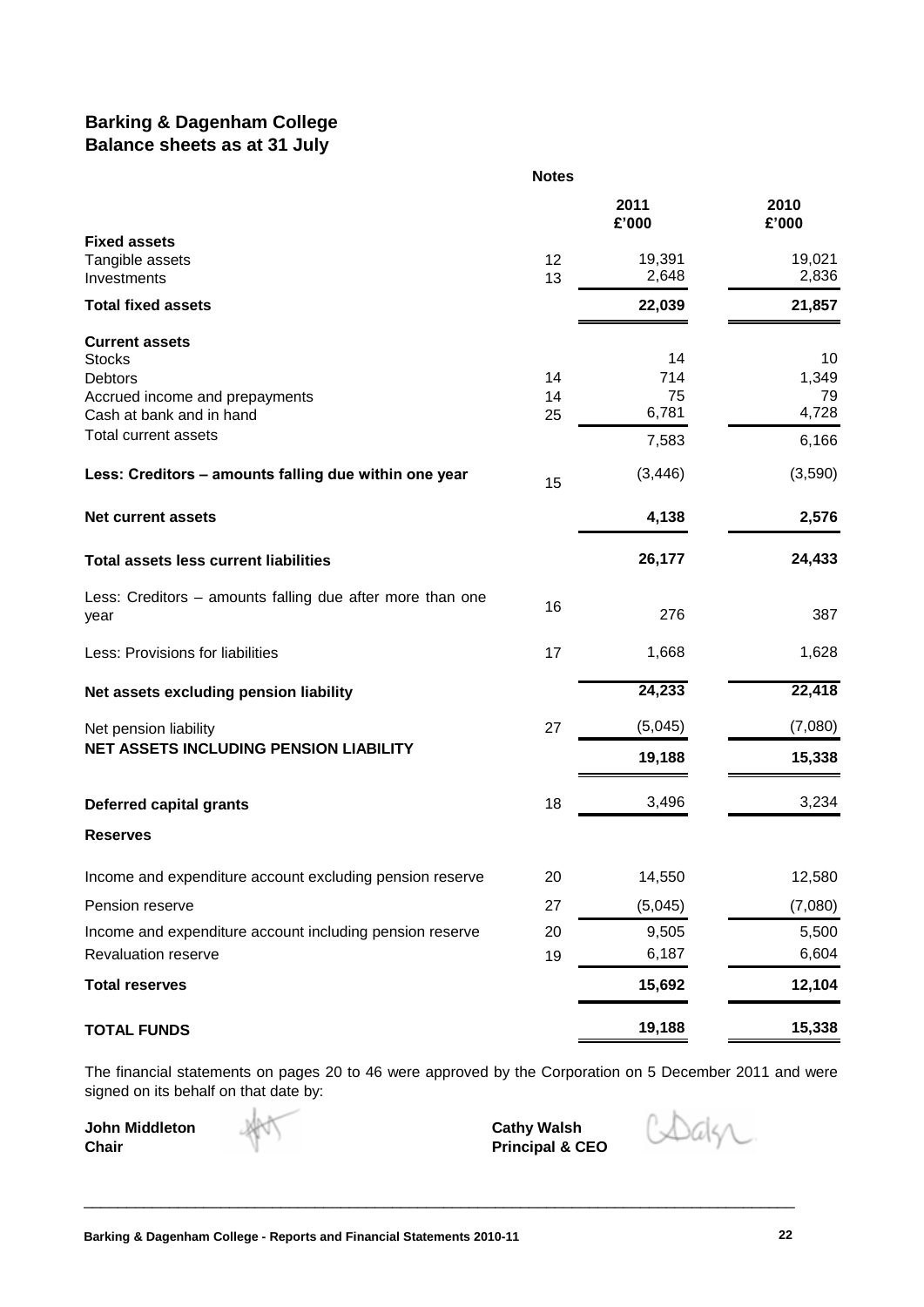### **Barking & Dagenham College Balance sheets as at 31 July**

|                                                           | <b>Notes</b> |                 |                 |
|-----------------------------------------------------------|--------------|-----------------|-----------------|
|                                                           |              | 2011<br>£'000   | 2010<br>£'000   |
| <b>Fixed assets</b>                                       |              |                 |                 |
| Tangible assets<br>Investments                            | 12<br>13     | 19,391<br>2,648 | 19,021<br>2,836 |
| <b>Total fixed assets</b>                                 |              | 22,039          | 21,857          |
| <b>Current assets</b>                                     |              |                 |                 |
| <b>Stocks</b>                                             |              | 14              | 10              |
| <b>Debtors</b>                                            | 14           | 714             | 1,349           |
| Accrued income and prepayments                            | 14           | 75              | 79              |
| Cash at bank and in hand                                  | 25           | 6,781           | 4,728           |
| Total current assets                                      |              | 7,583           | 6,166           |
| Less: Creditors - amounts falling due within one year     | 15           | (3, 446)        | (3,590)         |
| <b>Net current assets</b>                                 |              | 4,138           | 2,576           |
| <b>Total assets less current liabilities</b>              |              | 26,177          | 24,433          |
| Less: Creditors - amounts falling due after more than one | 16           |                 |                 |
| year                                                      |              | 276             | 387             |
| Less: Provisions for liabilities                          | 17           | 1,668           | 1,628           |
| Net assets excluding pension liability                    |              | 24,233          | 22,418          |
| Net pension liability                                     | 27           | (5,045)         | (7,080)         |
| <b>NET ASSETS INCLUDING PENSION LIABILITY</b>             |              | 19,188          | 15,338          |
| <b>Deferred capital grants</b>                            | 18           | 3,496           | 3,234           |
| <b>Reserves</b>                                           |              |                 |                 |
| Income and expenditure account excluding pension reserve  | 20           | 14,550          | 12,580          |
| Pension reserve                                           | 27           | (5,045)         | (7,080)         |
| Income and expenditure account including pension reserve  | 20           | 9,505           | 5,500           |
| Revaluation reserve                                       | 19           | 6,187           | 6,604           |
| <b>Total reserves</b>                                     |              | 15,692          | 12,104          |
| <b>TOTAL FUNDS</b>                                        |              | 19,188          | 15,338          |

The financial statements on pages 20 to 46 were approved by the Corporation on 5 December 2011 and were signed on its behalf on that date by:

\_\_\_\_\_\_\_\_\_\_\_\_\_\_\_\_\_\_\_\_\_\_\_\_\_\_\_\_\_\_\_\_\_\_\_\_\_\_\_\_\_\_\_\_\_\_\_\_\_\_\_\_\_\_\_\_\_\_\_\_\_\_\_\_\_\_\_\_\_\_\_\_\_\_\_\_\_\_\_\_\_\_\_

**John Middleton**<br>Chair

**Cathy Walsh<br>Principal & CEO** 

Dalsz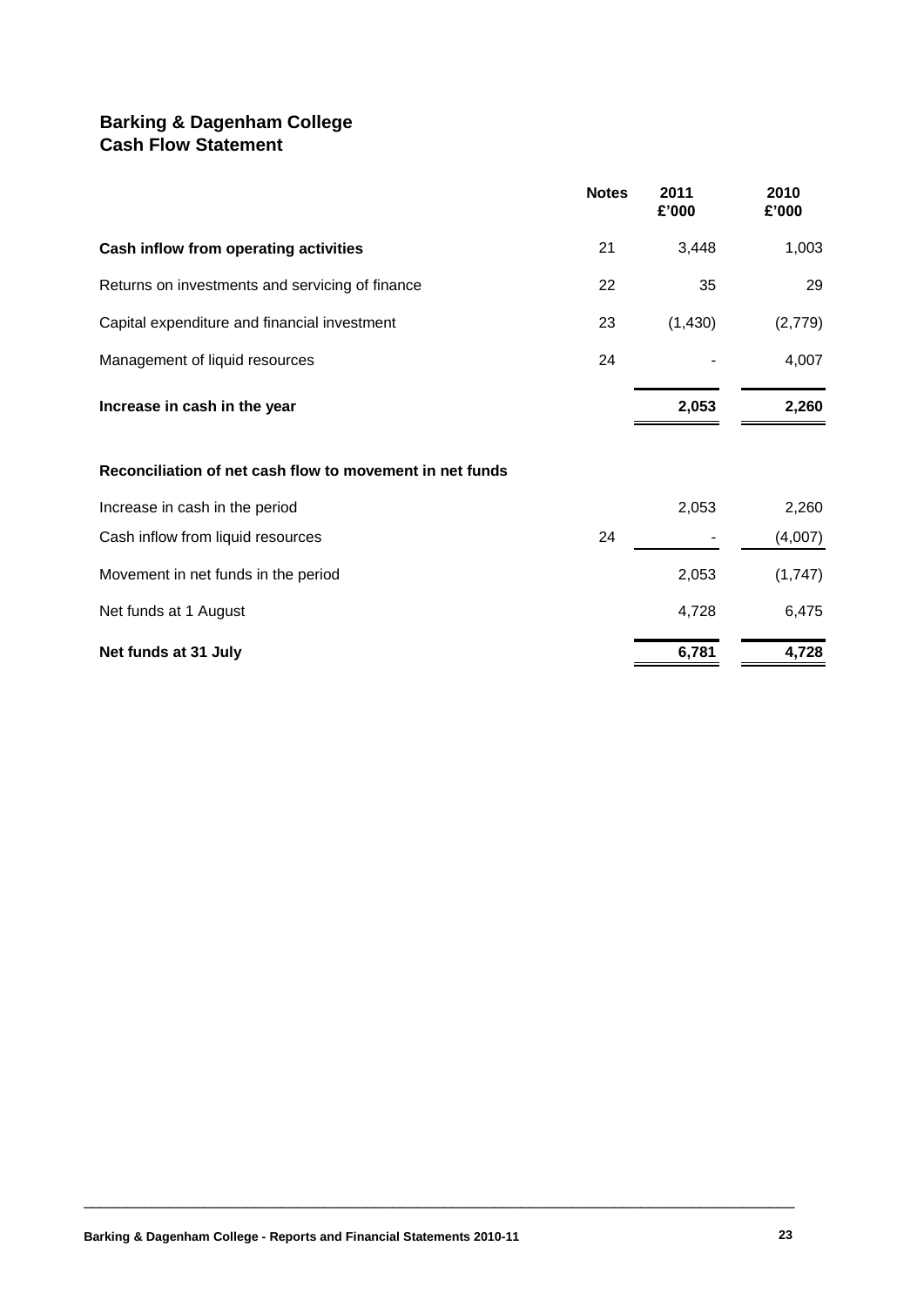### **Barking & Dagenham College Cash Flow Statement**

|                                                          | <b>Notes</b> | 2011<br>£'000 | 2010<br>£'000 |
|----------------------------------------------------------|--------------|---------------|---------------|
| Cash inflow from operating activities                    | 21           | 3,448         | 1,003         |
| Returns on investments and servicing of finance          | 22           | 35            | 29            |
| Capital expenditure and financial investment             | 23           | (1,430)       | (2,779)       |
| Management of liquid resources                           | 24           |               | 4,007         |
| Increase in cash in the year                             |              | 2,053         | 2,260         |
| Reconciliation of net cash flow to movement in net funds |              |               |               |
| Increase in cash in the period                           |              | 2,053         | 2,260         |
| Cash inflow from liquid resources                        | 24           |               | (4,007)       |
| Movement in net funds in the period                      |              | 2,053         | (1,747)       |
| Net funds at 1 August                                    |              | 4,728         | 6,475         |
| Net funds at 31 July                                     |              | 6,781         | 4,728         |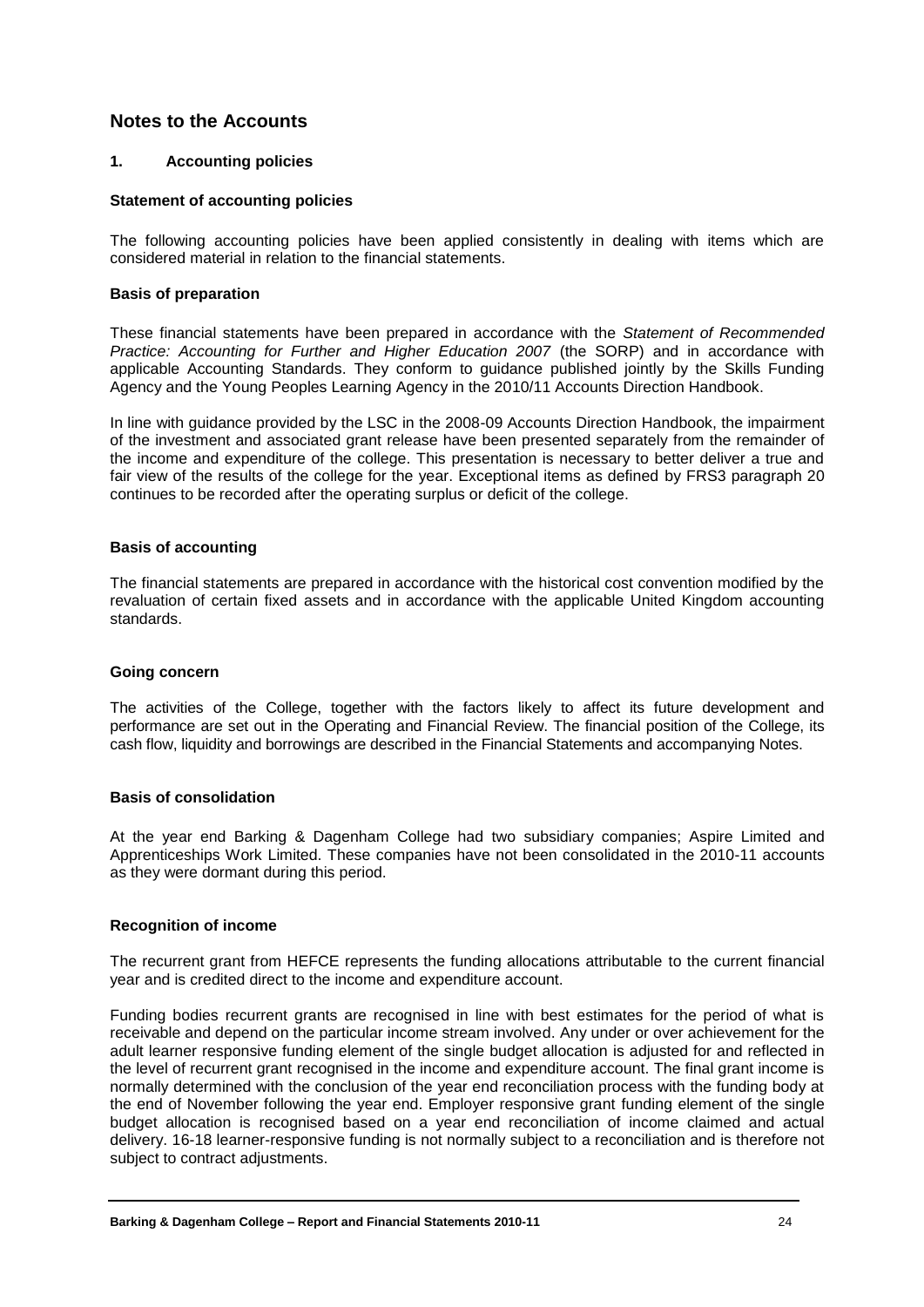### **Notes to the Accounts**

#### **1. Accounting policies**

#### **Statement of accounting policies**

The following accounting policies have been applied consistently in dealing with items which are considered material in relation to the financial statements.

#### **Basis of preparation**

These financial statements have been prepared in accordance with the *Statement of Recommended Practice: Accounting for Further and Higher Education 2007* (the SORP) and in accordance with applicable Accounting Standards. They conform to guidance published jointly by the Skills Funding Agency and the Young Peoples Learning Agency in the 2010/11 Accounts Direction Handbook.

In line with guidance provided by the LSC in the 2008-09 Accounts Direction Handbook, the impairment of the investment and associated grant release have been presented separately from the remainder of the income and expenditure of the college. This presentation is necessary to better deliver a true and fair view of the results of the college for the year. Exceptional items as defined by FRS3 paragraph 20 continues to be recorded after the operating surplus or deficit of the college.

#### **Basis of accounting**

The financial statements are prepared in accordance with the historical cost convention modified by the revaluation of certain fixed assets and in accordance with the applicable United Kingdom accounting standards.

#### **Going concern**

The activities of the College, together with the factors likely to affect its future development and performance are set out in the Operating and Financial Review. The financial position of the College, its cash flow, liquidity and borrowings are described in the Financial Statements and accompanying Notes.

#### **Basis of consolidation**

At the year end Barking & Dagenham College had two subsidiary companies; Aspire Limited and Apprenticeships Work Limited. These companies have not been consolidated in the 2010-11 accounts as they were dormant during this period.

### **Recognition of income**

The recurrent grant from HEFCE represents the funding allocations attributable to the current financial year and is credited direct to the income and expenditure account.

Funding bodies recurrent grants are recognised in line with best estimates for the period of what is receivable and depend on the particular income stream involved. Any under or over achievement for the adult learner responsive funding element of the single budget allocation is adjusted for and reflected in the level of recurrent grant recognised in the income and expenditure account. The final grant income is normally determined with the conclusion of the year end reconciliation process with the funding body at the end of November following the year end. Employer responsive grant funding element of the single budget allocation is recognised based on a year end reconciliation of income claimed and actual delivery. 16-18 learner-responsive funding is not normally subject to a reconciliation and is therefore not subject to contract adjustments.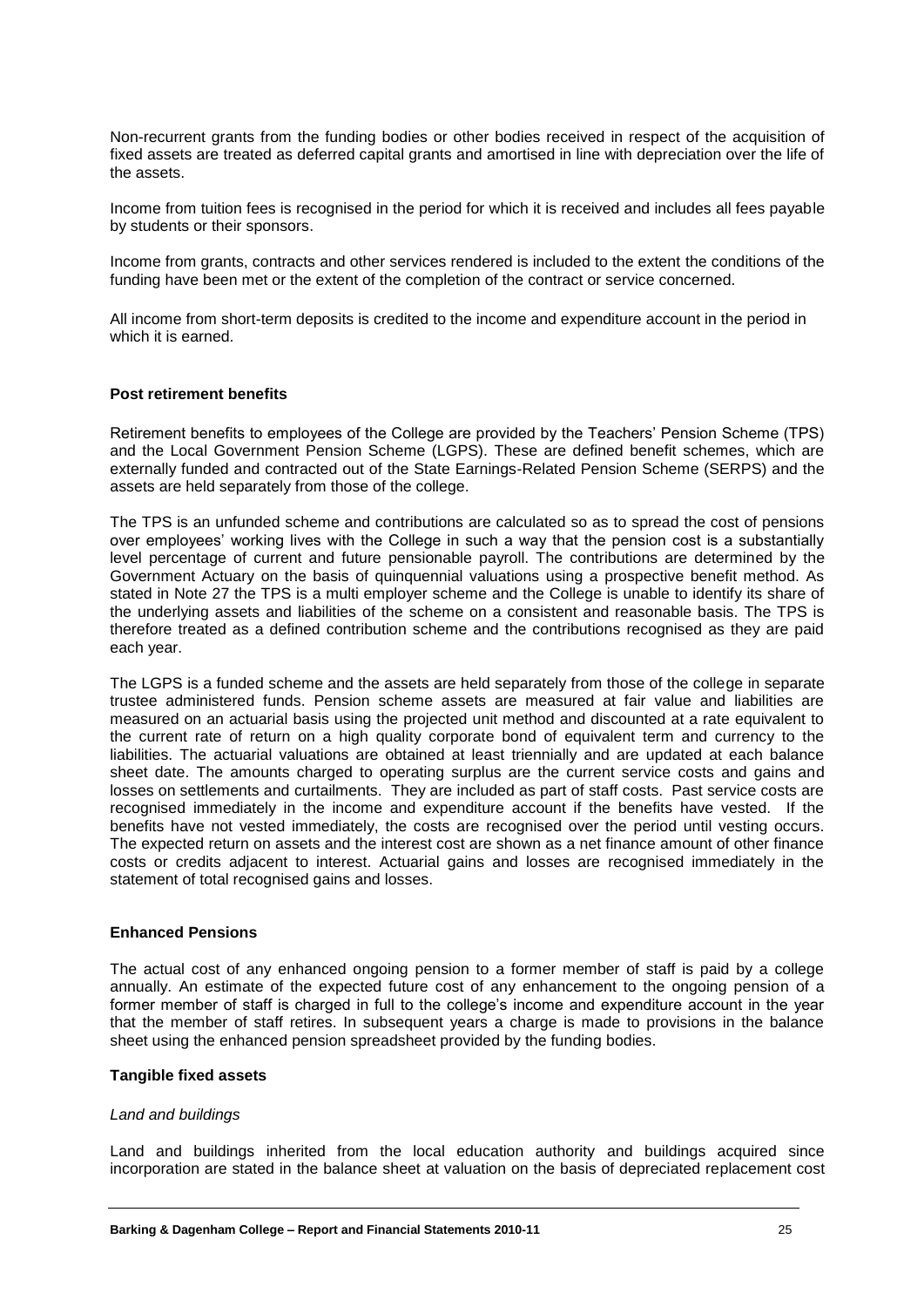Non-recurrent grants from the funding bodies or other bodies received in respect of the acquisition of fixed assets are treated as deferred capital grants and amortised in line with depreciation over the life of the assets.

Income from tuition fees is recognised in the period for which it is received and includes all fees payable by students or their sponsors.

Income from grants, contracts and other services rendered is included to the extent the conditions of the funding have been met or the extent of the completion of the contract or service concerned.

All income from short-term deposits is credited to the income and expenditure account in the period in which it is earned.

#### **Post retirement benefits**

Retirement benefits to employees of the College are provided by the Teachers' Pension Scheme (TPS) and the Local Government Pension Scheme (LGPS). These are defined benefit schemes, which are externally funded and contracted out of the State Earnings-Related Pension Scheme (SERPS) and the assets are held separately from those of the college.

The TPS is an unfunded scheme and contributions are calculated so as to spread the cost of pensions over employees' working lives with the College in such a way that the pension cost is a substantially level percentage of current and future pensionable payroll. The contributions are determined by the Government Actuary on the basis of quinquennial valuations using a prospective benefit method. As stated in Note 27 the TPS is a multi employer scheme and the College is unable to identify its share of the underlying assets and liabilities of the scheme on a consistent and reasonable basis. The TPS is therefore treated as a defined contribution scheme and the contributions recognised as they are paid each year.

The LGPS is a funded scheme and the assets are held separately from those of the college in separate trustee administered funds. Pension scheme assets are measured at fair value and liabilities are measured on an actuarial basis using the projected unit method and discounted at a rate equivalent to the current rate of return on a high quality corporate bond of equivalent term and currency to the liabilities. The actuarial valuations are obtained at least triennially and are updated at each balance sheet date. The amounts charged to operating surplus are the current service costs and gains and losses on settlements and curtailments. They are included as part of staff costs. Past service costs are recognised immediately in the income and expenditure account if the benefits have vested. If the benefits have not vested immediately, the costs are recognised over the period until vesting occurs. The expected return on assets and the interest cost are shown as a net finance amount of other finance costs or credits adjacent to interest. Actuarial gains and losses are recognised immediately in the statement of total recognised gains and losses.

#### **Enhanced Pensions**

The actual cost of any enhanced ongoing pension to a former member of staff is paid by a college annually. An estimate of the expected future cost of any enhancement to the ongoing pension of a former member of staff is charged in full to the college's income and expenditure account in the year that the member of staff retires. In subsequent years a charge is made to provisions in the balance sheet using the enhanced pension spreadsheet provided by the funding bodies.

#### **Tangible fixed assets**

#### *Land and buildings*

Land and buildings inherited from the local education authority and buildings acquired since incorporation are stated in the balance sheet at valuation on the basis of depreciated replacement cost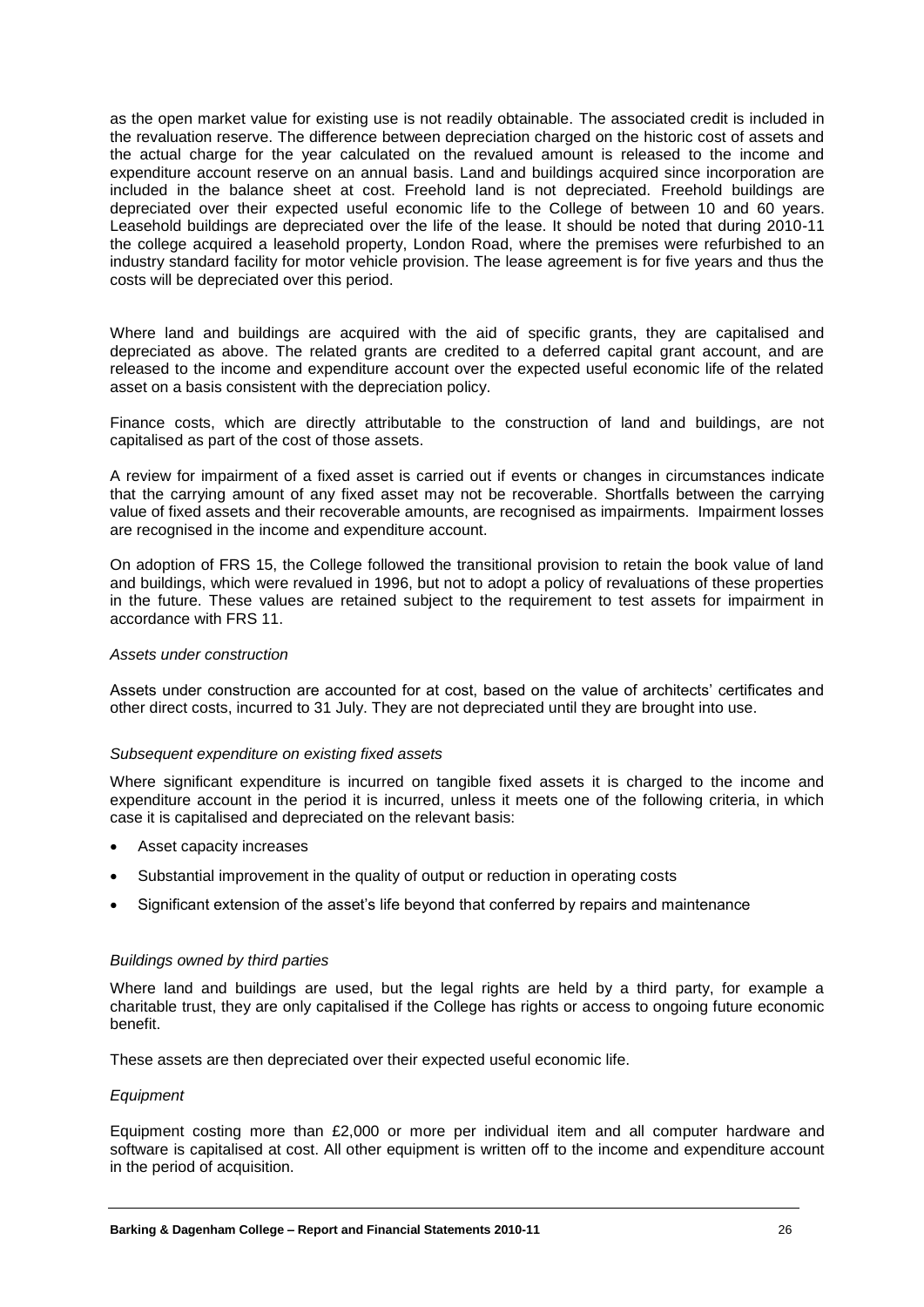as the open market value for existing use is not readily obtainable. The associated credit is included in the revaluation reserve. The difference between depreciation charged on the historic cost of assets and the actual charge for the year calculated on the revalued amount is released to the income and expenditure account reserve on an annual basis. Land and buildings acquired since incorporation are included in the balance sheet at cost. Freehold land is not depreciated. Freehold buildings are depreciated over their expected useful economic life to the College of between 10 and 60 years. Leasehold buildings are depreciated over the life of the lease. It should be noted that during 2010-11 the college acquired a leasehold property, London Road, where the premises were refurbished to an industry standard facility for motor vehicle provision. The lease agreement is for five years and thus the costs will be depreciated over this period.

Where land and buildings are acquired with the aid of specific grants, they are capitalised and depreciated as above. The related grants are credited to a deferred capital grant account, and are released to the income and expenditure account over the expected useful economic life of the related asset on a basis consistent with the depreciation policy.

Finance costs, which are directly attributable to the construction of land and buildings, are not capitalised as part of the cost of those assets.

A review for impairment of a fixed asset is carried out if events or changes in circumstances indicate that the carrying amount of any fixed asset may not be recoverable. Shortfalls between the carrying value of fixed assets and their recoverable amounts, are recognised as impairments. Impairment losses are recognised in the income and expenditure account.

On adoption of FRS 15, the College followed the transitional provision to retain the book value of land and buildings, which were revalued in 1996, but not to adopt a policy of revaluations of these properties in the future. These values are retained subject to the requirement to test assets for impairment in accordance with FRS 11.

#### *Assets under construction*

Assets under construction are accounted for at cost, based on the value of architects' certificates and other direct costs, incurred to 31 July. They are not depreciated until they are brought into use.

#### *Subsequent expenditure on existing fixed assets*

Where significant expenditure is incurred on tangible fixed assets it is charged to the income and expenditure account in the period it is incurred, unless it meets one of the following criteria, in which case it is capitalised and depreciated on the relevant basis:

- Asset capacity increases
- Substantial improvement in the quality of output or reduction in operating costs
- Significant extension of the asset's life beyond that conferred by repairs and maintenance

#### *Buildings owned by third parties*

Where land and buildings are used, but the legal rights are held by a third party, for example a charitable trust, they are only capitalised if the College has rights or access to ongoing future economic benefit.

These assets are then depreciated over their expected useful economic life.

#### *Equipment*

Equipment costing more than £2,000 or more per individual item and all computer hardware and software is capitalised at cost. All other equipment is written off to the income and expenditure account in the period of acquisition.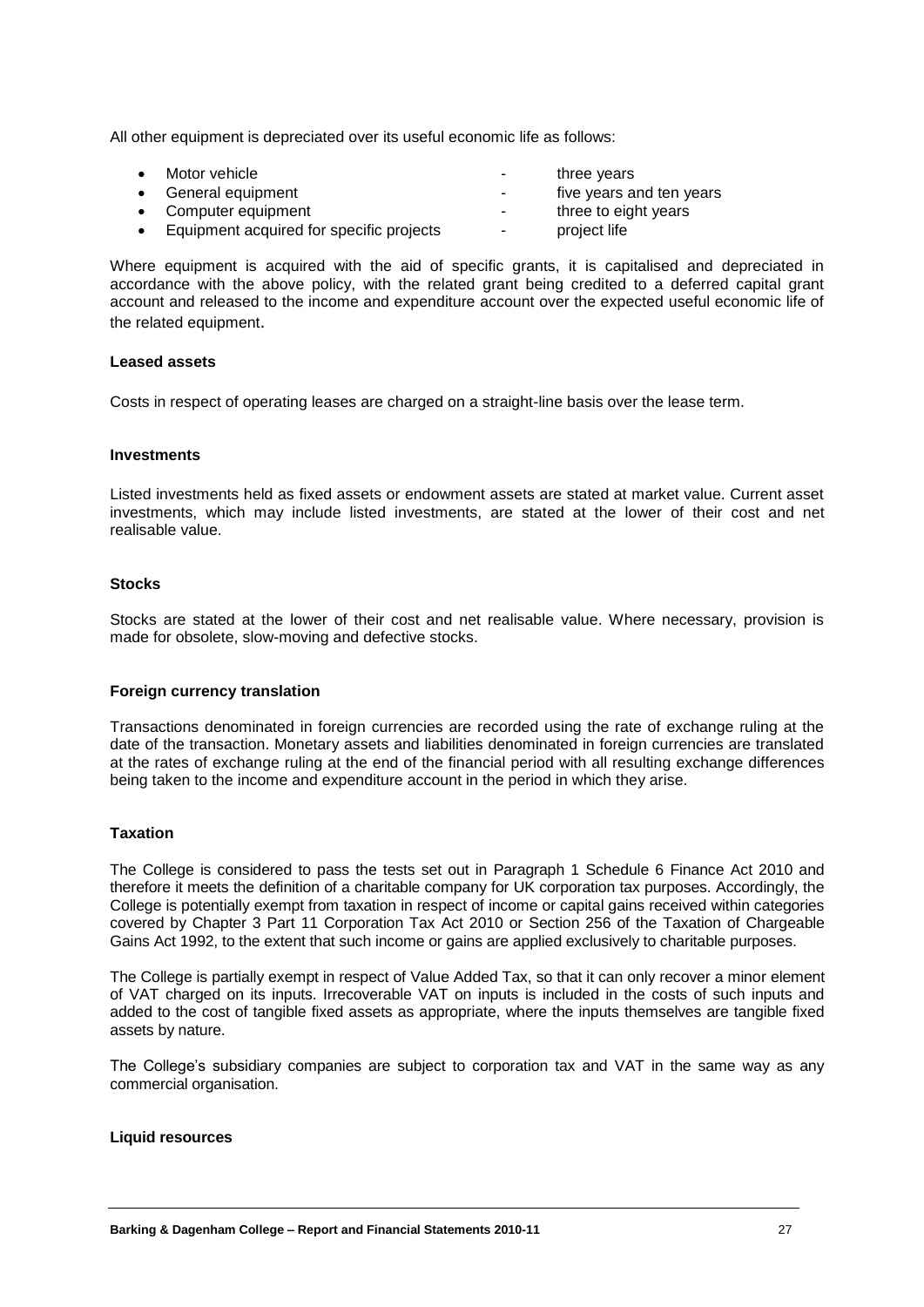All other equipment is depreciated over its useful economic life as follows:

| $\bullet$ | Motor vehicle                            | ۰      | three years              |
|-----------|------------------------------------------|--------|--------------------------|
|           | • General equipment                      | $\sim$ | five years and ten years |
|           | • Computer equipment                     | ۰      | three to eight years     |
| $\bullet$ | Equipment acquired for specific projects | ۰      | project life             |

Where equipment is acquired with the aid of specific grants, it is capitalised and depreciated in accordance with the above policy, with the related grant being credited to a deferred capital grant account and released to the income and expenditure account over the expected useful economic life of the related equipment.

#### **Leased assets**

Costs in respect of operating leases are charged on a straight-line basis over the lease term.

#### **Investments**

Listed investments held as fixed assets or endowment assets are stated at market value. Current asset investments, which may include listed investments, are stated at the lower of their cost and net realisable value.

#### **Stocks**

Stocks are stated at the lower of their cost and net realisable value. Where necessary, provision is made for obsolete, slow-moving and defective stocks.

#### **Foreign currency translation**

Transactions denominated in foreign currencies are recorded using the rate of exchange ruling at the date of the transaction. Monetary assets and liabilities denominated in foreign currencies are translated at the rates of exchange ruling at the end of the financial period with all resulting exchange differences being taken to the income and expenditure account in the period in which they arise.

#### **Taxation**

The College is considered to pass the tests set out in Paragraph 1 Schedule 6 Finance Act 2010 and therefore it meets the definition of a charitable company for UK corporation tax purposes. Accordingly, the College is potentially exempt from taxation in respect of income or capital gains received within categories covered by Chapter 3 Part 11 Corporation Tax Act 2010 or Section 256 of the Taxation of Chargeable Gains Act 1992, to the extent that such income or gains are applied exclusively to charitable purposes.

The College is partially exempt in respect of Value Added Tax, so that it can only recover a minor element of VAT charged on its inputs. Irrecoverable VAT on inputs is included in the costs of such inputs and added to the cost of tangible fixed assets as appropriate, where the inputs themselves are tangible fixed assets by nature.

The College's subsidiary companies are subject to corporation tax and VAT in the same way as any commercial organisation.

#### **Liquid resources**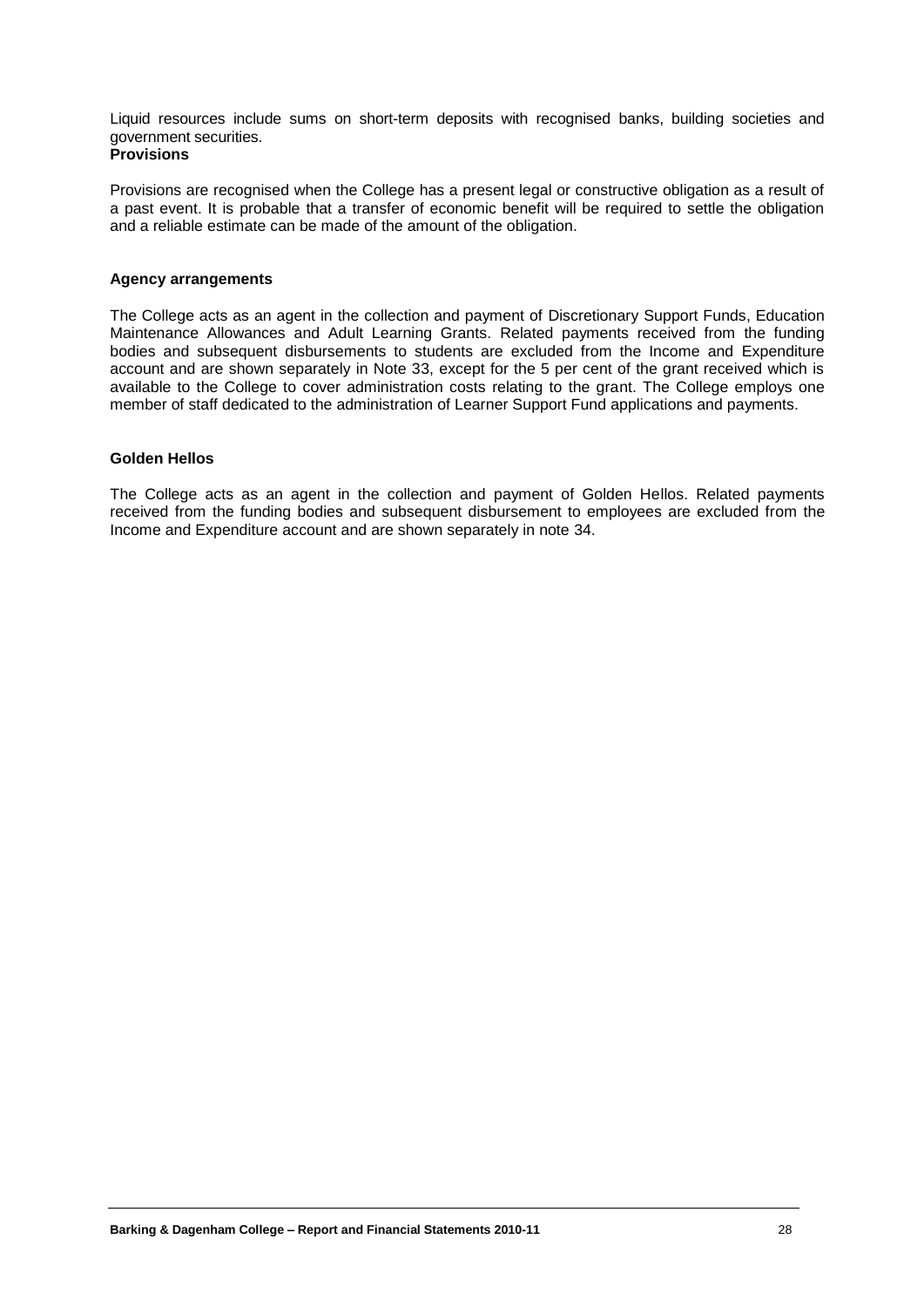Liquid resources include sums on short-term deposits with recognised banks, building societies and government securities.

### **Provisions**

Provisions are recognised when the College has a present legal or constructive obligation as a result of a past event. It is probable that a transfer of economic benefit will be required to settle the obligation and a reliable estimate can be made of the amount of the obligation.

#### **Agency arrangements**

The College acts as an agent in the collection and payment of Discretionary Support Funds, Education Maintenance Allowances and Adult Learning Grants. Related payments received from the funding bodies and subsequent disbursements to students are excluded from the Income and Expenditure account and are shown separately in Note 33, except for the 5 per cent of the grant received which is available to the College to cover administration costs relating to the grant. The College employs one member of staff dedicated to the administration of Learner Support Fund applications and payments.

#### **Golden Hellos**

The College acts as an agent in the collection and payment of Golden Hellos. Related payments received from the funding bodies and subsequent disbursement to employees are excluded from the Income and Expenditure account and are shown separately in note 34.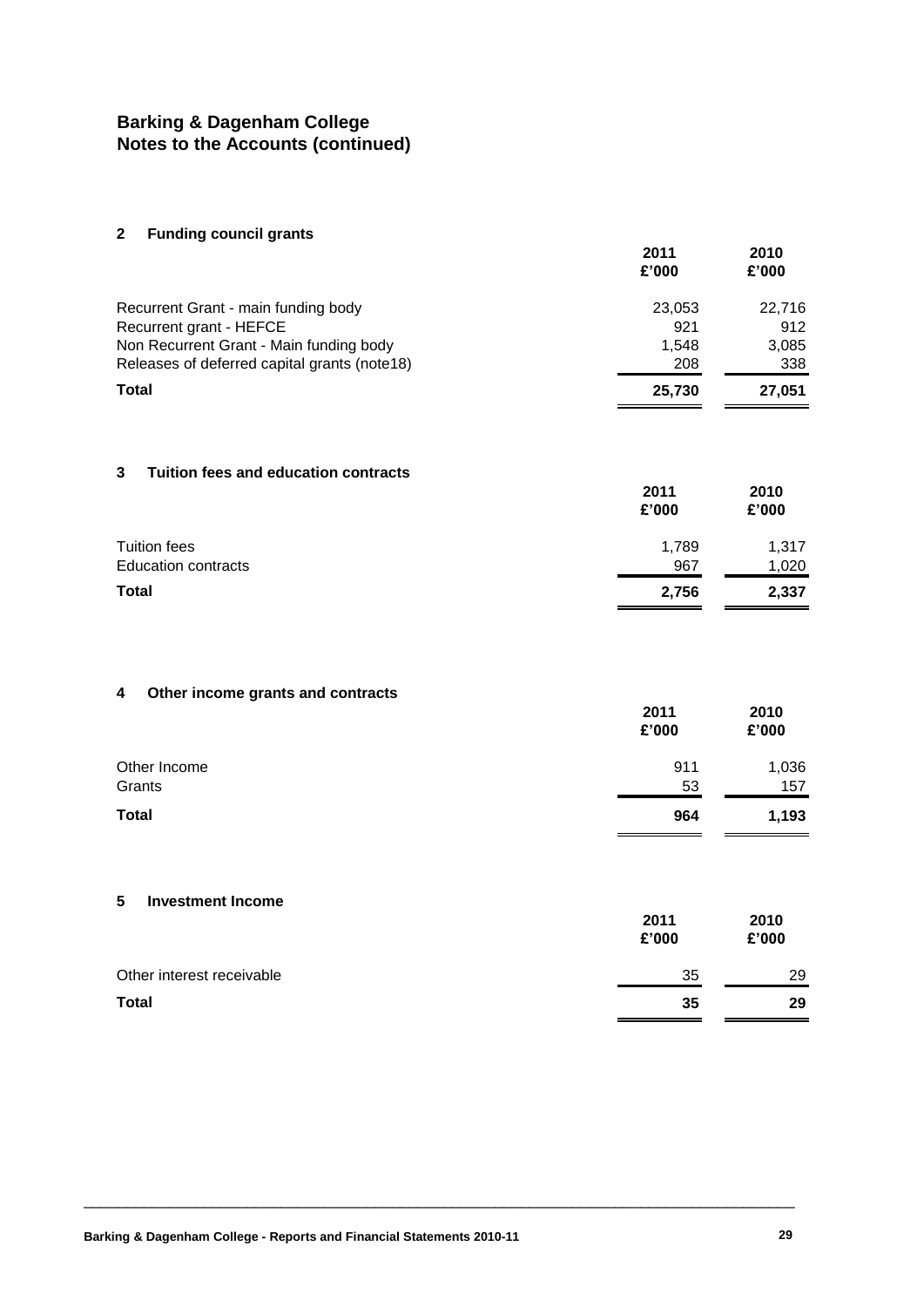#### **2 Funding council grants**

| ້                                            | 2011<br>£'000 | 2010<br>£'000 |
|----------------------------------------------|---------------|---------------|
| Recurrent Grant - main funding body          | 23,053        | 22.716        |
| Recurrent grant - HEFCE                      | 921           | 912           |
| Non Recurrent Grant - Main funding body      | 1.548         | 3,085         |
| Releases of deferred capital grants (note18) | 208           | 338           |
| <b>Total</b>                                 | 25,730        | 27,051        |

#### **3 Tuition fees and education contracts**

|                            | 2011<br>£'000 | 2010<br>£'000 |
|----------------------------|---------------|---------------|
| Tuition fees               | 1,789         | 1,317         |
| <b>Education contracts</b> | 967           | 1,020         |
| <b>Total</b>               | 2,756         | 2,337         |

### **4 Other income grants and contracts**

| $\sim$ 0.10. $\sim$ 0.10 g/m. $\sim$ 0.10. 0.10. 0.10. | 2011<br>£'000 | 2010<br>£'000 |
|--------------------------------------------------------|---------------|---------------|
| Other Income                                           | 911           | 1,036         |
| Grants                                                 | 53            | 157           |
| <b>Total</b>                                           | 964           | 1,193         |

#### **5 Investment Income**

|                           | 2011<br>£'000 | 2010<br>£'000 |
|---------------------------|---------------|---------------|
| Other interest receivable | 35            | 29            |
| <b>Total</b>              | 35            | 29            |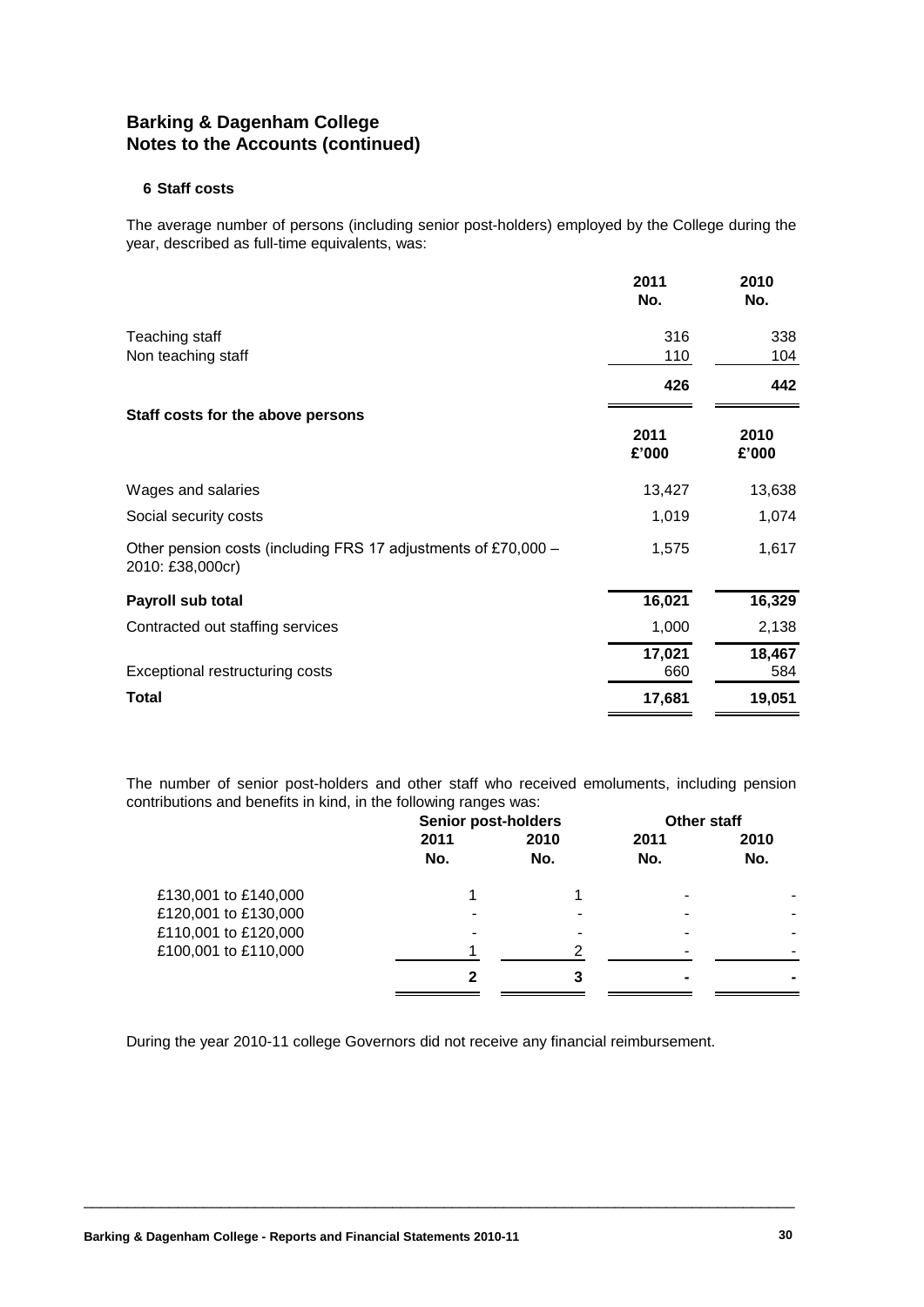#### **6 Staff costs**

The average number of persons (including senior post-holders) employed by the College during the year, described as full-time equivalents, was:

|                                                                                    | 2011<br>No.   | 2010<br>No.   |
|------------------------------------------------------------------------------------|---------------|---------------|
| Teaching staff                                                                     | 316<br>110    | 338<br>104    |
| Non teaching staff                                                                 | 426           | 442           |
| Staff costs for the above persons                                                  | 2011<br>£'000 | 2010<br>£'000 |
| Wages and salaries                                                                 | 13,427        | 13,638        |
| Social security costs                                                              | 1,019         | 1,074         |
| Other pension costs (including FRS 17 adjustments of £70,000 -<br>2010: £38,000cr) | 1,575         | 1,617         |
| Payroll sub total                                                                  | 16,021        | 16,329        |
| Contracted out staffing services                                                   | 1,000         | 2,138         |
| Exceptional restructuring costs                                                    | 17,021<br>660 | 18,467<br>584 |
| Total                                                                              | 17,681        | 19,051        |

The number of senior post-holders and other staff who received emoluments, including pension contributions and benefits in kind, in the following ranges was:

|                      | <b>Senior post-holders</b> |      | <b>Other staff</b> |      |
|----------------------|----------------------------|------|--------------------|------|
|                      | 2011                       | 2010 | 2011               | 2010 |
|                      | No.                        | No.  | No.                | No.  |
| £130,001 to £140,000 |                            |      |                    |      |
| £120,001 to £130,000 |                            |      |                    |      |
| £110,001 to £120,000 |                            |      |                    |      |
| £100,001 to £110,000 |                            | າ    |                    |      |
|                      | 2                          | 3    |                    |      |

During the year 2010-11 college Governors did not receive any financial reimbursement.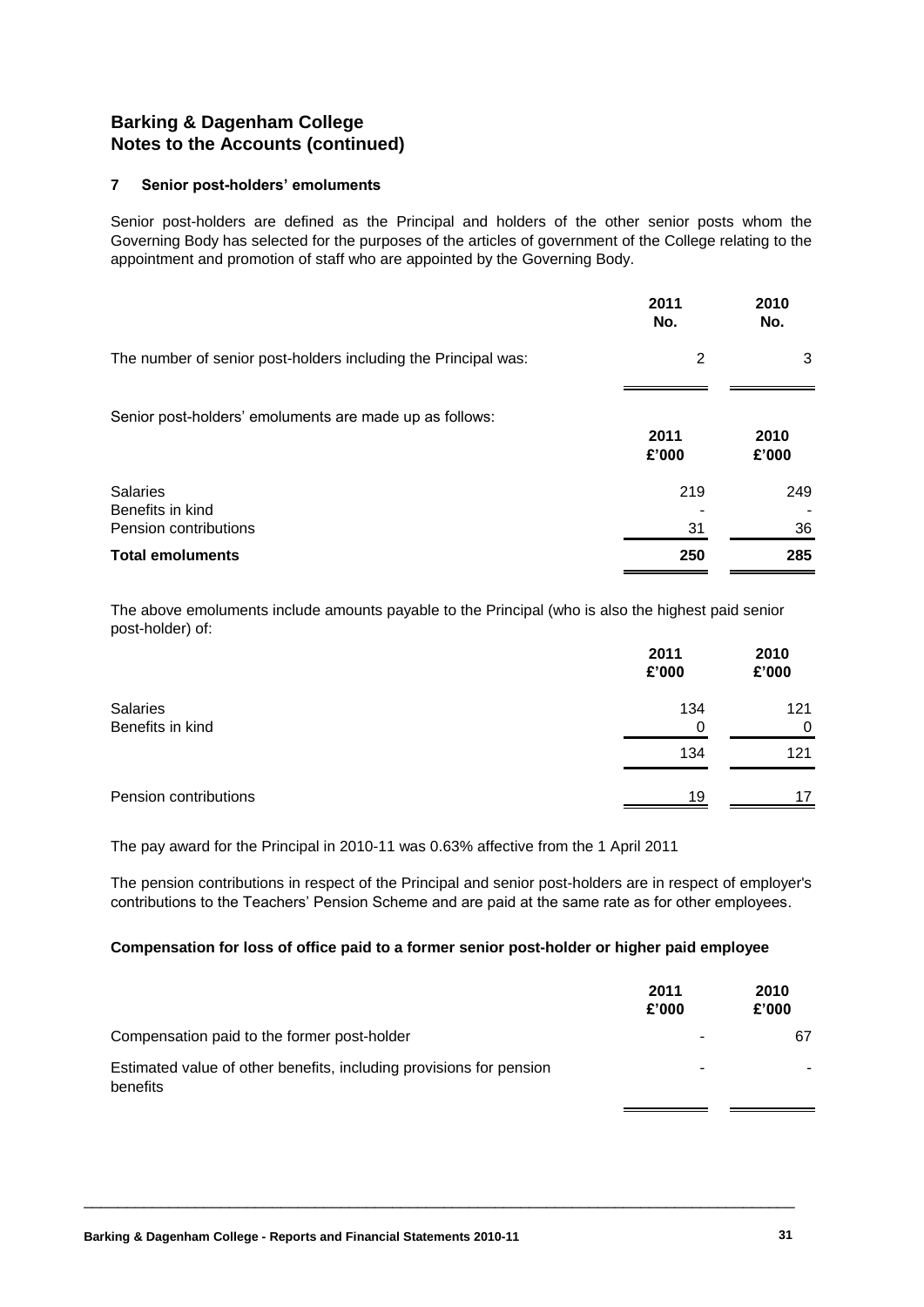#### **7 Senior post-holders' emoluments**

Senior post-holders are defined as the Principal and holders of the other senior posts whom the Governing Body has selected for the purposes of the articles of government of the College relating to the appointment and promotion of staff who are appointed by the Governing Body.

|                                                                | 2011<br>No.    | 2010<br>No.   |
|----------------------------------------------------------------|----------------|---------------|
| The number of senior post-holders including the Principal was: | $\overline{2}$ | 3             |
| Senior post-holders' emoluments are made up as follows:        | 2011<br>£'000  | 2010<br>£'000 |
| <b>Salaries</b><br>Benefits in kind<br>Pension contributions   | 219<br>31      | 249<br>36     |
| <b>Total emoluments</b>                                        | 250            | 285           |

The above emoluments include amounts payable to the Principal (who is also the highest paid senior post-holder) of:

|                       | 2011<br>£'000 | 2010<br>£'000 |
|-----------------------|---------------|---------------|
| <b>Salaries</b>       | 134           | 121           |
| Benefits in kind      | 0             | 0             |
|                       | 134           | 121           |
| Pension contributions | 19            | 17            |

The pay award for the Principal in 2010-11 was 0.63% affective from the 1 April 2011

The pension contributions in respect of the Principal and senior post-holders are in respect of employer's contributions to the Teachers' Pension Scheme and are paid at the same rate as for other employees.

#### **Compensation for loss of office paid to a former senior post-holder or higher paid employee**

|                                                                                 | 2011<br>£'000 | 2010<br>£'000 |
|---------------------------------------------------------------------------------|---------------|---------------|
| Compensation paid to the former post-holder                                     |               | 67            |
| Estimated value of other benefits, including provisions for pension<br>benefits | -             |               |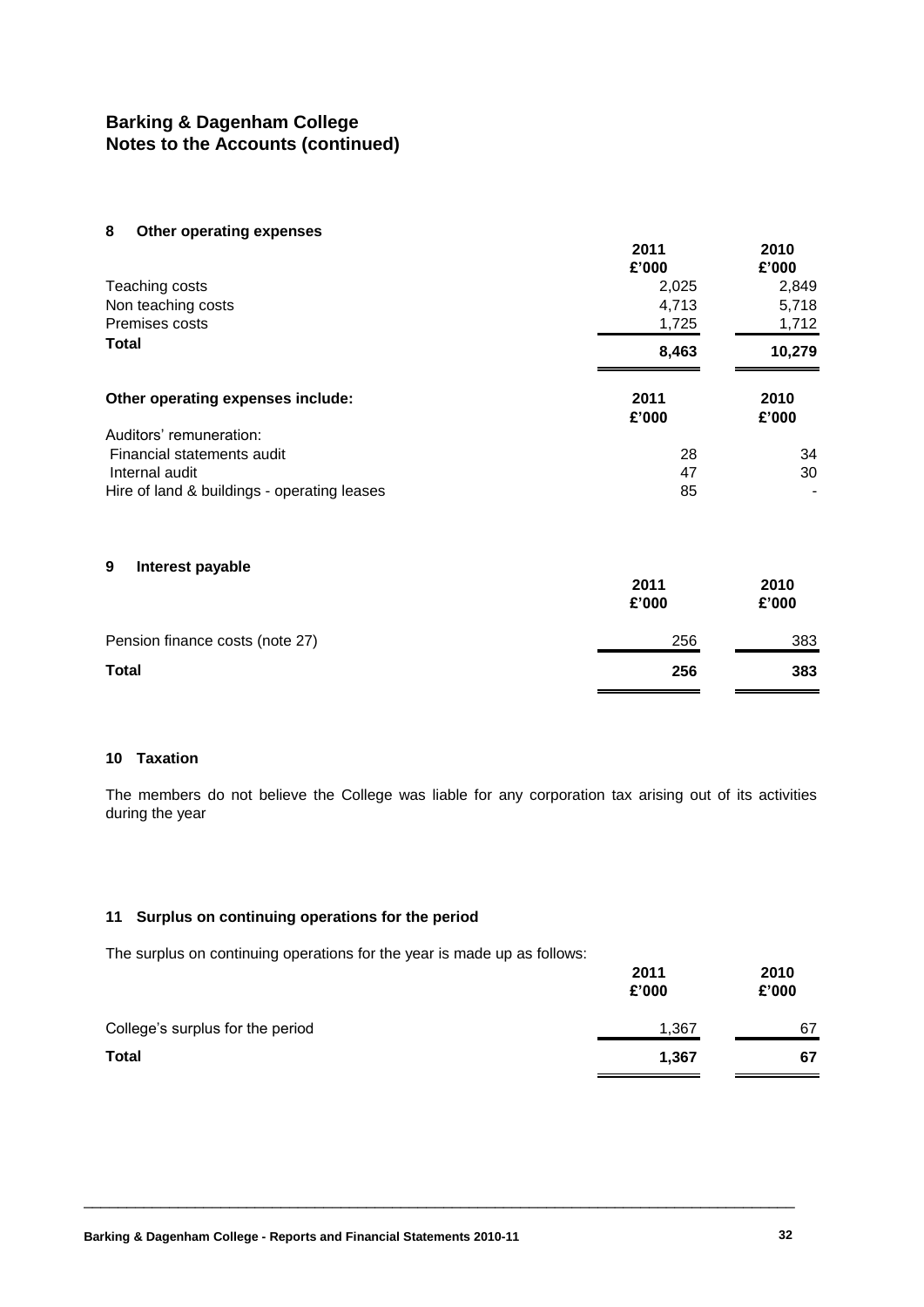#### **8 Other operating expenses**

|                                             | 2011<br>£'000 | 2010<br>£'000 |
|---------------------------------------------|---------------|---------------|
| Teaching costs                              | 2,025         | 2,849         |
| Non teaching costs                          | 4,713         | 5,718         |
| Premises costs                              | 1,725         | 1,712         |
| <b>Total</b>                                | 8,463         | 10,279        |
| Other operating expenses include:           | 2011<br>£'000 | 2010<br>£'000 |
| Auditors' remuneration:                     |               |               |
| Financial statements audit                  | 28            | 34            |
| Internal audit                              | 47            | 30            |
| Hire of land & buildings - operating leases | 85            |               |

#### **9 Interest payable**

| $\overline{\phantom{a}}$        | 2011<br>£'000 | 2010<br>£'000 |
|---------------------------------|---------------|---------------|
| Pension finance costs (note 27) | 256           | 383           |
| <b>Total</b>                    | 256           | 383           |

#### **10 Taxation**

The members do not believe the College was liable for any corporation tax arising out of its activities during the year

#### **11 Surplus on continuing operations for the period**

The surplus on continuing operations for the year is made up as follows:

|                                  | 2011<br>£'000 | 2010<br>£'000 |
|----------------------------------|---------------|---------------|
| College's surplus for the period | 1,367         | 67            |
| <b>Total</b>                     | 1,367         | 67            |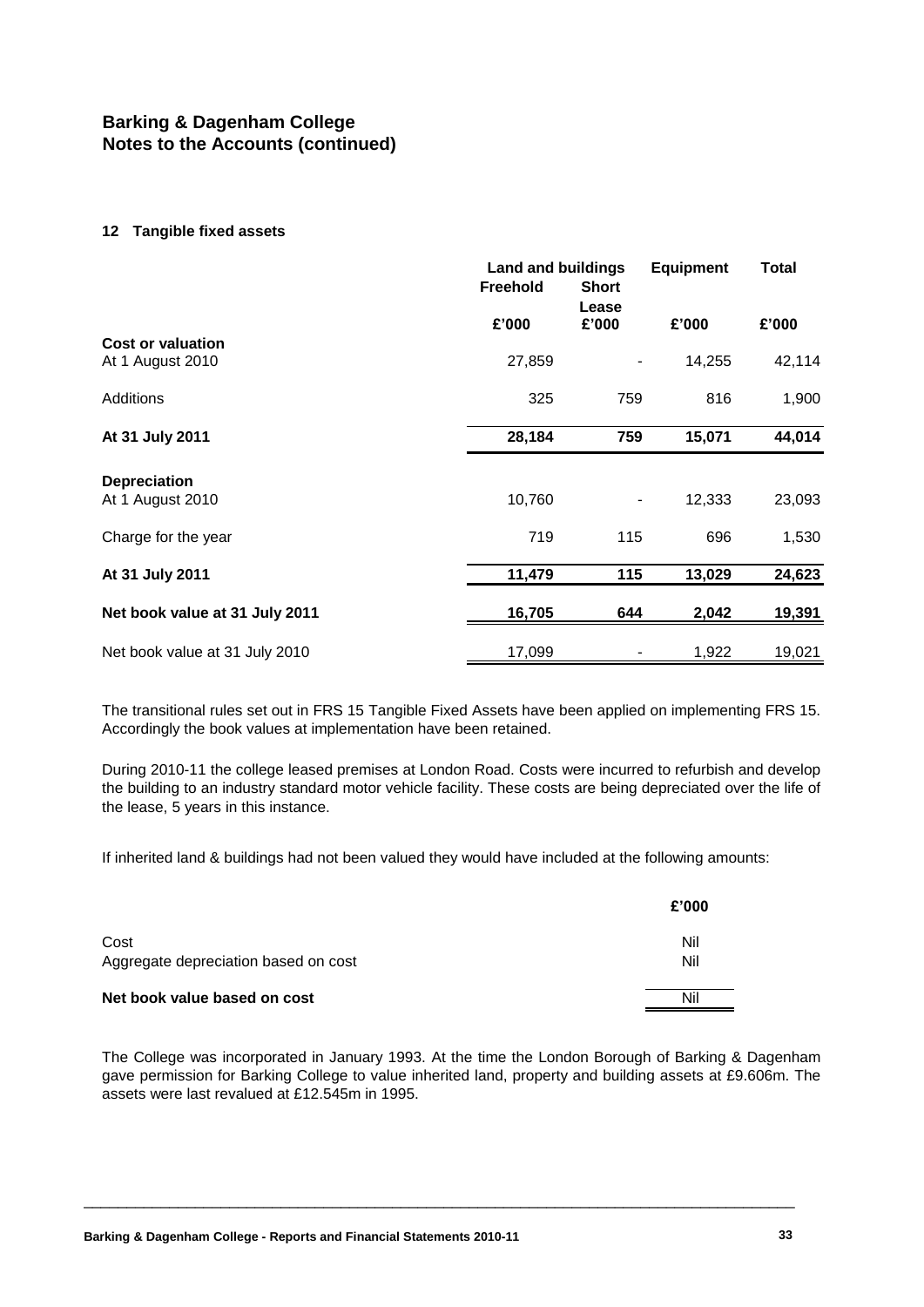#### **12 Tangible fixed assets**

|                                |                 | <b>Land and buildings</b> |        | <b>Equipment</b> |  | <b>Total</b> |  |
|--------------------------------|-----------------|---------------------------|--------|------------------|--|--------------|--|
|                                | <b>Freehold</b> | <b>Short</b>              |        |                  |  |              |  |
|                                |                 | Lease                     |        |                  |  |              |  |
|                                | £'000           | £'000                     | £'000  | £'000            |  |              |  |
| Cost or valuation              | 27,859          |                           | 14,255 | 42,114           |  |              |  |
| At 1 August 2010               |                 |                           |        |                  |  |              |  |
| <b>Additions</b>               | 325             | 759                       | 816    | 1,900            |  |              |  |
|                                |                 |                           |        |                  |  |              |  |
| At 31 July 2011                | 28,184          | 759                       | 15,071 | 44,014           |  |              |  |
| <b>Depreciation</b>            |                 |                           |        |                  |  |              |  |
| At 1 August 2010               | 10,760          |                           | 12,333 | 23,093           |  |              |  |
| Charge for the year            | 719             | 115                       | 696    | 1,530            |  |              |  |
| At 31 July 2011                | 11,479          | 115                       | 13,029 | 24,623           |  |              |  |
| Net book value at 31 July 2011 | 16,705          | 644                       | 2,042  | 19,391           |  |              |  |
|                                |                 |                           |        |                  |  |              |  |
| Net book value at 31 July 2010 | 17,099          |                           | 1,922  | 19,021           |  |              |  |
|                                |                 |                           |        |                  |  |              |  |

The transitional rules set out in FRS 15 Tangible Fixed Assets have been applied on implementing FRS 15. Accordingly the book values at implementation have been retained.

During 2010-11 the college leased premises at London Road. Costs were incurred to refurbish and develop the building to an industry standard motor vehicle facility. These costs are being depreciated over the life of the lease, 5 years in this instance.

If inherited land & buildings had not been valued they would have included at the following amounts:

|                                              | £'000      |
|----------------------------------------------|------------|
| Cost<br>Aggregate depreciation based on cost | Nil<br>Nil |
| Net book value based on cost                 | Nil        |

The College was incorporated in January 1993. At the time the London Borough of Barking & Dagenham gave permission for Barking College to value inherited land, property and building assets at £9.606m. The assets were last revalued at £12.545m in 1995.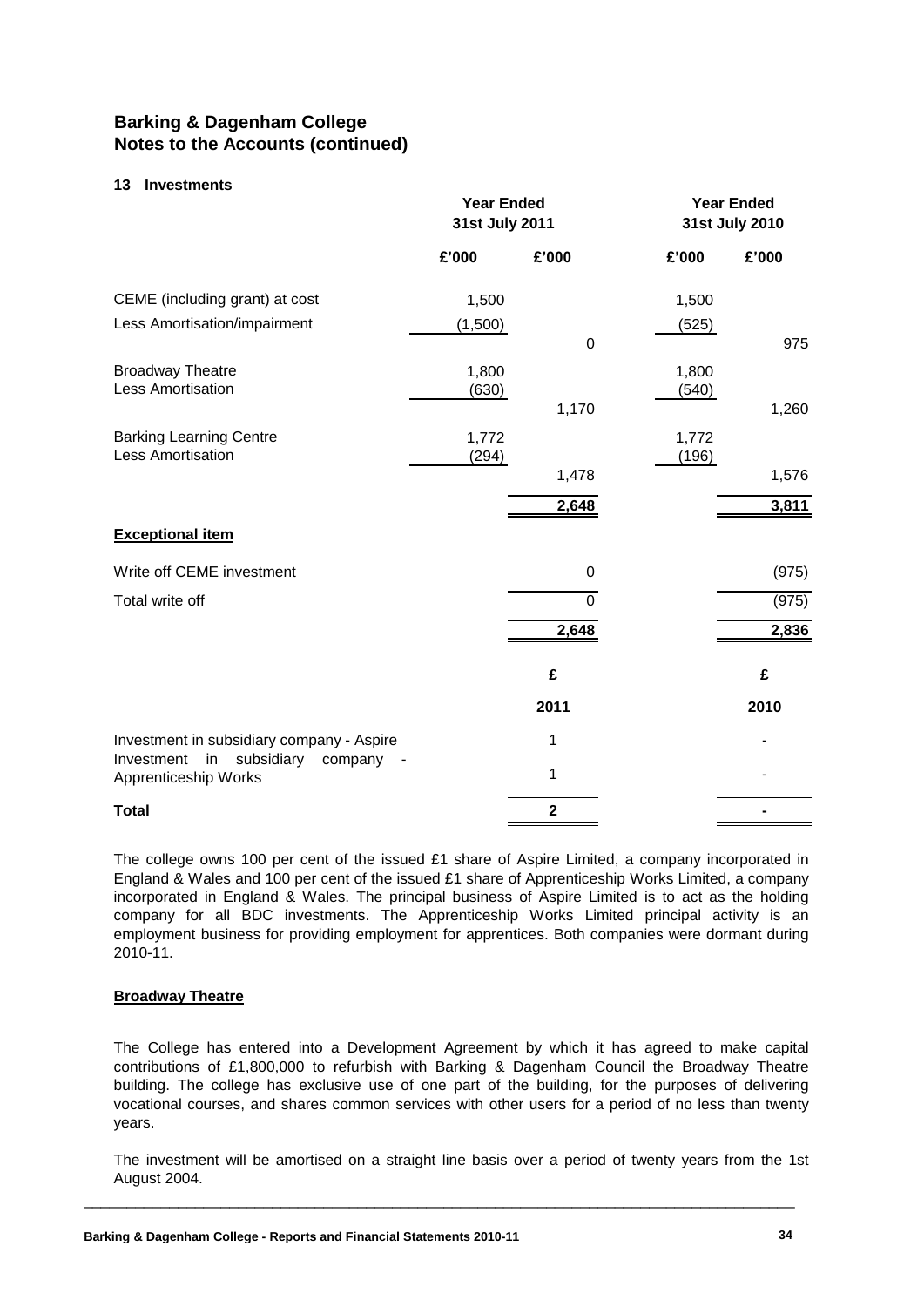#### **13 Investments**

|                                                                                     | <b>Year Ended</b><br>31st July 2011 |                |                | <b>Year Ended</b><br>31st July 2010 |
|-------------------------------------------------------------------------------------|-------------------------------------|----------------|----------------|-------------------------------------|
|                                                                                     | £'000                               | £'000          | £'000          | £'000                               |
| CEME (including grant) at cost                                                      | 1,500                               |                | 1,500          |                                     |
| Less Amortisation/impairment                                                        | (1,500)                             | $\mathbf 0$    | (525)          | 975                                 |
| <b>Broadway Theatre</b><br>Less Amortisation                                        | 1,800<br>(630)                      | 1,170          | 1,800<br>(540) | 1,260                               |
| <b>Barking Learning Centre</b><br><b>Less Amortisation</b>                          | 1,772<br>(294)                      |                | 1,772<br>(196) |                                     |
|                                                                                     |                                     | 1,478<br>2,648 |                | 1,576<br>3,811                      |
| <b>Exceptional item</b>                                                             |                                     |                |                |                                     |
| Write off CEME investment                                                           |                                     | 0              |                | (975)                               |
| Total write off                                                                     |                                     | 0              |                | (975)                               |
|                                                                                     |                                     | 2,648          |                | 2,836                               |
|                                                                                     |                                     | £              |                | £                                   |
|                                                                                     |                                     | 2011           |                | 2010                                |
| Investment in subsidiary company - Aspire<br>Investment                             |                                     | 1              |                |                                     |
| subsidiary<br>in<br>company<br>$\qquad \qquad \blacksquare$<br>Apprenticeship Works |                                     | 1              |                |                                     |
| <b>Total</b>                                                                        |                                     | $\overline{2}$ |                |                                     |

The college owns 100 per cent of the issued £1 share of Aspire Limited, a company incorporated in England & Wales and 100 per cent of the issued £1 share of Apprenticeship Works Limited, a company incorporated in England & Wales. The principal business of Aspire Limited is to act as the holding company for all BDC investments. The Apprenticeship Works Limited principal activity is an employment business for providing employment for apprentices. Both companies were dormant during 2010-11.

#### **Broadway Theatre**

The College has entered into a Development Agreement by which it has agreed to make capital contributions of £1,800,000 to refurbish with Barking & Dagenham Council the Broadway Theatre building. The college has exclusive use of one part of the building, for the purposes of delivering vocational courses, and shares common services with other users for a period of no less than twenty years.

The investment will be amortised on a straight line basis over a period of twenty years from the 1st August 2004.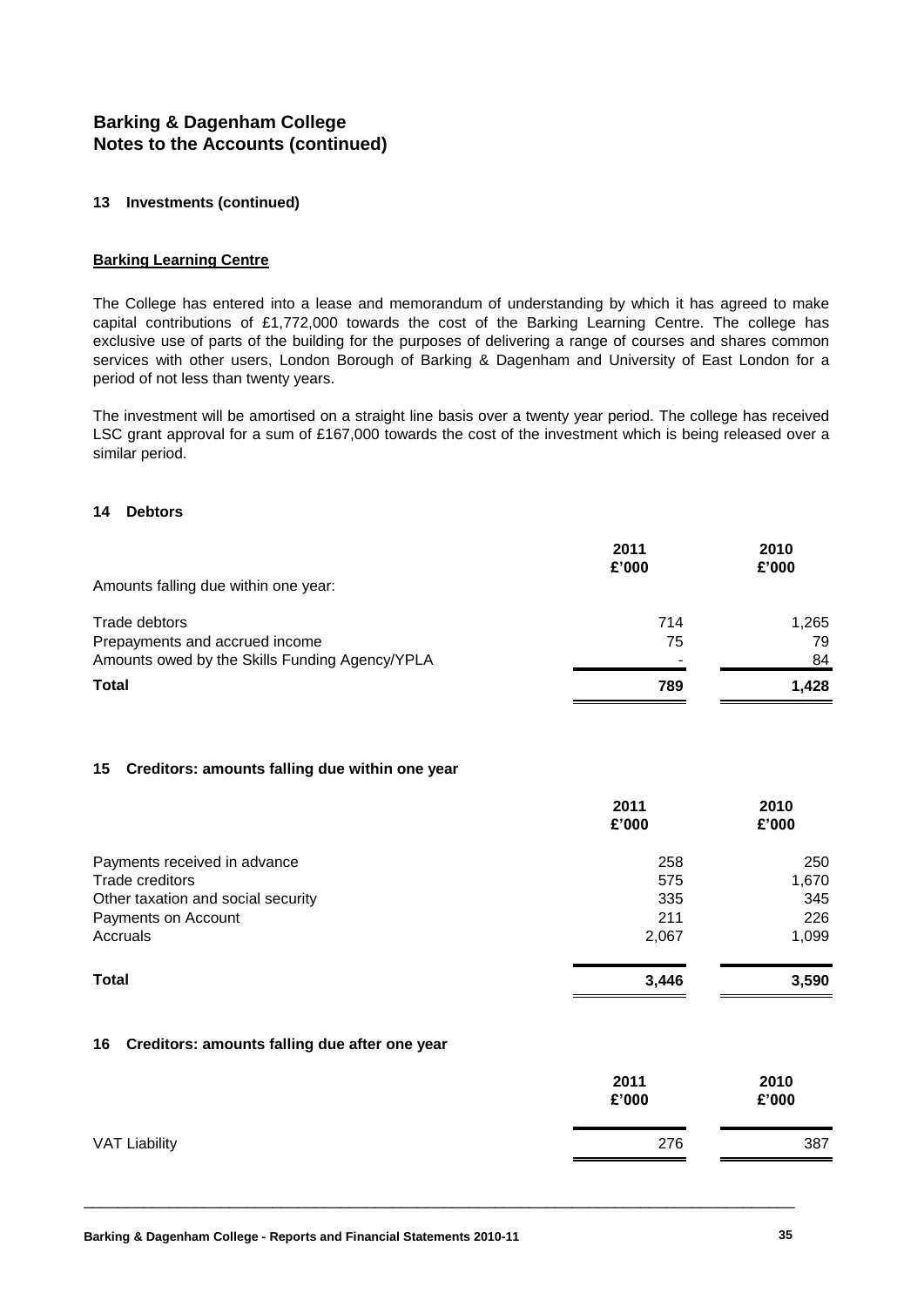#### **13 Investments (continued)**

#### **Barking Learning Centre**

The College has entered into a lease and memorandum of understanding by which it has agreed to make capital contributions of £1,772,000 towards the cost of the Barking Learning Centre. The college has exclusive use of parts of the building for the purposes of delivering a range of courses and shares common services with other users, London Borough of Barking & Dagenham and University of East London for a period of not less than twenty years.

The investment will be amortised on a straight line basis over a twenty year period. The college has received LSC grant approval for a sum of £167,000 towards the cost of the investment which is being released over a similar period.

#### **14 Debtors**

|                                                | 2011<br>£'000 | 2010<br>£'000 |
|------------------------------------------------|---------------|---------------|
| Amounts falling due within one year:           |               |               |
| Trade debtors                                  | 714           | 1.265         |
| Prepayments and accrued income                 | 75            | 79            |
| Amounts owed by the Skills Funding Agency/YPLA |               | 84            |
| Total                                          | 789           | 1.428         |

#### **15 Creditors: amounts falling due within one year**

|                                    | 2011  | 2010  |
|------------------------------------|-------|-------|
|                                    | £'000 | £'000 |
| Payments received in advance       | 258   | 250   |
| Trade creditors                    | 575   | 1,670 |
| Other taxation and social security | 335   | 345   |
| Payments on Account                | 211   | 226   |
| Accruals                           | 2,067 | 1,099 |
| <b>Total</b>                       | 3,446 | 3,590 |

#### **16 Creditors: amounts falling due after one year**

|                      | 2011<br>£'000 | 2010<br>£'000 |
|----------------------|---------------|---------------|
| <b>VAT Liability</b> | 276           | 387           |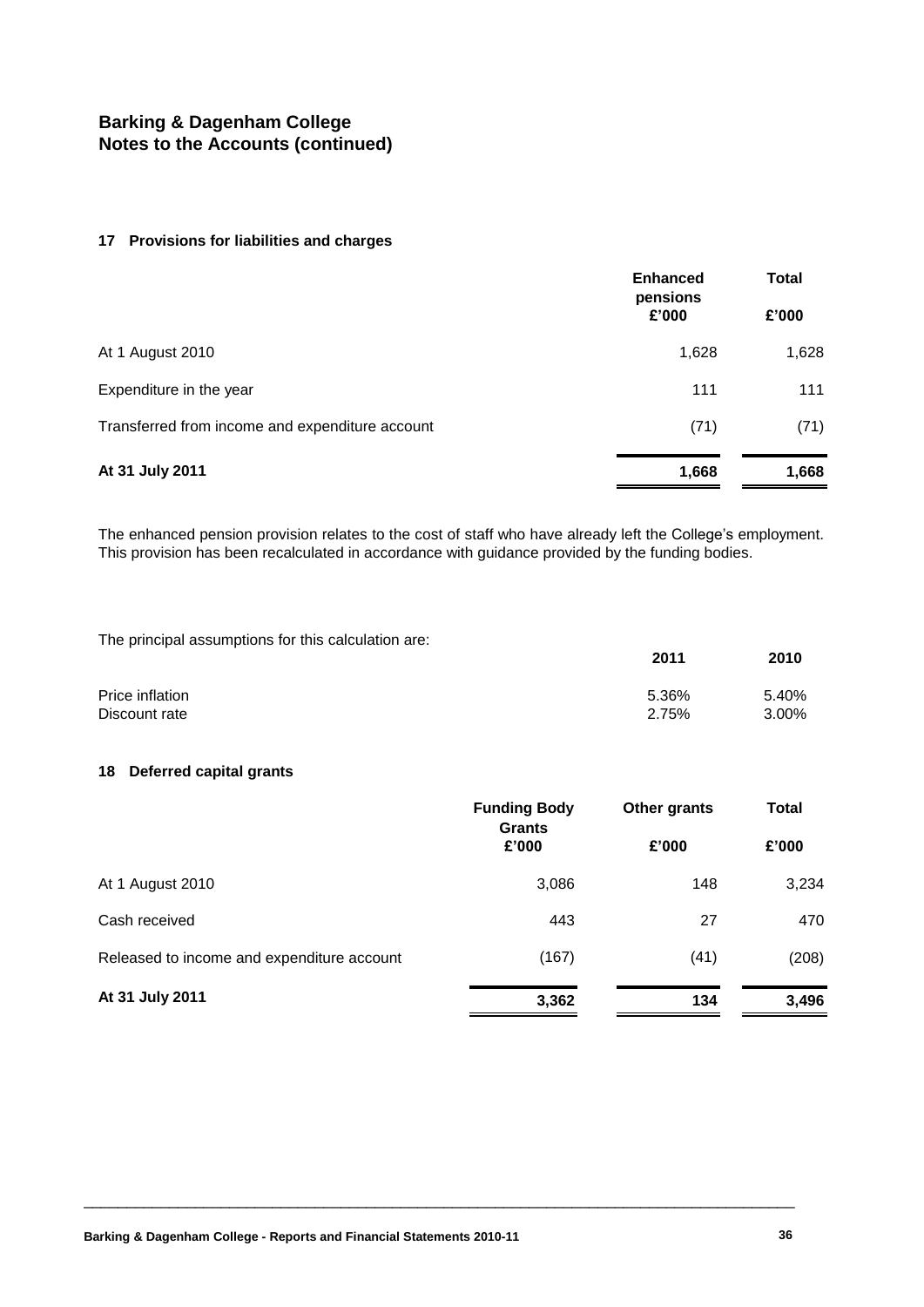#### **17 Provisions for liabilities and charges**

|                                                 | <b>Enhanced</b><br>pensions<br>£'000 | <b>Total</b><br>£'000 |
|-------------------------------------------------|--------------------------------------|-----------------------|
| At 1 August 2010                                | 1,628                                | 1,628                 |
| Expenditure in the year                         | 111                                  | 111                   |
| Transferred from income and expenditure account | (71)                                 | (71)                  |
| At 31 July 2011                                 | 1,668                                | 1,668                 |

The enhanced pension provision relates to the cost of staff who have already left the College's employment. This provision has been recalculated in accordance with guidance provided by the funding bodies.

The principal assumptions for this calculation are:

|                 | 2011  | 2010  |
|-----------------|-------|-------|
| Price inflation | 5.36% | 5.40% |
| Discount rate   | 2.75% | 3.00% |

#### **18 Deferred capital grants**

|                                            | <b>Funding Body</b><br><b>Grants</b> | Other grants | <b>Total</b> |
|--------------------------------------------|--------------------------------------|--------------|--------------|
|                                            | £'000                                | £'000        | £'000        |
| At 1 August 2010                           | 3,086                                | 148          | 3,234        |
| Cash received                              | 443                                  | 27           | 470          |
| Released to income and expenditure account | (167)                                | (41)         | (208)        |
| At 31 July 2011                            | 3,362                                | 134          | 3,496        |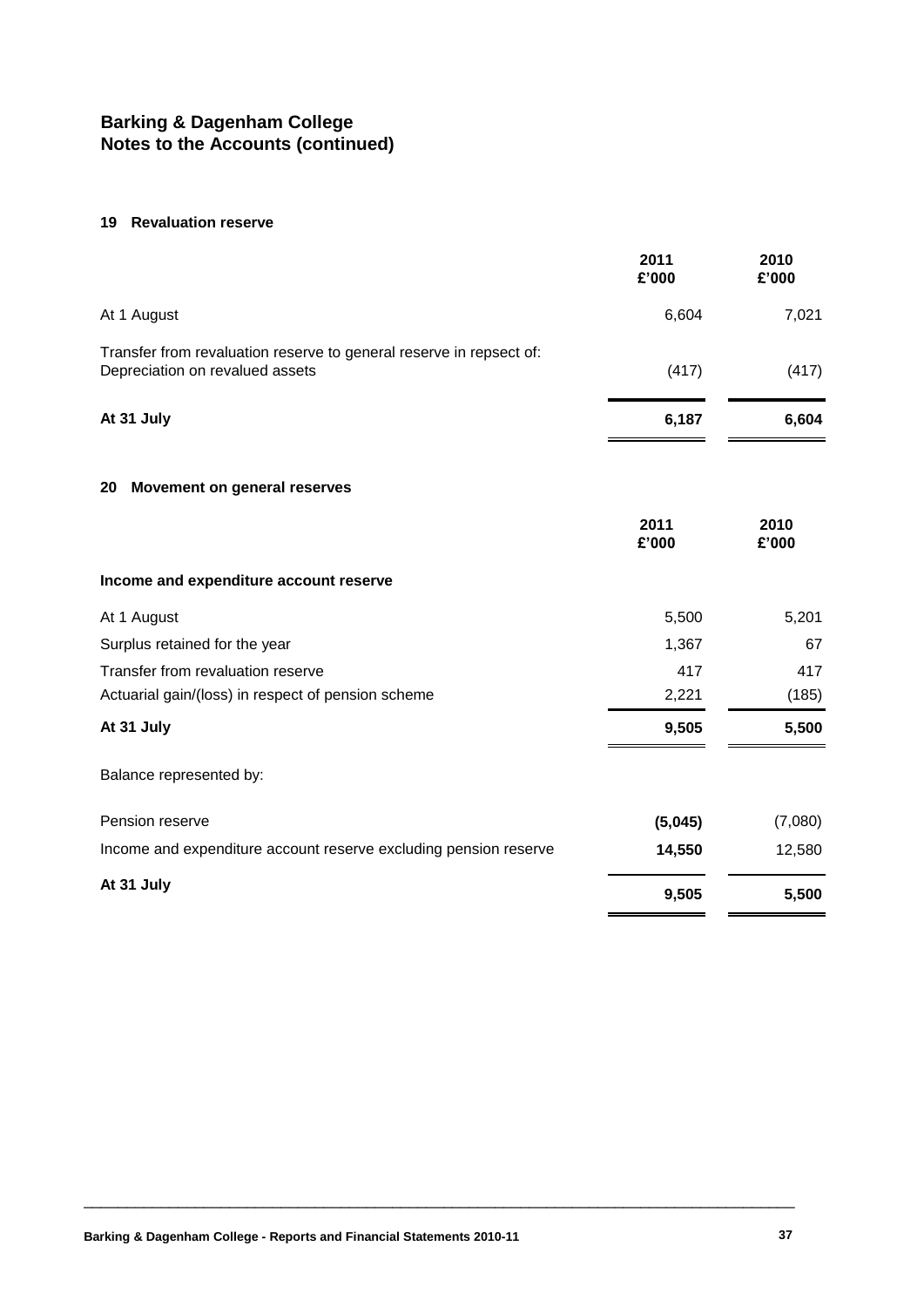#### **19 Revaluation reserve**

|                                                                                                        | 2011<br>£'000 | 2010<br>£'000 |
|--------------------------------------------------------------------------------------------------------|---------------|---------------|
| At 1 August                                                                                            | 6,604         | 7,021         |
| Transfer from revaluation reserve to general reserve in repsect of:<br>Depreciation on revalued assets | (417)         | (417)         |
| At 31 July                                                                                             | 6,187         | 6,604         |
| Movement on general reserves<br>20                                                                     |               |               |
|                                                                                                        | 2011<br>£'000 | 2010<br>£'000 |
| Income and expenditure account reserve                                                                 |               |               |
| At 1 August                                                                                            | 5,500         | 5,201         |
| Surplus retained for the year                                                                          | 1,367         | 67            |
| Transfer from revaluation reserve                                                                      | 417           | 417           |
| Actuarial gain/(loss) in respect of pension scheme                                                     | 2,221         | (185)         |
| At 31 July                                                                                             | 9,505         | 5,500         |
| Balance represented by:                                                                                |               |               |
| Pension reserve                                                                                        | (5,045)       | (7,080)       |
| Income and expenditure account reserve excluding pension reserve                                       | 14,550        | 12,580        |
| At 31 July                                                                                             | 9,505         | 5,500         |
|                                                                                                        |               |               |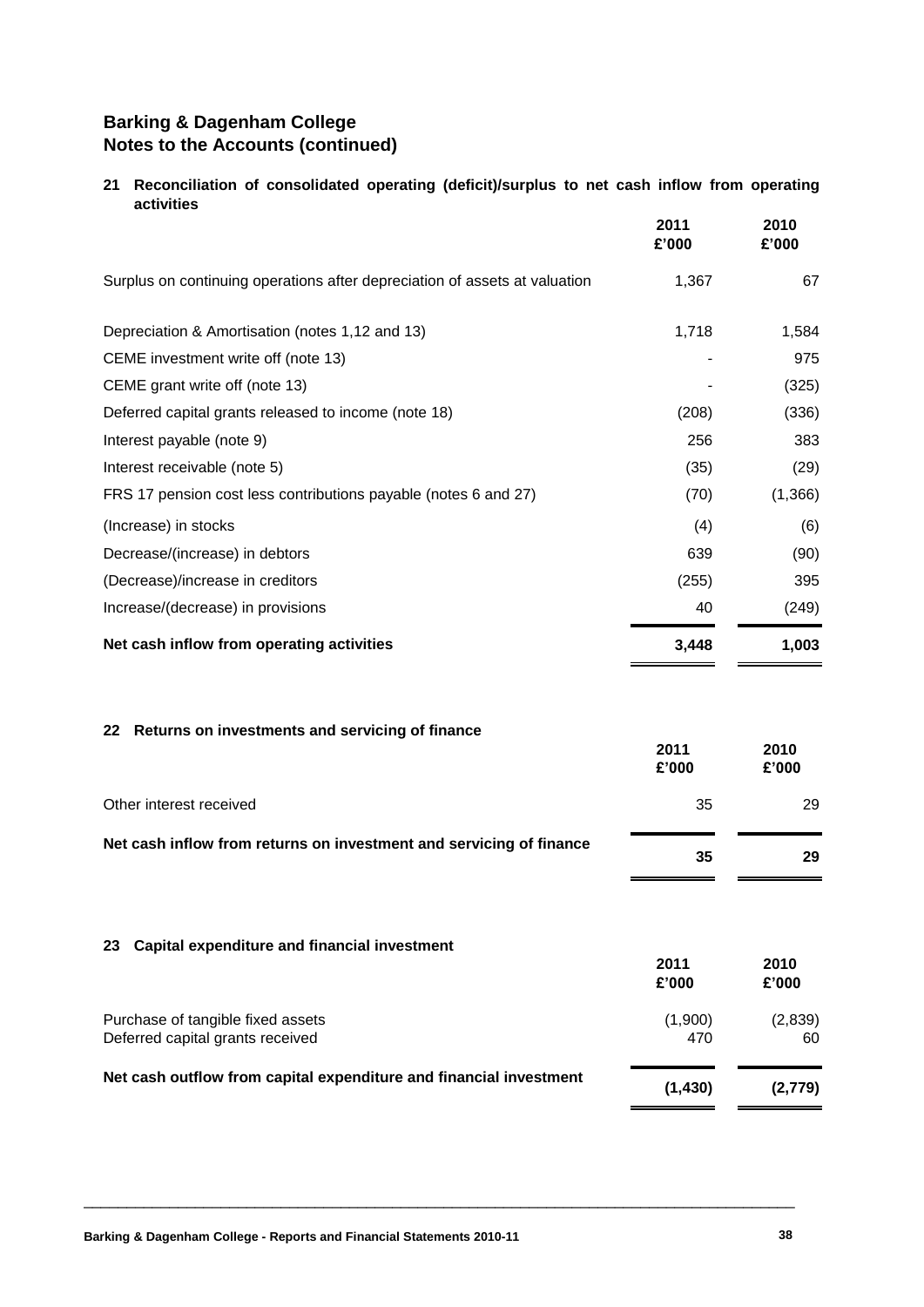#### **21 Reconciliation of consolidated operating (deficit)/surplus to net cash inflow from operating activities**

|                                                                            | 2011<br>£'000 | 2010<br>£'000 |
|----------------------------------------------------------------------------|---------------|---------------|
| Surplus on continuing operations after depreciation of assets at valuation | 1,367         | 67            |
| Depreciation & Amortisation (notes 1,12 and 13)                            | 1,718         | 1,584         |
| CEME investment write off (note 13)                                        |               | 975           |
| CEME grant write off (note 13)                                             |               | (325)         |
| Deferred capital grants released to income (note 18)                       | (208)         | (336)         |
| Interest payable (note 9)                                                  | 256           | 383           |
| Interest receivable (note 5)                                               | (35)          | (29)          |
| FRS 17 pension cost less contributions payable (notes 6 and 27)            | (70)          | (1,366)       |
| (Increase) in stocks                                                       | (4)           | (6)           |
| Decrease/(increase) in debtors                                             | 639           | (90)          |
| (Decrease)/increase in creditors                                           | (255)         | 395           |
| Increase/(decrease) in provisions                                          | 40            | (249)         |
| Net cash inflow from operating activities                                  | 3,448         | 1,003         |
| Returns on investments and servicing of finance<br>22                      | 2011<br>£'000 | 2010<br>£'000 |
| Other interest received                                                    | 35            | 29            |
| Net cash inflow from returns on investment and servicing of finance        | 35            | 29            |
|                                                                            |               |               |

#### **23 Capital expenditure and financial investment**

|                                                                       | 2011<br>£'000  | 2010<br>£'000 |
|-----------------------------------------------------------------------|----------------|---------------|
| Purchase of tangible fixed assets<br>Deferred capital grants received | (1,900)<br>470 | (2,839)<br>60 |
| Net cash outflow from capital expenditure and financial investment    | (1, 430)       | (2,779)       |

\_\_\_\_\_\_\_\_\_\_\_\_\_\_\_\_\_\_\_\_\_\_\_\_\_\_\_\_\_\_\_\_\_\_\_\_\_\_\_\_\_\_\_\_\_\_\_\_\_\_\_\_\_\_\_\_\_\_\_\_\_\_\_\_\_\_\_\_\_\_\_\_\_\_\_\_\_\_\_\_\_\_\_

 $\overline{\phantom{a}}$ 

 $\blacksquare$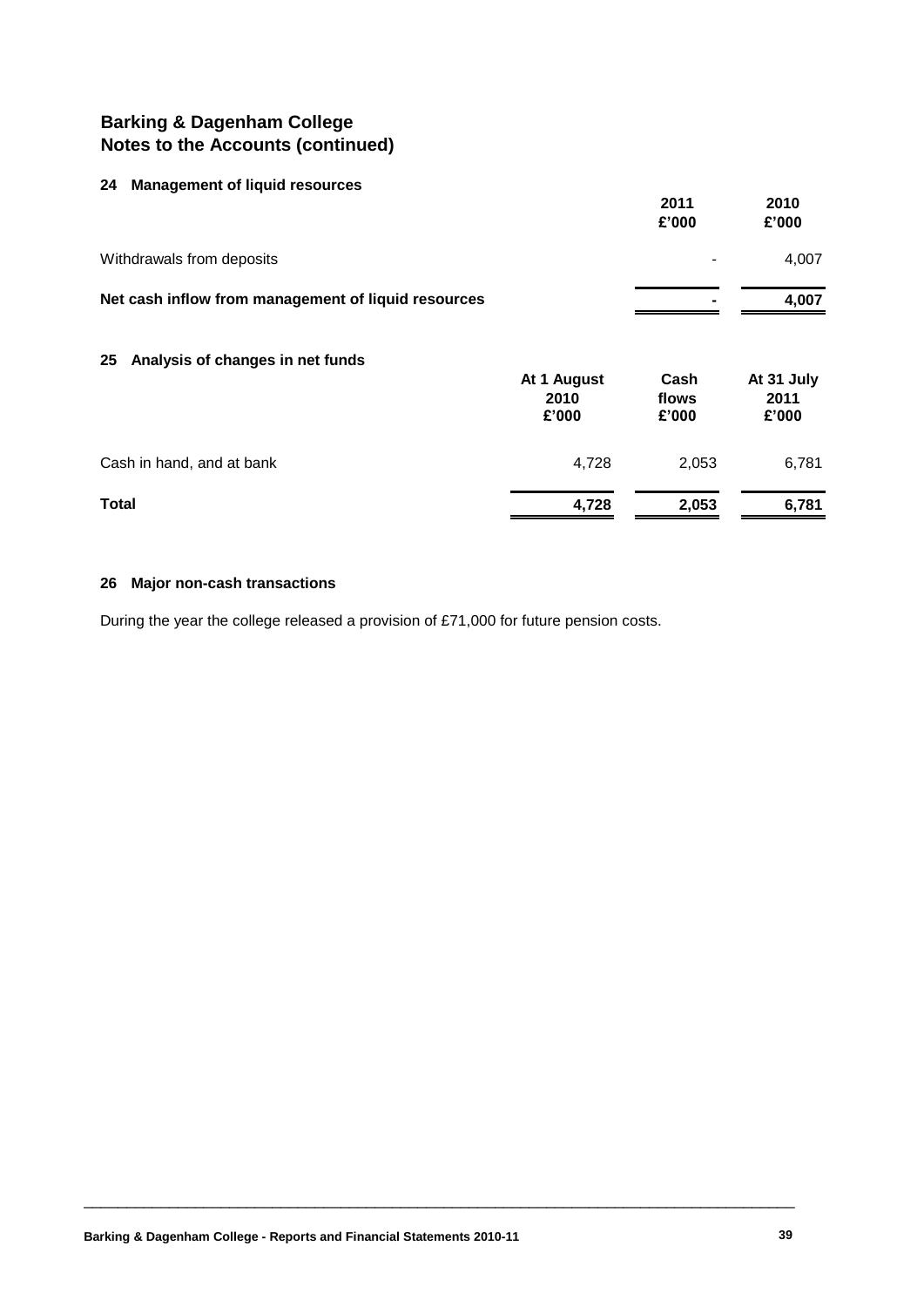#### **24 Management of liquid resources**

| $27$ management or ngara resoarces                  |                              | 2011<br>£'000          | 2010<br>£'000               |
|-----------------------------------------------------|------------------------------|------------------------|-----------------------------|
| Withdrawals from deposits                           |                              |                        | 4,007                       |
| Net cash inflow from management of liquid resources |                              |                        | 4,007                       |
| Analysis of changes in net funds<br>25              | At 1 August<br>2010<br>£'000 | Cash<br>flows<br>£'000 | At 31 July<br>2011<br>£'000 |
| Cash in hand, and at bank                           | 4,728                        | 2,053                  | 6,781                       |
| Total                                               | 4,728                        | 2,053                  | 6,781                       |

#### **26 Major non-cash transactions**

During the year the college released a provision of £71,000 for future pension costs.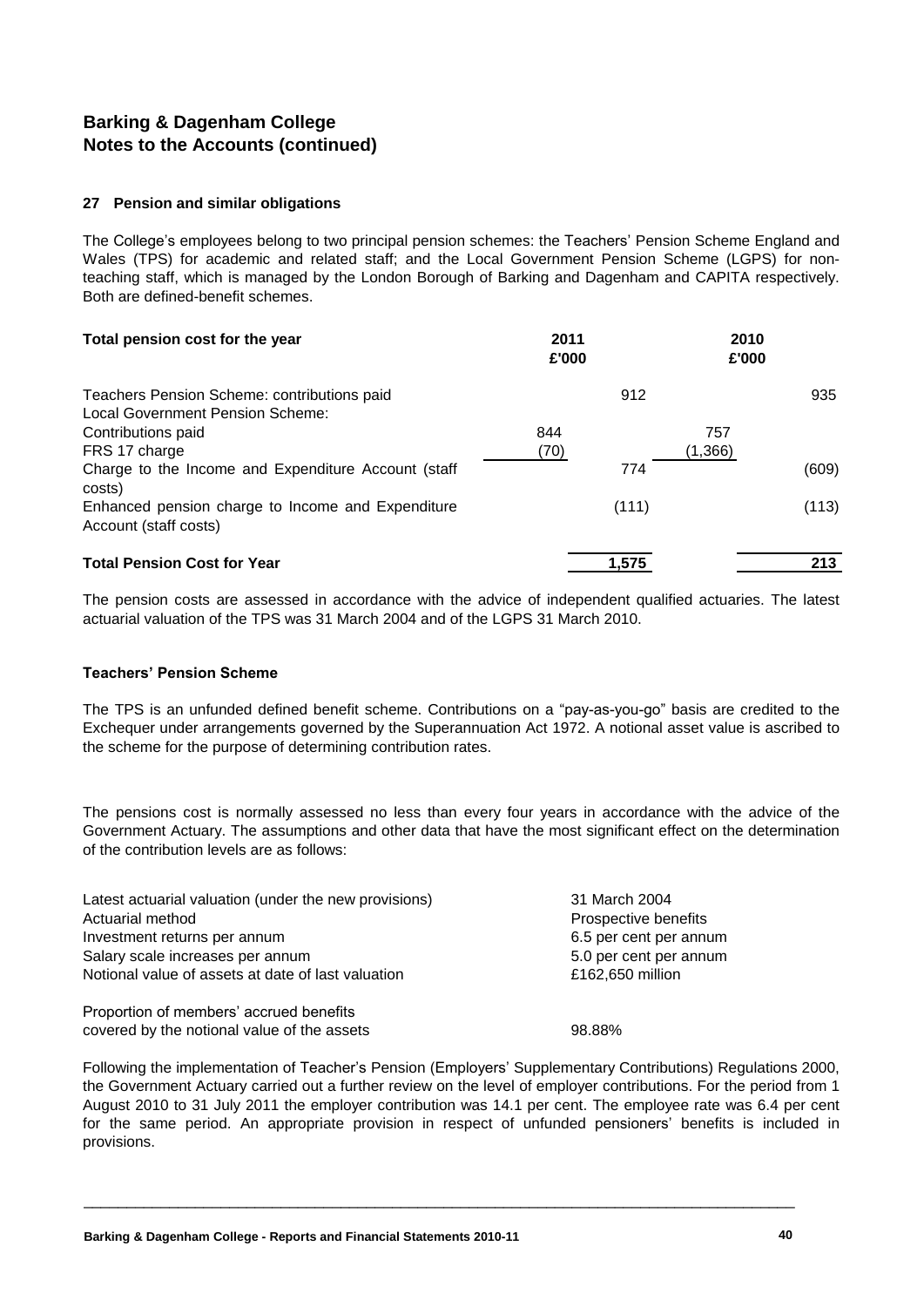#### **27 Pension and similar obligations**

The College's employees belong to two principal pension schemes: the Teachers' Pension Scheme England and Wales (TPS) for academic and related staff; and the Local Government Pension Scheme (LGPS) for nonteaching staff, which is managed by the London Borough of Barking and Dagenham and CAPITA respectively. Both are defined-benefit schemes.

| Total pension cost for the year                                                 | 2011<br>£'000 | 2010<br>£'000 |       |
|---------------------------------------------------------------------------------|---------------|---------------|-------|
| Teachers Pension Scheme: contributions paid<br>Local Government Pension Scheme: |               | 912           | 935   |
| Contributions paid                                                              | 844           | 757           |       |
| FRS 17 charge                                                                   | (70)          | (1,366)       |       |
| Charge to the Income and Expenditure Account (staff<br>costs)                   |               | 774           | (609) |
| Enhanced pension charge to Income and Expenditure<br>Account (staff costs)      |               | (111)         | (113) |
| <b>Total Pension Cost for Year</b>                                              | 1,575         |               | 213   |

The pension costs are assessed in accordance with the advice of independent qualified actuaries. The latest actuarial valuation of the TPS was 31 March 2004 and of the LGPS 31 March 2010.

#### **Teachers' Pension Scheme**

The TPS is an unfunded defined benefit scheme. Contributions on a "pay-as-you-go" basis are credited to the Exchequer under arrangements governed by the Superannuation Act 1972. A notional asset value is ascribed to the scheme for the purpose of determining contribution rates.

The pensions cost is normally assessed no less than every four years in accordance with the advice of the Government Actuary. The assumptions and other data that have the most significant effect on the determination of the contribution levels are as follows:

| Latest actuarial valuation (under the new provisions) | 31 March 2004          |
|-------------------------------------------------------|------------------------|
| Actuarial method                                      | Prospective benefits   |
| Investment returns per annum                          | 6.5 per cent per annum |
| Salary scale increases per annum                      | 5.0 per cent per annum |
| Notional value of assets at date of last valuation    | £162,650 million       |
| Proportion of members' accrued benefits               |                        |
| covered by the notional value of the assets           | 98.88%                 |

Following the implementation of Teacher's Pension (Employers' Supplementary Contributions) Regulations 2000, the Government Actuary carried out a further review on the level of employer contributions. For the period from 1 August 2010 to 31 July 2011 the employer contribution was 14.1 per cent. The employee rate was 6.4 per cent for the same period. An appropriate provision in respect of unfunded pensioners' benefits is included in provisions.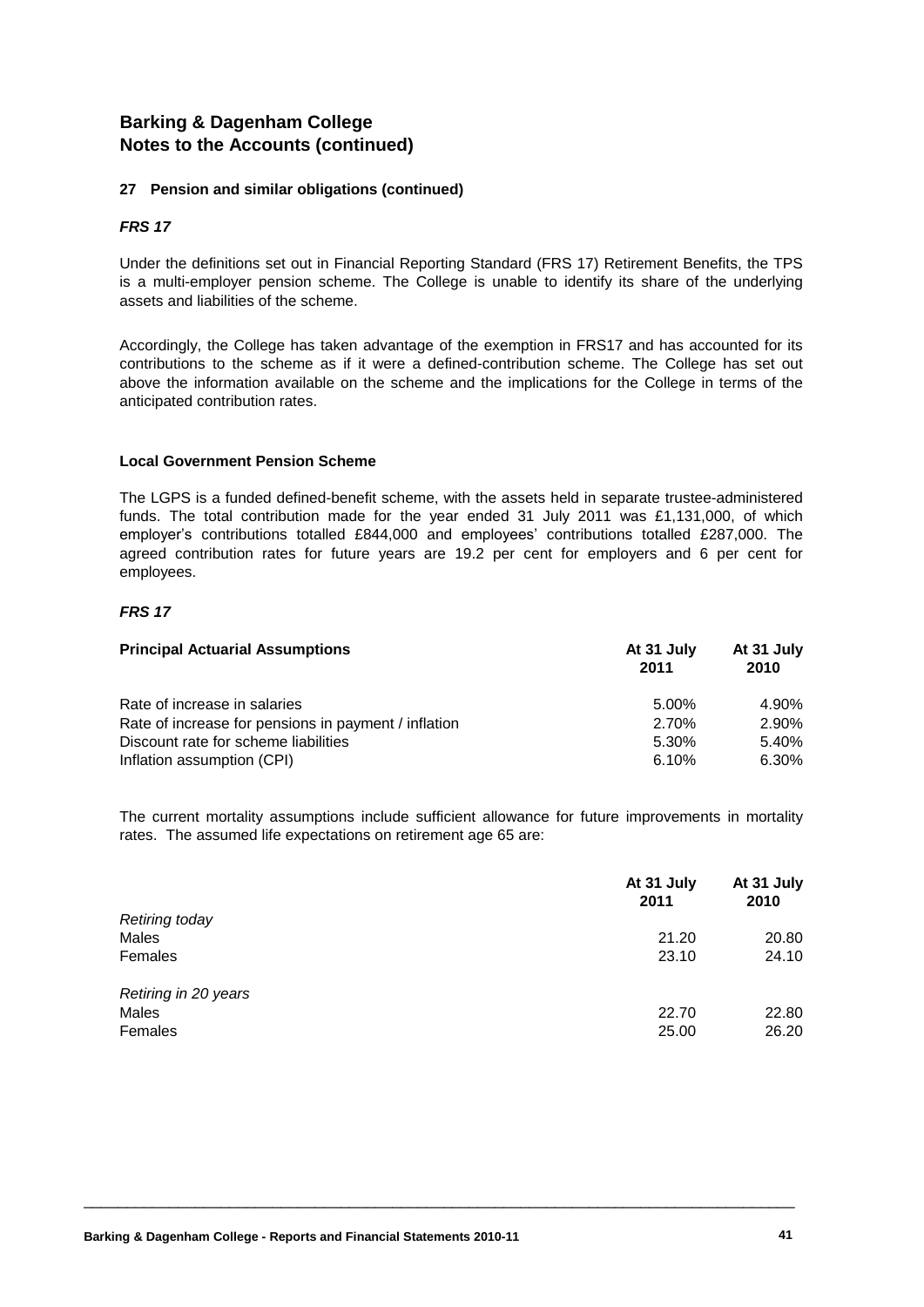#### **27 Pension and similar obligations (continued)**

#### *FRS 17*

Under the definitions set out in Financial Reporting Standard (FRS 17) Retirement Benefits, the TPS is a multi-employer pension scheme. The College is unable to identify its share of the underlying assets and liabilities of the scheme.

Accordingly, the College has taken advantage of the exemption in FRS17 and has accounted for its contributions to the scheme as if it were a defined-contribution scheme. The College has set out above the information available on the scheme and the implications for the College in terms of the anticipated contribution rates.

#### **Local Government Pension Scheme**

The LGPS is a funded defined-benefit scheme, with the assets held in separate trustee-administered funds. The total contribution made for the year ended 31 July 2011 was £1,131,000, of which employer's contributions totalled £844,000 and employees' contributions totalled £287,000. The agreed contribution rates for future years are 19.2 per cent for employers and 6 per cent for employees.

#### *FRS 17*

| <b>Principal Actuarial Assumptions</b>               | At 31 July<br>2011 | At 31 July<br>2010 |
|------------------------------------------------------|--------------------|--------------------|
| Rate of increase in salaries                         | 5.00%              | 4.90%              |
| Rate of increase for pensions in payment / inflation | 2.70%              | 2.90%              |
| Discount rate for scheme liabilities                 | 5.30%              | 5.40%              |
| Inflation assumption (CPI)                           | 6.10%              | 6.30%              |

The current mortality assumptions include sufficient allowance for future improvements in mortality rates. The assumed life expectations on retirement age 65 are:

|                      | At 31 July<br>2011 | At 31 July<br>2010 |
|----------------------|--------------------|--------------------|
| Retiring today       |                    |                    |
| Males                | 21.20              | 20.80              |
| Females              | 23.10              | 24.10              |
| Retiring in 20 years |                    |                    |
| Males                | 22.70              | 22.80              |
| Females              | 25.00              | 26.20              |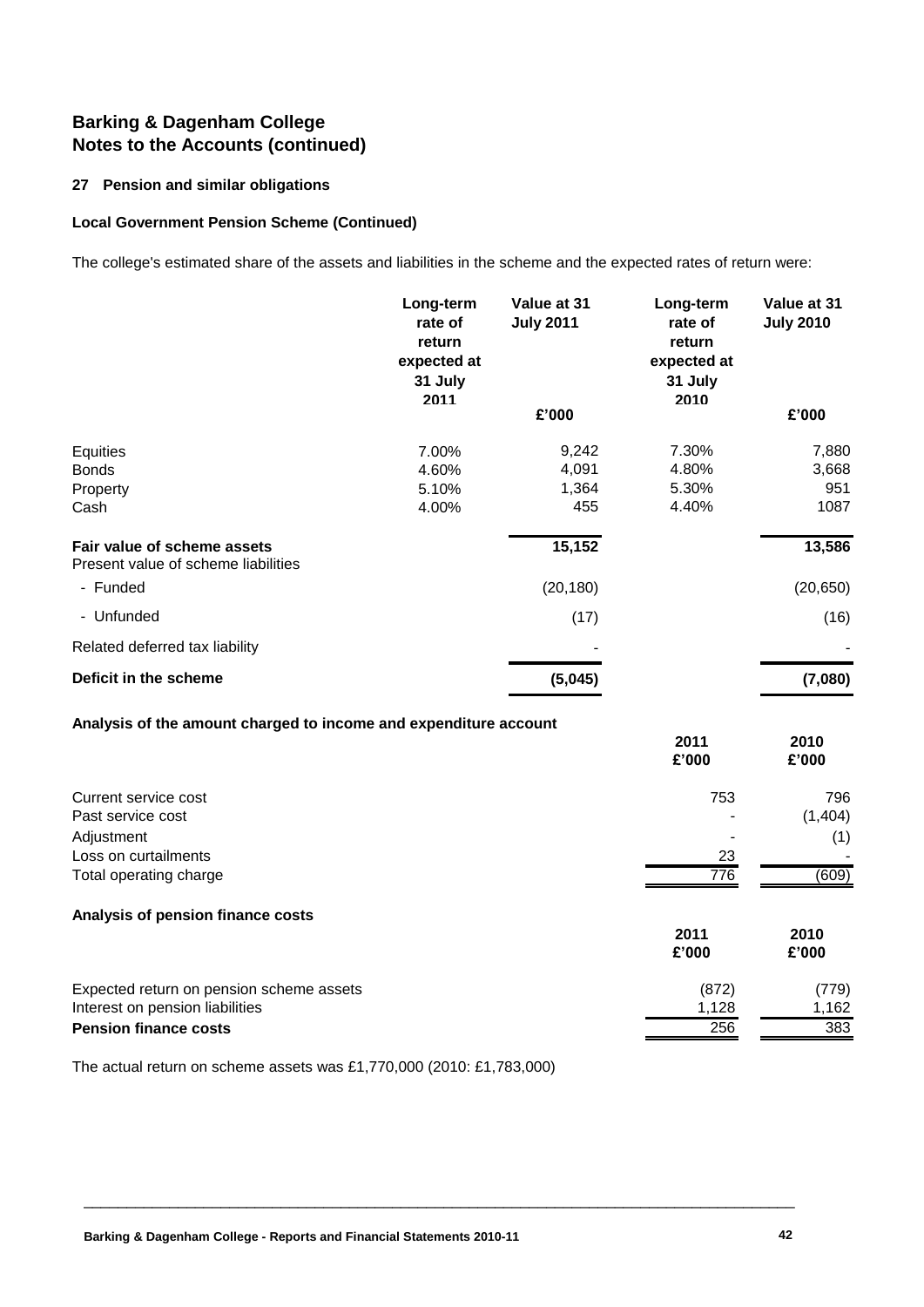#### **27 Pension and similar obligations**

#### **Local Government Pension Scheme (Continued)**

The college's estimated share of the assets and liabilities in the scheme and the expected rates of return were:

|                                                                    | Long-term<br>rate of<br>return<br>expected at<br>31 July<br>2011 | Value at 31<br><b>July 2011</b> | Long-term<br>rate of<br>return<br>expected at<br>31 July<br>2010 | Value at 31<br><b>July 2010</b> |
|--------------------------------------------------------------------|------------------------------------------------------------------|---------------------------------|------------------------------------------------------------------|---------------------------------|
|                                                                    |                                                                  | £'000                           |                                                                  | £'000                           |
| Equities<br><b>Bonds</b><br>Property<br>Cash                       | 7.00%<br>4.60%<br>5.10%<br>4.00%                                 | 9,242<br>4,091<br>1,364<br>455  | 7.30%<br>4.80%<br>5.30%<br>4.40%                                 | 7,880<br>3,668<br>951<br>1087   |
| Fair value of scheme assets<br>Present value of scheme liabilities |                                                                  | 15,152                          |                                                                  | 13,586                          |
| - Funded                                                           |                                                                  | (20, 180)                       |                                                                  | (20, 650)                       |
| - Unfunded                                                         |                                                                  | (17)                            |                                                                  | (16)                            |
| Related deferred tax liability                                     |                                                                  |                                 |                                                                  |                                 |
| Deficit in the scheme                                              |                                                                  | (5,045)                         |                                                                  | (7,080)                         |

#### **Analysis of the amount charged to income and expenditure account**

|                                          | 2011<br>£'000 | 2010<br>£'000 |
|------------------------------------------|---------------|---------------|
| Current service cost                     | 753           | 796           |
| Past service cost                        |               | (1,404)       |
| Adjustment                               |               | (1)           |
| Loss on curtailments                     | 23            |               |
| Total operating charge                   | 776           | (609)         |
| Analysis of pension finance costs        |               |               |
|                                          | 2011          | 2010          |
|                                          | £'000         | £'000         |
| Expected return on pension scheme assets | (872)         | (779)         |
| Interest on pension liabilities          | 1,128         | 1,162         |
| <b>Pension finance costs</b>             | 256           | 383           |

\_\_\_\_\_\_\_\_\_\_\_\_\_\_\_\_\_\_\_\_\_\_\_\_\_\_\_\_\_\_\_\_\_\_\_\_\_\_\_\_\_\_\_\_\_\_\_\_\_\_\_\_\_\_\_\_\_\_\_\_\_\_\_\_\_\_\_\_\_\_\_\_\_\_\_\_\_\_\_\_\_\_\_

The actual return on scheme assets was £1,770,000 (2010: £1,783,000)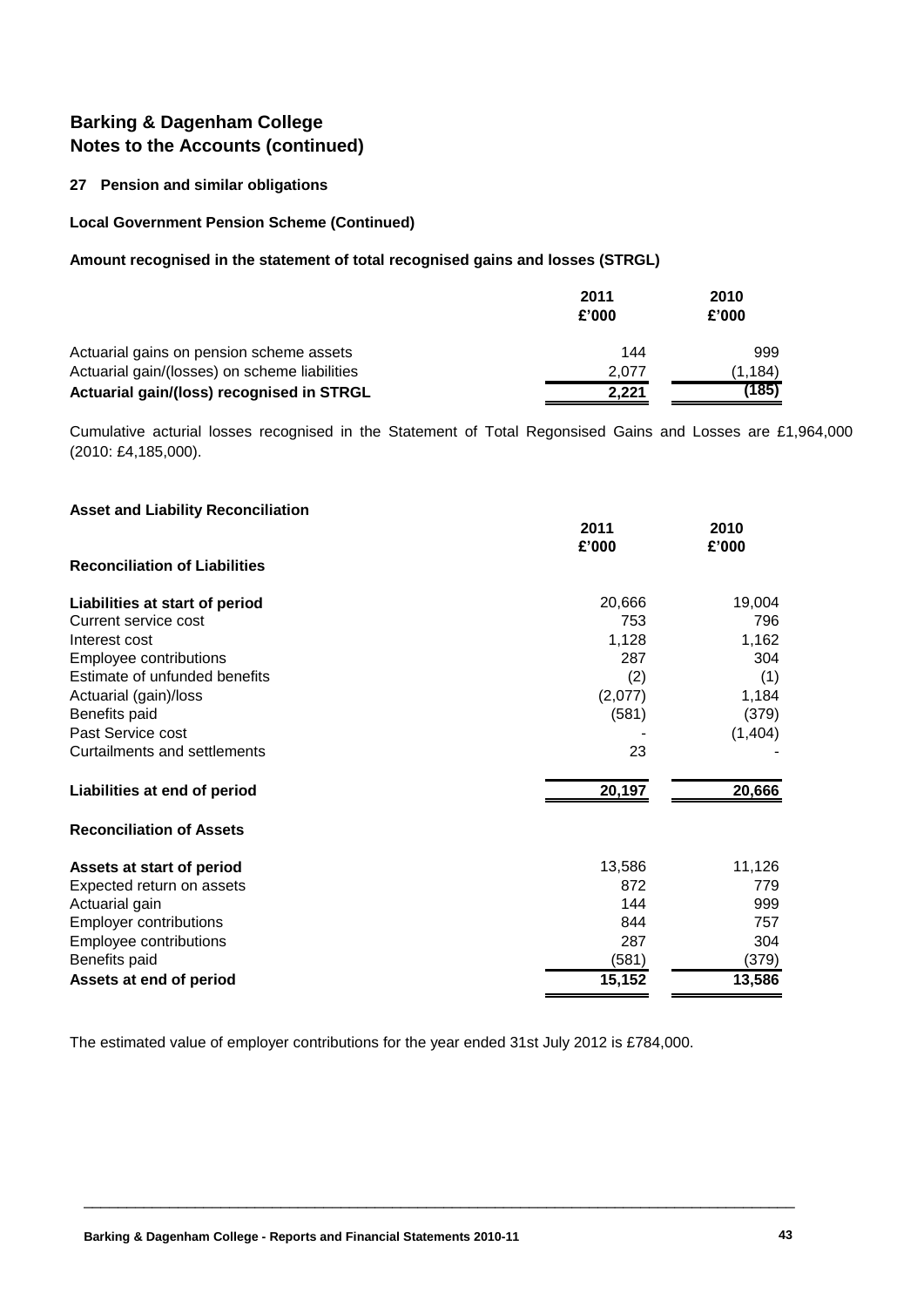#### **27 Pension and similar obligations**

#### **Local Government Pension Scheme (Continued)**

#### **Amount recognised in the statement of total recognised gains and losses (STRGL)**

|                                               | 2011<br>£'000 | 2010<br>£'000 |
|-----------------------------------------------|---------------|---------------|
| Actuarial gains on pension scheme assets      | 144           | 999           |
| Actuarial gain/(losses) on scheme liabilities | 2.077         | (1.184)       |
| Actuarial gain/(loss) recognised in STRGL     | 2,221         | (185)         |

Cumulative acturial losses recognised in the Statement of Total Regonsised Gains and Losses are £1,964,000 (2010: £4,185,000).

| <b>Asset and Liability Reconciliation</b> |               |               |
|-------------------------------------------|---------------|---------------|
|                                           | 2011<br>£'000 | 2010<br>£'000 |
| <b>Reconciliation of Liabilities</b>      |               |               |
| Liabilities at start of period            | 20,666        | 19,004        |
| Current service cost                      | 753           | 796           |
| Interest cost                             | 1,128         | 1,162         |
| Employee contributions                    | 287           | 304           |
| Estimate of unfunded benefits             | (2)           | (1)           |
| Actuarial (gain)/loss                     | (2,077)       | 1,184         |
| Benefits paid                             | (581)         | (379)         |
| Past Service cost                         |               | (1, 404)      |
| Curtailments and settlements              | 23            |               |
| Liabilities at end of period              | 20,197        | 20,666        |
| <b>Reconciliation of Assets</b>           |               |               |
| Assets at start of period                 | 13,586        | 11,126        |
| Expected return on assets                 | 872           | 779           |
| Actuarial gain                            | 144           | 999           |
| <b>Employer contributions</b>             | 844           | 757           |
| Employee contributions                    | 287           | 304           |
| Benefits paid                             | (581)         | (379)         |
| Assets at end of period                   | 15,152        | 13,586        |

The estimated value of employer contributions for the year ended 31st July 2012 is £784,000.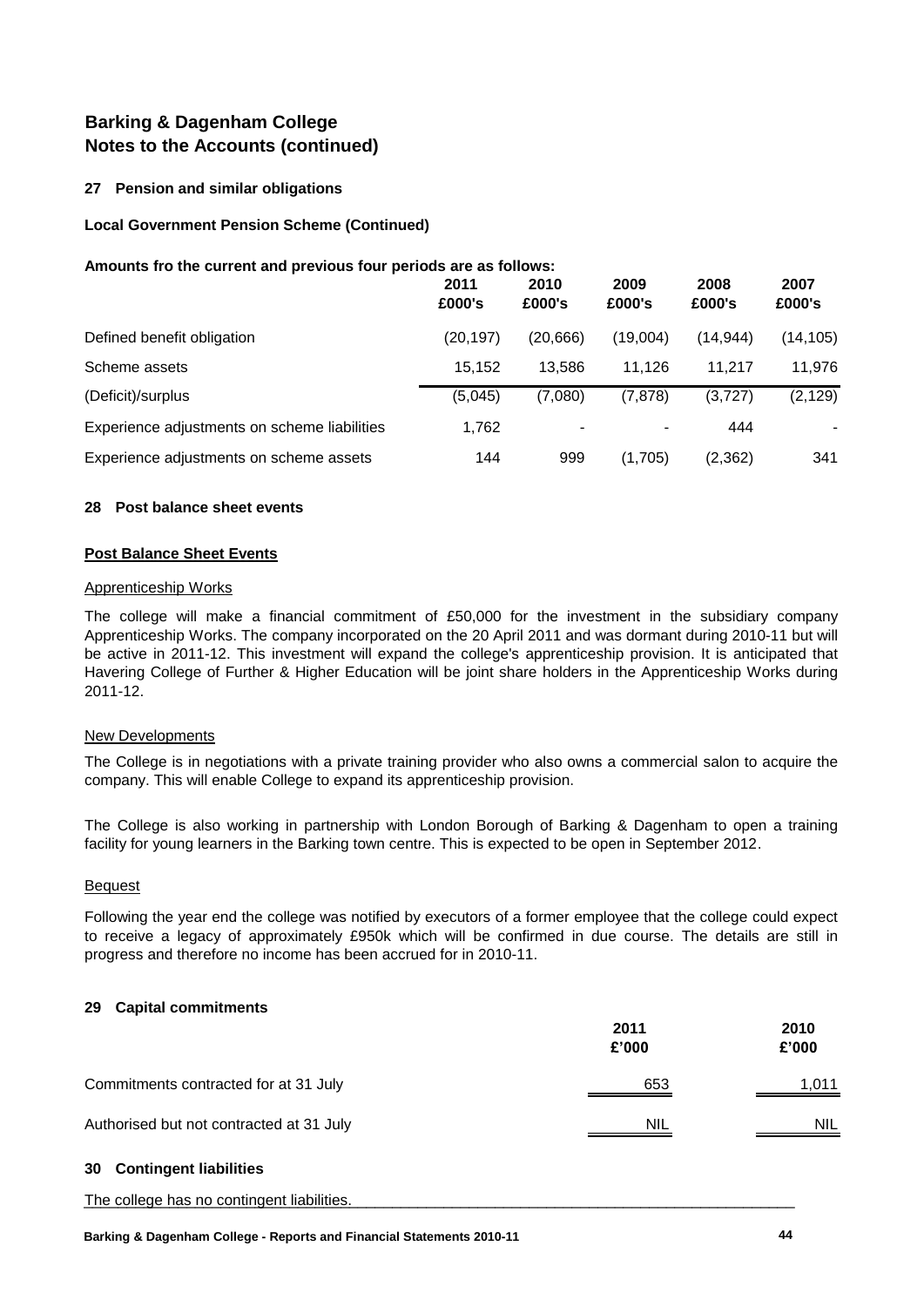#### **27 Pension and similar obligations**

#### **Local Government Pension Scheme (Continued)**

#### **Amounts fro the current and previous four periods are as follows:**

|                                              | 2011<br>£000's | 2010<br>£000's | 2009<br>£000's | 2008<br>£000's | 2007<br>£000's |
|----------------------------------------------|----------------|----------------|----------------|----------------|----------------|
| Defined benefit obligation                   | (20, 197)      | (20, 666)      | (19,004)       | (14.944)       | (14, 105)      |
| Scheme assets                                | 15.152         | 13.586         | 11.126         | 11.217         | 11,976         |
| (Deficit)/surplus                            | (5,045)        | (7,080)        | (7, 878)       | (3,727)        | (2, 129)       |
| Experience adjustments on scheme liabilities | 1,762          |                | -              | 444            | $\blacksquare$ |
| Experience adjustments on scheme assets      | 144            | 999            | (1,705)        | (2,362)        | 341            |

#### **28 Post balance sheet events**

#### **Post Balance Sheet Events**

#### Apprenticeship Works

The college will make a financial commitment of £50,000 for the investment in the subsidiary company Apprenticeship Works. The company incorporated on the 20 April 2011 and was dormant during 2010-11 but will be active in 2011-12. This investment will expand the college's apprenticeship provision. It is anticipated that Havering College of Further & Higher Education will be joint share holders in the Apprenticeship Works during 2011-12.

#### New Developments

The College is in negotiations with a private training provider who also owns a commercial salon to acquire the company. This will enable College to expand its apprenticeship provision.

The College is also working in partnership with London Borough of Barking & Dagenham to open a training facility for young learners in the Barking town centre. This is expected to be open in September 2012.

#### Bequest

Following the year end the college was notified by executors of a former employee that the college could expect to receive a legacy of approximately £950k which will be confirmed in due course. The details are still in progress and therefore no income has been accrued for in 2010-11.

#### **29 Capital commitments**

|                                          | 2011<br>£'000 | 2010<br>£'000 |
|------------------------------------------|---------------|---------------|
| Commitments contracted for at 31 July    | 653           | 1,011         |
| Authorised but not contracted at 31 July | <b>NIL</b>    | <b>NIL</b>    |

# **30 Contingent liabilities**

The college has no contingent liabilities. **Example 20** is a set of the college has no contingent liabilities.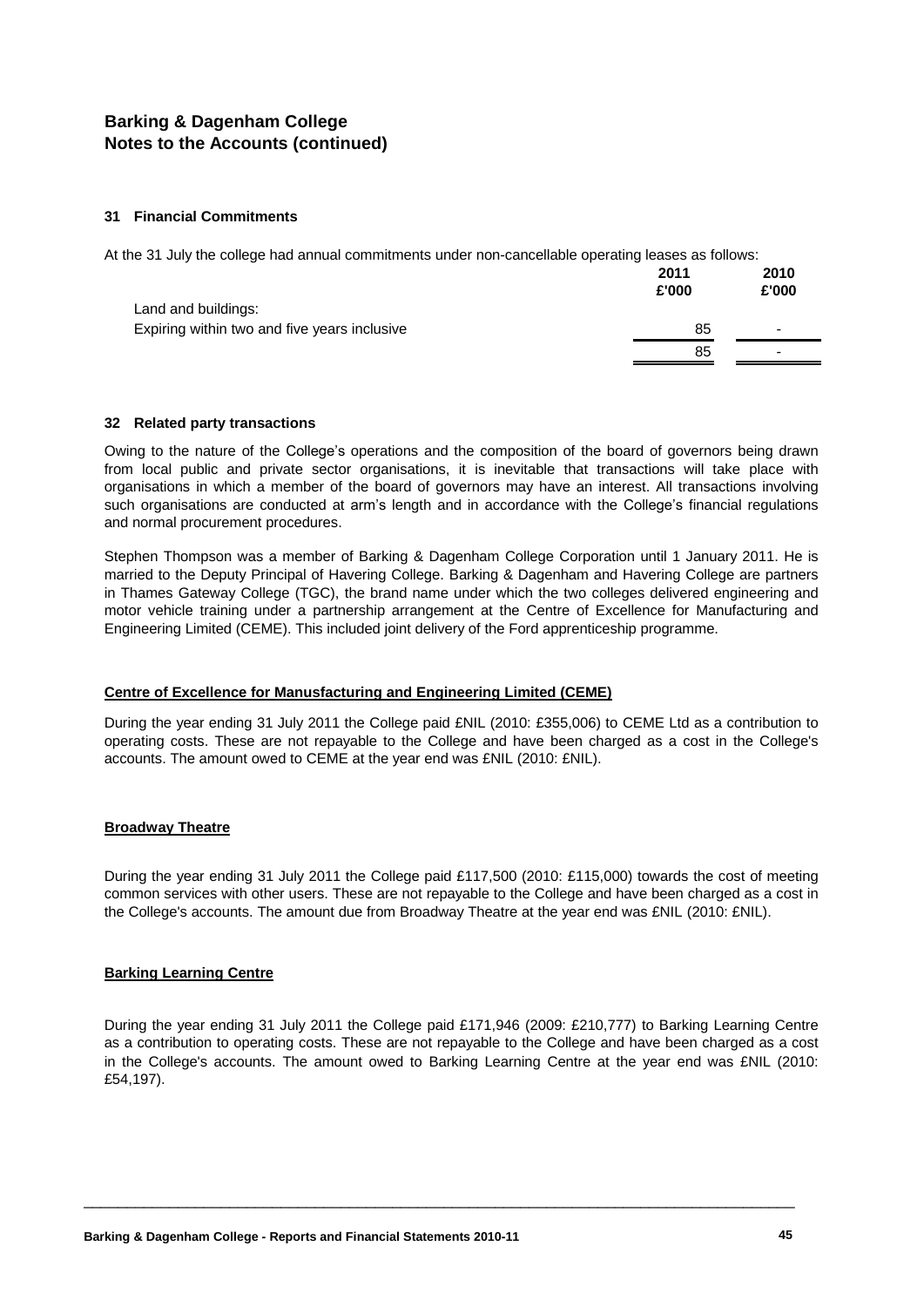#### **31 Financial Commitments**

At the 31 July the college had annual commitments under non-cancellable operating leases as follows:

|                                              | 2011<br>£'000 | 2010<br>£'000            |
|----------------------------------------------|---------------|--------------------------|
| Land and buildings:                          |               |                          |
| Expiring within two and five years inclusive | 85            | $\overline{\phantom{0}}$ |
|                                              | 85            | $\overline{\phantom{0}}$ |

#### **32 Related party transactions**

Owing to the nature of the College's operations and the composition of the board of governors being drawn from local public and private sector organisations, it is inevitable that transactions will take place with organisations in which a member of the board of governors may have an interest. All transactions involving such organisations are conducted at arm's length and in accordance with the College's financial regulations and normal procurement procedures.

Stephen Thompson was a member of Barking & Dagenham College Corporation until 1 January 2011. He is married to the Deputy Principal of Havering College. Barking & Dagenham and Havering College are partners in Thames Gateway College (TGC), the brand name under which the two colleges delivered engineering and motor vehicle training under a partnership arrangement at the Centre of Excellence for Manufacturing and Engineering Limited (CEME). This included joint delivery of the Ford apprenticeship programme.

#### **Centre of Excellence for Manusfacturing and Engineering Limited (CEME)**

During the year ending 31 July 2011 the College paid £NIL (2010: £355,006) to CEME Ltd as a contribution to operating costs. These are not repayable to the College and have been charged as a cost in the College's accounts. The amount owed to CEME at the year end was £NIL (2010: £NIL).

#### **Broadway Theatre**

During the year ending 31 July 2011 the College paid £117,500 (2010: £115,000) towards the cost of meeting common services with other users. These are not repayable to the College and have been charged as a cost in the College's accounts. The amount due from Broadway Theatre at the year end was £NIL (2010: £NIL).

#### **Barking Learning Centre**

During the year ending 31 July 2011 the College paid £171,946 (2009: £210,777) to Barking Learning Centre as a contribution to operating costs. These are not repayable to the College and have been charged as a cost in the College's accounts. The amount owed to Barking Learning Centre at the year end was £NIL (2010: £54,197).